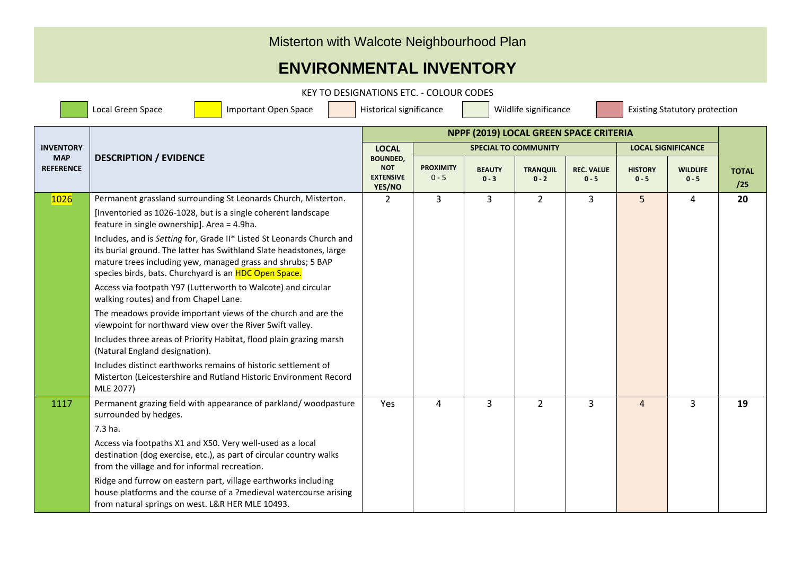## Misterton with Walcote Neighbourhood Plan

## **ENVIRONMENTAL INVENTORY**

KEY TO DESIGNATIONS ETC. - COLOUR CODES

Local Green Space Important Open Space Historical significance Wildlife significance Existing Statutory protection **INVENTORY MAP REFERENCE DESCRIPTION / EVIDENCE NPPF (2019) LOCAL GREEN SPACE CRITERIA TOTAL /25 LOCAL BOUNDED, NOT EXTENSIVE YES/NO SPECIAL TO COMMUNITY LOCAL SIGNIFICANCE PROXIMITY**  $0 - 5$ **BEAUTY 0 - 3 TRANQUIL**  $0 - 2$ **REC. VALUE 0 - 5 HISTORY 0 - 5 WILDLIFE 0 - 5** 1026 Permanent grassland surrounding St Leonards Church, Misterton. [Inventoried as 1026-1028, but is a single coherent landscape feature in single ownership]. Area = 4.9ha. Includes, and is *Setting* for, Grade II\* Listed St Leonards Church and its burial ground. The latter has Swithland Slate headstones, large mature trees including yew, managed grass and shrubs; 5 BAP species birds, bats. Churchyard is an HDC Open Space. Access via footpath Y97 (Lutterworth to Walcote) and circular walking routes) and from Chapel Lane. The meadows provide important views of the church and are the viewpoint for northward view over the River Swift valley. Includes three areas of Priority Habitat, flood plain grazing marsh (Natural England designation). Includes distinct earthworks remains of historic settlement of Misterton (Leicestershire and Rutland Historic Environment Record MLE 2077) 2 3 3 3 2 3 3 5 4 2**0** 1117 Permanent grazing field with appearance of parkland/ woodpasture surrounded by hedges. 7.3 ha. Access via footpaths X1 and X50. Very well-used as a local destination (dog exercise, etc.), as part of circular country walks from the village and for informal recreation. Ridge and furrow on eastern part, village earthworks including house platforms and the course of a ?medieval watercourse arising Yes | 4 | 3 | 2 | 3 | 4 | 3 | **19** 

from natural springs on west. L&R HER MLE 10493.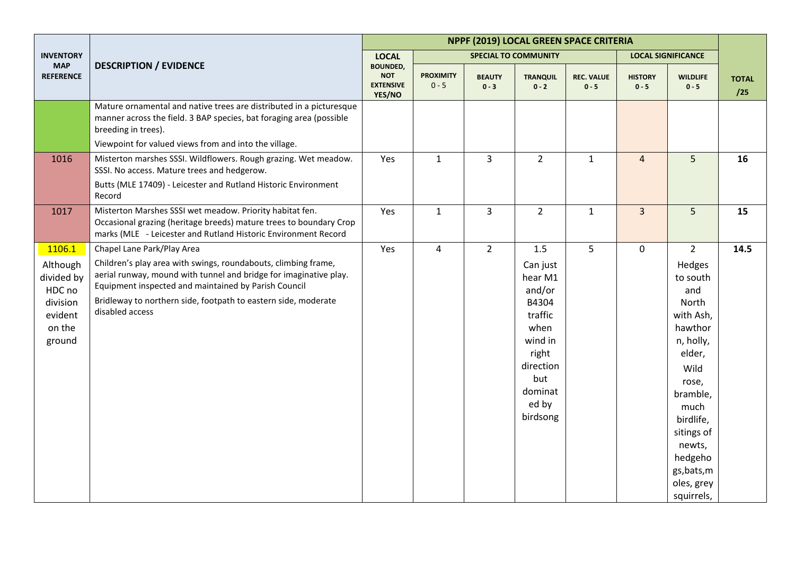|                                                                             |                                                                                                                                                                                                                                                                                  | NPPF (2019) LOCAL GREEN SPACE CRITERIA                      |                             |                          |                                                                                                                                   |                              |                           |                                                                                                                                                                                                                   |                     |  |
|-----------------------------------------------------------------------------|----------------------------------------------------------------------------------------------------------------------------------------------------------------------------------------------------------------------------------------------------------------------------------|-------------------------------------------------------------|-----------------------------|--------------------------|-----------------------------------------------------------------------------------------------------------------------------------|------------------------------|---------------------------|-------------------------------------------------------------------------------------------------------------------------------------------------------------------------------------------------------------------|---------------------|--|
| <b>INVENTORY</b>                                                            |                                                                                                                                                                                                                                                                                  | <b>LOCAL</b>                                                |                             |                          | <b>SPECIAL TO COMMUNITY</b>                                                                                                       |                              |                           | <b>LOCAL SIGNIFICANCE</b>                                                                                                                                                                                         |                     |  |
| <b>MAP</b><br><b>REFERENCE</b>                                              | <b>DESCRIPTION / EVIDENCE</b>                                                                                                                                                                                                                                                    | <b>BOUNDED,</b><br><b>NOT</b><br><b>EXTENSIVE</b><br>YES/NO | <b>PROXIMITY</b><br>$0 - 5$ | <b>BEAUTY</b><br>$0 - 3$ | <b>TRANQUIL</b><br>$0 - 2$                                                                                                        | <b>REC. VALUE</b><br>$0 - 5$ | <b>HISTORY</b><br>$0 - 5$ | <b>WILDLIFE</b><br>$0 - 5$                                                                                                                                                                                        | <b>TOTAL</b><br>/25 |  |
|                                                                             | Mature ornamental and native trees are distributed in a picturesque<br>manner across the field. 3 BAP species, bat foraging area (possible<br>breeding in trees).                                                                                                                |                                                             |                             |                          |                                                                                                                                   |                              |                           |                                                                                                                                                                                                                   |                     |  |
|                                                                             | Viewpoint for valued views from and into the village.                                                                                                                                                                                                                            |                                                             |                             |                          |                                                                                                                                   |                              |                           |                                                                                                                                                                                                                   |                     |  |
| 1016                                                                        | Misterton marshes SSSI. Wildflowers. Rough grazing. Wet meadow.<br>SSSI. No access. Mature trees and hedgerow.                                                                                                                                                                   | Yes                                                         | $\mathbf{1}$                | $\overline{3}$           | $\overline{2}$                                                                                                                    | $\mathbf{1}$                 | $\overline{4}$            | 5                                                                                                                                                                                                                 | 16                  |  |
|                                                                             | Butts (MLE 17409) - Leicester and Rutland Historic Environment<br>Record                                                                                                                                                                                                         |                                                             |                             |                          |                                                                                                                                   |                              |                           |                                                                                                                                                                                                                   |                     |  |
| 1017                                                                        | Misterton Marshes SSSI wet meadow. Priority habitat fen.<br>Occasional grazing (heritage breeds) mature trees to boundary Crop<br>marks (MLE - Leicester and Rutland Historic Environment Record                                                                                 | Yes                                                         | $\mathbf{1}$                | 3                        | $\overline{2}$                                                                                                                    | $\mathbf{1}$                 | $\overline{3}$            | 5                                                                                                                                                                                                                 | 15                  |  |
| 1106.1                                                                      | Chapel Lane Park/Play Area                                                                                                                                                                                                                                                       | Yes                                                         | $\overline{4}$              | $\overline{2}$           | 1.5                                                                                                                               | 5 <sup>5</sup>               | $\mathsf{O}$              | $\overline{2}$                                                                                                                                                                                                    | 14.5                |  |
| Although<br>divided by<br>HDC no<br>division<br>evident<br>on the<br>ground | Children's play area with swings, roundabouts, climbing frame,<br>aerial runway, mound with tunnel and bridge for imaginative play.<br>Equipment inspected and maintained by Parish Council<br>Bridleway to northern side, footpath to eastern side, moderate<br>disabled access |                                                             |                             |                          | Can just<br>hear M1<br>and/or<br>B4304<br>traffic<br>when<br>wind in<br>right<br>direction<br>but<br>dominat<br>ed by<br>birdsong |                              |                           | Hedges<br>to south<br>and<br>North<br>with Ash,<br>hawthor<br>n, holly,<br>elder,<br>Wild<br>rose,<br>bramble,<br>much<br>birdlife,<br>sitings of<br>newts,<br>hedgeho<br>gs, bats, m<br>oles, grey<br>squirrels, |                     |  |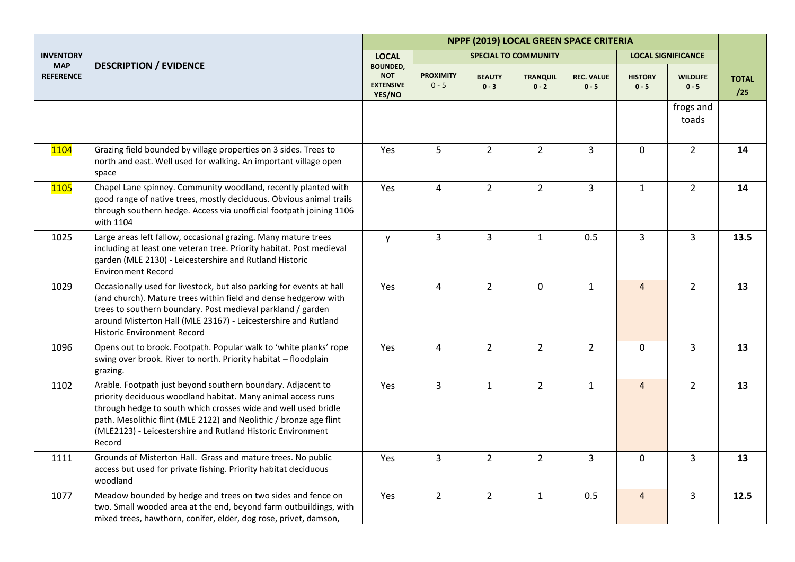|                                |                                                                                                                                                                                                                                                                                                                                              |                                                             |                             |                          |                             | NPPF (2019) LOCAL GREEN SPACE CRITERIA |                           |                            |                     |
|--------------------------------|----------------------------------------------------------------------------------------------------------------------------------------------------------------------------------------------------------------------------------------------------------------------------------------------------------------------------------------------|-------------------------------------------------------------|-----------------------------|--------------------------|-----------------------------|----------------------------------------|---------------------------|----------------------------|---------------------|
| <b>INVENTORY</b>               |                                                                                                                                                                                                                                                                                                                                              | <b>LOCAL</b>                                                |                             |                          | <b>SPECIAL TO COMMUNITY</b> |                                        |                           | <b>LOCAL SIGNIFICANCE</b>  |                     |
| <b>MAP</b><br><b>REFERENCE</b> | <b>DESCRIPTION / EVIDENCE</b>                                                                                                                                                                                                                                                                                                                | <b>BOUNDED,</b><br><b>NOT</b><br><b>EXTENSIVE</b><br>YES/NO | <b>PROXIMITY</b><br>$0 - 5$ | <b>BEAUTY</b><br>$0 - 3$ | <b>TRANQUIL</b><br>$0 - 2$  | <b>REC. VALUE</b><br>$0 - 5$           | <b>HISTORY</b><br>$0 - 5$ | <b>WILDLIFE</b><br>$0 - 5$ | <b>TOTAL</b><br>/25 |
|                                |                                                                                                                                                                                                                                                                                                                                              |                                                             |                             |                          |                             |                                        |                           | frogs and<br>toads         |                     |
| <b>1104</b>                    | Grazing field bounded by village properties on 3 sides. Trees to<br>north and east. Well used for walking. An important village open<br>space                                                                                                                                                                                                | Yes                                                         | 5                           | $\overline{2}$           | $\overline{2}$              | $\overline{3}$                         | 0                         | $\overline{2}$             | 14                  |
| <b>1105</b>                    | Chapel Lane spinney. Community woodland, recently planted with<br>good range of native trees, mostly deciduous. Obvious animal trails<br>through southern hedge. Access via unofficial footpath joining 1106<br>with 1104                                                                                                                    | Yes                                                         | $\overline{4}$              | $\overline{2}$           | $\overline{2}$              | $\overline{3}$                         | $\mathbf{1}$              | $\overline{2}$             | 14                  |
| 1025                           | Large areas left fallow, occasional grazing. Many mature trees<br>including at least one veteran tree. Priority habitat. Post medieval<br>garden (MLE 2130) - Leicestershire and Rutland Historic<br><b>Environment Record</b>                                                                                                               | y                                                           | 3                           | 3                        | $\mathbf{1}$                | 0.5                                    | 3                         | 3                          | 13.5                |
| 1029                           | Occasionally used for livestock, but also parking for events at hall<br>(and church). Mature trees within field and dense hedgerow with<br>trees to southern boundary. Post medieval parkland / garden<br>around Misterton Hall (MLE 23167) - Leicestershire and Rutland<br><b>Historic Environment Record</b>                               | Yes                                                         | $\overline{4}$              | $\overline{2}$           | $\mathbf 0$                 | $\mathbf{1}$                           | $\overline{4}$            | $\overline{2}$             | 13                  |
| 1096                           | Opens out to brook. Footpath. Popular walk to 'white planks' rope<br>swing over brook. River to north. Priority habitat - floodplain<br>grazing.                                                                                                                                                                                             | Yes                                                         | $\overline{4}$              | $2^{\circ}$              | $\overline{2}$              | $2^{\circ}$                            | $\mathbf 0$               | $\overline{3}$             | 13                  |
| 1102                           | Arable. Footpath just beyond southern boundary. Adjacent to<br>priority deciduous woodland habitat. Many animal access runs<br>through hedge to south which crosses wide and well used bridle<br>path. Mesolithic flint (MLE 2122) and Neolithic / bronze age flint<br>(MLE2123) - Leicestershire and Rutland Historic Environment<br>Record | Yes                                                         | $\overline{3}$              | $\mathbf{1}$             | $\overline{2}$              | $\mathbf{1}$                           | $\overline{4}$            | $\overline{2}$             | 13                  |
| 1111                           | Grounds of Misterton Hall. Grass and mature trees. No public<br>access but used for private fishing. Priority habitat deciduous<br>woodland                                                                                                                                                                                                  | Yes                                                         | $\overline{3}$              | $\overline{2}$           | $\overline{2}$              | $\overline{3}$                         | $\mathbf 0$               | $\overline{3}$             | 13                  |
| 1077                           | Meadow bounded by hedge and trees on two sides and fence on<br>two. Small wooded area at the end, beyond farm outbuildings, with<br>mixed trees, hawthorn, conifer, elder, dog rose, privet, damson,                                                                                                                                         | Yes                                                         | $\overline{2}$              | $\overline{2}$           | $\mathbf{1}$                | 0.5                                    | $\overline{4}$            | 3                          | 12.5                |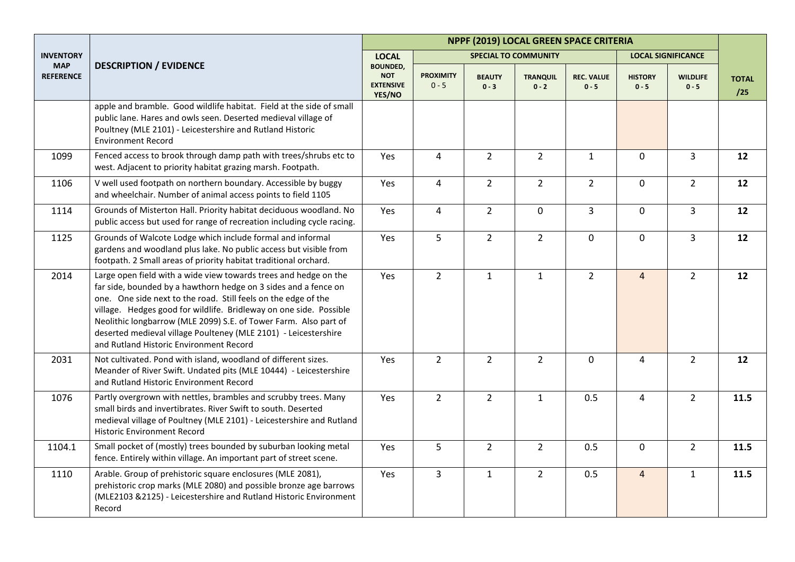|                                |                                                                                                                                                                                                                                                                                                                                                                                                                                                               | NPPF (2019) LOCAL GREEN SPACE CRITERIA                      |                             |                          |                             |                              |                           |                            |                     |  |
|--------------------------------|---------------------------------------------------------------------------------------------------------------------------------------------------------------------------------------------------------------------------------------------------------------------------------------------------------------------------------------------------------------------------------------------------------------------------------------------------------------|-------------------------------------------------------------|-----------------------------|--------------------------|-----------------------------|------------------------------|---------------------------|----------------------------|---------------------|--|
| <b>INVENTORY</b>               |                                                                                                                                                                                                                                                                                                                                                                                                                                                               | <b>LOCAL</b>                                                |                             |                          | <b>SPECIAL TO COMMUNITY</b> |                              |                           | <b>LOCAL SIGNIFICANCE</b>  |                     |  |
| <b>MAP</b><br><b>REFERENCE</b> | <b>DESCRIPTION / EVIDENCE</b>                                                                                                                                                                                                                                                                                                                                                                                                                                 | <b>BOUNDED,</b><br><b>NOT</b><br><b>EXTENSIVE</b><br>YES/NO | <b>PROXIMITY</b><br>$0 - 5$ | <b>BEAUTY</b><br>$0 - 3$ | <b>TRANQUIL</b><br>$0 - 2$  | <b>REC. VALUE</b><br>$0 - 5$ | <b>HISTORY</b><br>$0 - 5$ | <b>WILDLIFE</b><br>$0 - 5$ | <b>TOTAL</b><br>/25 |  |
|                                | apple and bramble. Good wildlife habitat. Field at the side of small<br>public lane. Hares and owls seen. Deserted medieval village of<br>Poultney (MLE 2101) - Leicestershire and Rutland Historic<br><b>Environment Record</b>                                                                                                                                                                                                                              |                                                             |                             |                          |                             |                              |                           |                            |                     |  |
| 1099                           | Fenced access to brook through damp path with trees/shrubs etc to<br>west. Adjacent to priority habitat grazing marsh. Footpath.                                                                                                                                                                                                                                                                                                                              | Yes                                                         | $\overline{4}$              | $\overline{2}$           | $\overline{2}$              | $\mathbf{1}$                 | $\mathbf 0$               | $\overline{3}$             | 12                  |  |
| 1106                           | V well used footpath on northern boundary. Accessible by buggy<br>and wheelchair. Number of animal access points to field 1105                                                                                                                                                                                                                                                                                                                                | Yes                                                         | $\overline{4}$              | $\overline{2}$           | $\overline{2}$              | $2^{\circ}$                  | $\pmb{0}$                 | $\overline{2}$             | 12                  |  |
| 1114                           | Grounds of Misterton Hall. Priority habitat deciduous woodland. No<br>public access but used for range of recreation including cycle racing.                                                                                                                                                                                                                                                                                                                  | Yes                                                         | 4                           | $\overline{2}$           | $\mathbf 0$                 | $\overline{3}$               | $\mathbf 0$               | $\overline{3}$             | 12                  |  |
| 1125                           | Grounds of Walcote Lodge which include formal and informal<br>gardens and woodland plus lake. No public access but visible from<br>footpath. 2 Small areas of priority habitat traditional orchard.                                                                                                                                                                                                                                                           | Yes                                                         | 5                           | $\overline{2}$           | $\overline{2}$              | $\mathbf 0$                  | $\mathbf 0$               | $\overline{3}$             | 12                  |  |
| 2014                           | Large open field with a wide view towards trees and hedge on the<br>far side, bounded by a hawthorn hedge on 3 sides and a fence on<br>one. One side next to the road. Still feels on the edge of the<br>village. Hedges good for wildlife. Bridleway on one side. Possible<br>Neolithic longbarrow (MLE 2099) S.E. of Tower Farm. Also part of<br>deserted medieval village Poulteney (MLE 2101) - Leicestershire<br>and Rutland Historic Environment Record | Yes                                                         | $\overline{2}$              | $\mathbf{1}$             | $\mathbf{1}$                | $\overline{2}$               | $\overline{4}$            | $\overline{2}$             | 12                  |  |
| 2031                           | Not cultivated. Pond with island, woodland of different sizes.<br>Meander of River Swift. Undated pits (MLE 10444) - Leicestershire<br>and Rutland Historic Environment Record                                                                                                                                                                                                                                                                                | Yes                                                         | $\overline{2}$              | $\overline{2}$           | $\overline{2}$              | $\mathbf 0$                  | 4                         | $\overline{2}$             | 12                  |  |
| 1076                           | Partly overgrown with nettles, brambles and scrubby trees. Many<br>small birds and invertibrates. River Swift to south. Deserted<br>medieval village of Poultney (MLE 2101) - Leicestershire and Rutland<br><b>Historic Environment Record</b>                                                                                                                                                                                                                | Yes                                                         | $\overline{2}$              | $\overline{2}$           | $\mathbf 1$                 | 0.5                          | $\overline{4}$            | $\overline{2}$             | 11.5                |  |
| 1104.1                         | Small pocket of (mostly) trees bounded by suburban looking metal<br>fence. Entirely within village. An important part of street scene.                                                                                                                                                                                                                                                                                                                        | Yes                                                         | 5                           | $\overline{2}$           | $\overline{2}$              | 0.5                          | $\mathbf 0$               | $\overline{2}$             | 11.5                |  |
| 1110                           | Arable. Group of prehistoric square enclosures (MLE 2081),<br>prehistoric crop marks (MLE 2080) and possible bronze age barrows<br>(MLE2103 &2125) - Leicestershire and Rutland Historic Environment<br>Record                                                                                                                                                                                                                                                | Yes                                                         | $\overline{3}$              | $\mathbf{1}$             | $\overline{2}$              | 0.5                          | $\overline{4}$            | $\mathbf{1}$               | 11.5                |  |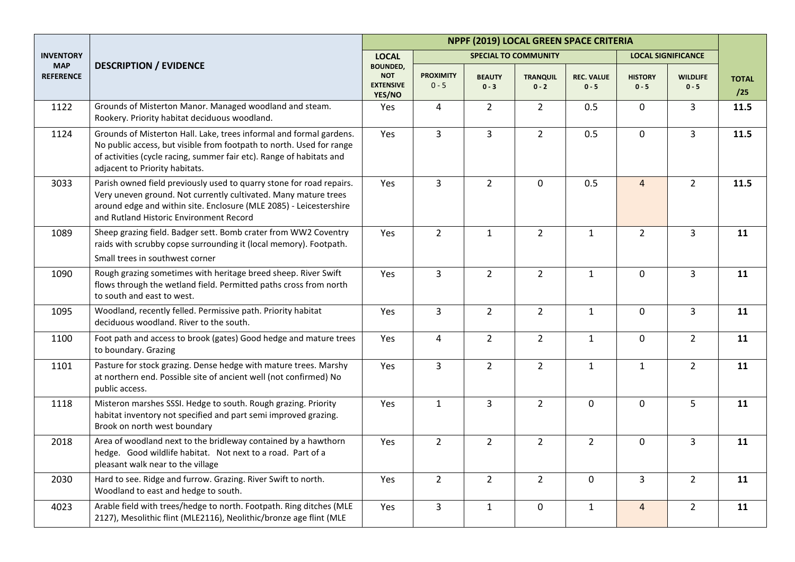|                                |                                                                                                                                                                                                                                                          | NPPF (2019) LOCAL GREEN SPACE CRITERIA                      |                             |                          |                             |                              |                           |                            |                     |  |
|--------------------------------|----------------------------------------------------------------------------------------------------------------------------------------------------------------------------------------------------------------------------------------------------------|-------------------------------------------------------------|-----------------------------|--------------------------|-----------------------------|------------------------------|---------------------------|----------------------------|---------------------|--|
| <b>INVENTORY</b>               |                                                                                                                                                                                                                                                          | <b>LOCAL</b>                                                |                             |                          | <b>SPECIAL TO COMMUNITY</b> |                              |                           | <b>LOCAL SIGNIFICANCE</b>  |                     |  |
| <b>MAP</b><br><b>REFERENCE</b> | <b>DESCRIPTION / EVIDENCE</b>                                                                                                                                                                                                                            | <b>BOUNDED,</b><br><b>NOT</b><br><b>EXTENSIVE</b><br>YES/NO | <b>PROXIMITY</b><br>$0 - 5$ | <b>BEAUTY</b><br>$0 - 3$ | <b>TRANQUIL</b><br>$0 - 2$  | <b>REC. VALUE</b><br>$0 - 5$ | <b>HISTORY</b><br>$0 - 5$ | <b>WILDLIFE</b><br>$0 - 5$ | <b>TOTAL</b><br>/25 |  |
| 1122                           | Grounds of Misterton Manor. Managed woodland and steam.<br>Rookery. Priority habitat deciduous woodland.                                                                                                                                                 | Yes                                                         | 4                           | $\overline{2}$           | $\overline{2}$              | 0.5                          | 0                         | $\mathbf{3}$               | 11.5                |  |
| 1124                           | Grounds of Misterton Hall. Lake, trees informal and formal gardens.<br>No public access, but visible from footpath to north. Used for range<br>of activities (cycle racing, summer fair etc). Range of habitats and<br>adjacent to Priority habitats.    | Yes                                                         | 3                           | $\overline{3}$           | $\overline{2}$              | 0.5                          | $\overline{0}$            | $\overline{3}$             | 11.5                |  |
| 3033                           | Parish owned field previously used to quarry stone for road repairs.<br>Very uneven ground. Not currently cultivated. Many mature trees<br>around edge and within site. Enclosure (MLE 2085) - Leicestershire<br>and Rutland Historic Environment Record | Yes                                                         | 3                           | $\overline{2}$           | $\mathbf 0$                 | 0.5                          | $\overline{4}$            | $2^{\circ}$                | 11.5                |  |
| 1089                           | Sheep grazing field. Badger sett. Bomb crater from WW2 Coventry<br>raids with scrubby copse surrounding it (local memory). Footpath.<br>Small trees in southwest corner                                                                                  | Yes                                                         | $\overline{2}$              | $\mathbf{1}$             | $\overline{2}$              | $\mathbf{1}$                 | $\overline{2}$            | 3                          | 11                  |  |
| 1090                           | Rough grazing sometimes with heritage breed sheep. River Swift<br>flows through the wetland field. Permitted paths cross from north<br>to south and east to west.                                                                                        | Yes                                                         | 3                           | $\overline{2}$           | $\overline{2}$              | $\mathbf{1}$                 | 0                         | $\mathbf{3}$               | 11                  |  |
| 1095                           | Woodland, recently felled. Permissive path. Priority habitat<br>deciduous woodland. River to the south.                                                                                                                                                  | Yes                                                         | 3                           | $\overline{2}$           | $\overline{2}$              | $\mathbf{1}$                 | 0                         | $\overline{3}$             | 11                  |  |
| 1100                           | Foot path and access to brook (gates) Good hedge and mature trees<br>to boundary. Grazing                                                                                                                                                                | Yes                                                         | $\overline{4}$              | $\overline{2}$           | $\overline{2}$              | $\mathbf{1}$                 | $\mathbf 0$               | $\overline{2}$             | 11                  |  |
| 1101                           | Pasture for stock grazing. Dense hedge with mature trees. Marshy<br>at northern end. Possible site of ancient well (not confirmed) No<br>public access.                                                                                                  | Yes                                                         | 3                           | $\overline{2}$           | $\overline{2}$              | $\mathbf{1}$                 | $\mathbf{1}$              | $2^{\circ}$                | 11                  |  |
| 1118                           | Misteron marshes SSSI. Hedge to south. Rough grazing. Priority<br>habitat inventory not specified and part semi improved grazing.<br>Brook on north west boundary                                                                                        | Yes                                                         | $\mathbf{1}$                | $\overline{\mathbf{3}}$  | $\overline{2}$              | $\mathbf 0$                  | 0                         | 5                          | 11                  |  |
| 2018                           | Area of woodland next to the bridleway contained by a hawthorn<br>hedge. Good wildlife habitat. Not next to a road. Part of a<br>pleasant walk near to the village                                                                                       | Yes                                                         | $\overline{2}$              | $\overline{2}$           | $\overline{2}$              | $\overline{2}$               | 0                         | 3                          | 11                  |  |
| 2030                           | Hard to see. Ridge and furrow. Grazing. River Swift to north.<br>Woodland to east and hedge to south.                                                                                                                                                    | Yes                                                         | $\overline{2}$              | $\overline{2}$           | $\overline{2}$              | $\mathbf 0$                  | 3                         | $\overline{2}$             | 11                  |  |
| 4023                           | Arable field with trees/hedge to north. Footpath. Ring ditches (MLE<br>2127), Mesolithic flint (MLE2116), Neolithic/bronze age flint (MLE                                                                                                                | Yes                                                         | $\mathbf{3}$                | $\mathbf{1}$             | $\mathbf 0$                 | $\mathbf{1}$                 | $\overline{4}$            | $2^{\circ}$                | 11                  |  |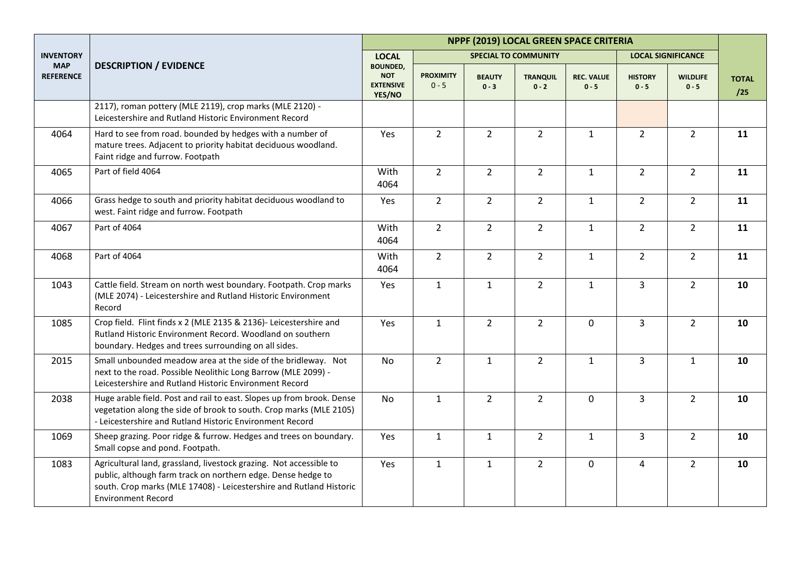|                                |                                                                                                                                                                                                                                        |                                                             |                             |                          |                             | NPPF (2019) LOCAL GREEN SPACE CRITERIA |                           |                            |                     |
|--------------------------------|----------------------------------------------------------------------------------------------------------------------------------------------------------------------------------------------------------------------------------------|-------------------------------------------------------------|-----------------------------|--------------------------|-----------------------------|----------------------------------------|---------------------------|----------------------------|---------------------|
| <b>INVENTORY</b>               |                                                                                                                                                                                                                                        | <b>LOCAL</b>                                                |                             |                          | <b>SPECIAL TO COMMUNITY</b> |                                        | <b>LOCAL SIGNIFICANCE</b> |                            |                     |
| <b>MAP</b><br><b>REFERENCE</b> | <b>DESCRIPTION / EVIDENCE</b>                                                                                                                                                                                                          | <b>BOUNDED,</b><br><b>NOT</b><br><b>EXTENSIVE</b><br>YES/NO | <b>PROXIMITY</b><br>$0 - 5$ | <b>BEAUTY</b><br>$0 - 3$ | <b>TRANQUIL</b><br>$0 - 2$  | <b>REC. VALUE</b><br>$0 - 5$           | <b>HISTORY</b><br>$0 - 5$ | <b>WILDLIFE</b><br>$0 - 5$ | <b>TOTAL</b><br>/25 |
|                                | 2117), roman pottery (MLE 2119), crop marks (MLE 2120) -<br>Leicestershire and Rutland Historic Environment Record                                                                                                                     |                                                             |                             |                          |                             |                                        |                           |                            |                     |
| 4064                           | Hard to see from road. bounded by hedges with a number of<br>mature trees. Adjacent to priority habitat deciduous woodland.<br>Faint ridge and furrow. Footpath                                                                        | Yes                                                         | $\overline{2}$              | $\overline{2}$           | $\overline{2}$              | $\mathbf{1}$                           | $2^{\circ}$               | $2^{\circ}$                | 11                  |
| 4065                           | Part of field 4064                                                                                                                                                                                                                     | With<br>4064                                                | $\overline{2}$              | $2^{\circ}$              | $\overline{2}$              | $\mathbf{1}$                           | $\overline{2}$            | $2^{\circ}$                | 11                  |
| 4066                           | Grass hedge to south and priority habitat deciduous woodland to<br>west. Faint ridge and furrow. Footpath                                                                                                                              | Yes                                                         | $\overline{2}$              | $\overline{2}$           | $\overline{2}$              | $\mathbf{1}$                           | $2^{\circ}$               | $2^{\circ}$                | 11                  |
| 4067                           | Part of 4064                                                                                                                                                                                                                           | With<br>4064                                                | $\overline{2}$              | $\overline{2}$           | $\overline{2}$              | $\mathbf{1}$                           | $\overline{2}$            | 2 <sup>1</sup>             | 11                  |
| 4068                           | Part of 4064                                                                                                                                                                                                                           | With<br>4064                                                | $\overline{2}$              | $\overline{2}$           | $\overline{2}$              | $\mathbf{1}$                           | $2^{\circ}$               | $\overline{2}$             | 11                  |
| 1043                           | Cattle field. Stream on north west boundary. Footpath. Crop marks<br>(MLE 2074) - Leicestershire and Rutland Historic Environment<br>Record                                                                                            | Yes                                                         | $\mathbf{1}$                | $\mathbf{1}$             | $\overline{2}$              | $\mathbf{1}$                           | $\overline{3}$            | $2^{\circ}$                | 10                  |
| 1085                           | Crop field. Flint finds x 2 (MLE 2135 & 2136)- Leicestershire and<br>Rutland Historic Environment Record. Woodland on southern<br>boundary. Hedges and trees surrounding on all sides.                                                 | Yes                                                         | $\mathbf{1}$                | $\overline{2}$           | $\overline{2}$              | $\mathbf 0$                            | $\overline{3}$            | $\overline{2}$             | 10                  |
| 2015                           | Small unbounded meadow area at the side of the bridleway. Not<br>next to the road. Possible Neolithic Long Barrow (MLE 2099) -<br>Leicestershire and Rutland Historic Environment Record                                               | <b>No</b>                                                   | $\overline{2}$              | $\mathbf{1}$             | $\overline{2}$              | $\mathbf{1}$                           | $\overline{3}$            | $\mathbf{1}$               | 10                  |
| 2038                           | Huge arable field. Post and rail to east. Slopes up from brook. Dense<br>vegetation along the side of brook to south. Crop marks (MLE 2105)<br>- Leicestershire and Rutland Historic Environment Record                                | <b>No</b>                                                   | $\mathbf{1}$                | $\overline{2}$           | $\overline{2}$              | $\mathbf 0$                            | $\overline{3}$            | $\overline{2}$             | 10                  |
| 1069                           | Sheep grazing. Poor ridge & furrow. Hedges and trees on boundary.<br>Small copse and pond. Footpath.                                                                                                                                   | Yes                                                         | $\mathbf{1}$                | $\mathbf{1}$             | $\overline{2}$              | $\mathbf{1}$                           | $\overline{3}$            | 2 <sup>1</sup>             | 10                  |
| 1083                           | Agricultural land, grassland, livestock grazing. Not accessible to<br>public, although farm track on northern edge. Dense hedge to<br>south. Crop marks (MLE 17408) - Leicestershire and Rutland Historic<br><b>Environment Record</b> | Yes                                                         | $\mathbf{1}$                | $\mathbf{1}$             | $\overline{2}$              | $\mathbf 0$                            | 4                         | $2^{\circ}$                | 10                  |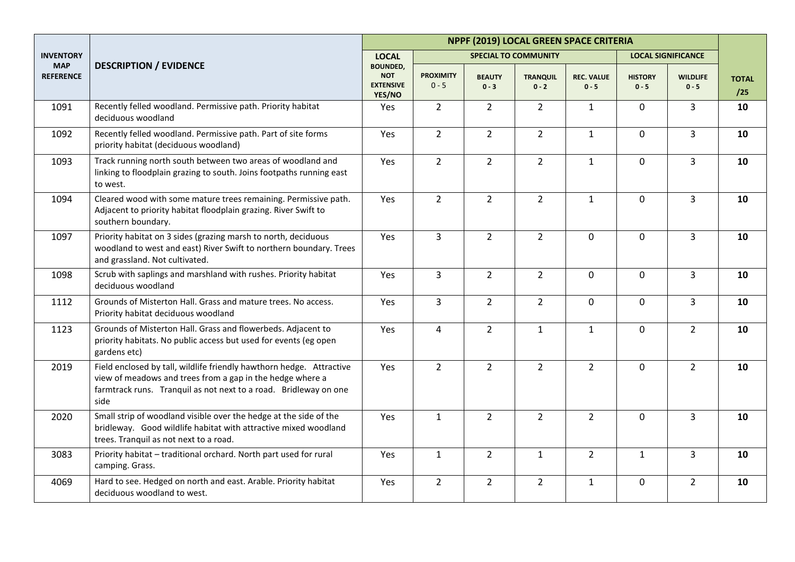|                                |                                                                                                                                                                                                               | NPPF (2019) LOCAL GREEN SPACE CRITERIA                      |                             |                          |                             |                              |                           |                            |                     |  |
|--------------------------------|---------------------------------------------------------------------------------------------------------------------------------------------------------------------------------------------------------------|-------------------------------------------------------------|-----------------------------|--------------------------|-----------------------------|------------------------------|---------------------------|----------------------------|---------------------|--|
| <b>INVENTORY</b>               |                                                                                                                                                                                                               | <b>LOCAL</b>                                                |                             |                          | <b>SPECIAL TO COMMUNITY</b> |                              |                           | <b>LOCAL SIGNIFICANCE</b>  |                     |  |
| <b>MAP</b><br><b>REFERENCE</b> | <b>DESCRIPTION / EVIDENCE</b>                                                                                                                                                                                 | <b>BOUNDED,</b><br><b>NOT</b><br><b>EXTENSIVE</b><br>YES/NO | <b>PROXIMITY</b><br>$0 - 5$ | <b>BEAUTY</b><br>$0 - 3$ | <b>TRANQUIL</b><br>$0 - 2$  | <b>REC. VALUE</b><br>$0 - 5$ | <b>HISTORY</b><br>$0 - 5$ | <b>WILDLIFE</b><br>$0 - 5$ | <b>TOTAL</b><br>/25 |  |
| 1091                           | Recently felled woodland. Permissive path. Priority habitat<br>deciduous woodland                                                                                                                             | Yes                                                         | $\overline{2}$              | $\overline{2}$           | $\overline{2}$              | $\mathbf{1}$                 | 0                         | $\overline{3}$             | 10                  |  |
| 1092                           | Recently felled woodland. Permissive path. Part of site forms<br>priority habitat (deciduous woodland)                                                                                                        | Yes                                                         | $\overline{2}$              | $\overline{2}$           | $\overline{2}$              | $\mathbf{1}$                 | $\mathbf 0$               | $\overline{3}$             | 10                  |  |
| 1093                           | Track running north south between two areas of woodland and<br>linking to floodplain grazing to south. Joins footpaths running east<br>to west.                                                               | Yes                                                         | $\overline{2}$              | $\overline{2}$           | $\overline{2}$              | $\mathbf{1}$                 | 0                         | 3                          | 10                  |  |
| 1094                           | Cleared wood with some mature trees remaining. Permissive path.<br>Adjacent to priority habitat floodplain grazing. River Swift to<br>southern boundary.                                                      | Yes                                                         | $\overline{2}$              | $\overline{2}$           | $\overline{2}$              | $\mathbf{1}$                 | $\mathbf 0$               | $\overline{3}$             | 10                  |  |
| 1097                           | Priority habitat on 3 sides (grazing marsh to north, deciduous<br>woodland to west and east) River Swift to northern boundary. Trees<br>and grassland. Not cultivated.                                        | Yes                                                         | 3                           | $2^{\circ}$              | $\overline{2}$              | $\mathbf 0$                  | $\mathbf 0$               | $\overline{3}$             | 10                  |  |
| 1098                           | Scrub with saplings and marshland with rushes. Priority habitat<br>deciduous woodland                                                                                                                         | Yes                                                         | 3                           | $2^{\circ}$              | $\overline{2}$              | $\mathbf 0$                  | $\Omega$                  | $\overline{3}$             | 10                  |  |
| 1112                           | Grounds of Misterton Hall. Grass and mature trees. No access.<br>Priority habitat deciduous woodland                                                                                                          | Yes                                                         | $\overline{3}$              | $2^{\circ}$              | $\overline{2}$              | $\mathbf 0$                  | $\overline{0}$            | $\overline{3}$             | 10                  |  |
| 1123                           | Grounds of Misterton Hall. Grass and flowerbeds. Adjacent to<br>priority habitats. No public access but used for events (eg open<br>gardens etc)                                                              | Yes                                                         | $\overline{4}$              | $\overline{2}$           | $\mathbf{1}$                | $\mathbf{1}$                 | 0                         | $\overline{2}$             | 10                  |  |
| 2019                           | Field enclosed by tall, wildlife friendly hawthorn hedge. Attractive<br>view of meadows and trees from a gap in the hedge where a<br>farmtrack runs. Tranquil as not next to a road. Bridleway on one<br>side | Yes                                                         | $\overline{2}$              | $\overline{2}$           | $\overline{2}$              | $\overline{2}$               | 0                         | $\overline{2}$             | 10                  |  |
| 2020                           | Small strip of woodland visible over the hedge at the side of the<br>bridleway. Good wildlife habitat with attractive mixed woodland<br>trees. Tranquil as not next to a road.                                | Yes                                                         | $\mathbf{1}$                | $\overline{2}$           | $\overline{2}$              | $\overline{2}$               | 0                         | $\overline{3}$             | 10                  |  |
| 3083                           | Priority habitat - traditional orchard. North part used for rural<br>camping. Grass.                                                                                                                          | Yes                                                         | $\mathbf{1}$                | $\overline{2}$           | $\mathbf{1}$                | $\overline{2}$               | $\mathbf{1}$              | $\overline{3}$             | 10                  |  |
| 4069                           | Hard to see. Hedged on north and east. Arable. Priority habitat<br>deciduous woodland to west.                                                                                                                | Yes                                                         | $\overline{2}$              | $\overline{2}$           | $\overline{2}$              | $\mathbf{1}$                 | 0                         | $\overline{2}$             | 10                  |  |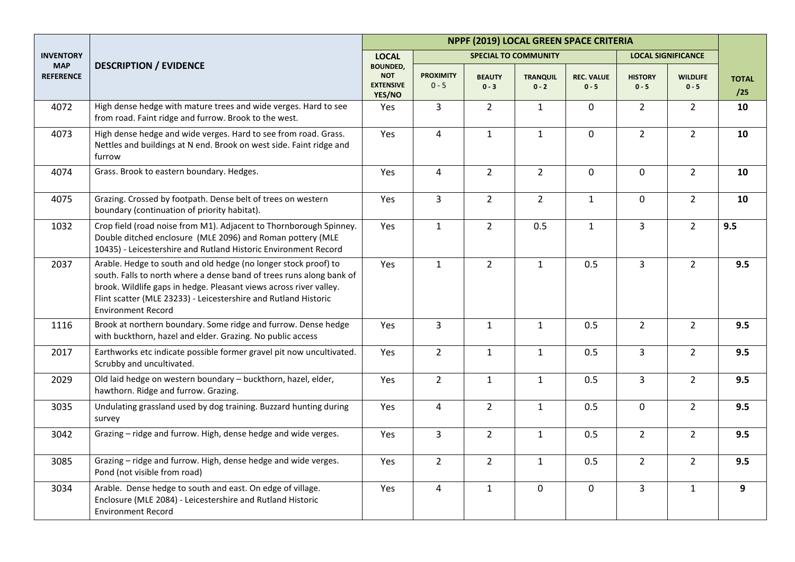|                                |                                                                                                                                                                                                                                                                                                               | NPPF (2019) LOCAL GREEN SPACE CRITERIA                      |                             |                          |                             |                              |                           |                            |                     |  |
|--------------------------------|---------------------------------------------------------------------------------------------------------------------------------------------------------------------------------------------------------------------------------------------------------------------------------------------------------------|-------------------------------------------------------------|-----------------------------|--------------------------|-----------------------------|------------------------------|---------------------------|----------------------------|---------------------|--|
| <b>INVENTORY</b>               |                                                                                                                                                                                                                                                                                                               | <b>LOCAL</b>                                                |                             |                          | <b>SPECIAL TO COMMUNITY</b> |                              |                           | <b>LOCAL SIGNIFICANCE</b>  |                     |  |
| <b>MAP</b><br><b>REFERENCE</b> | <b>DESCRIPTION / EVIDENCE</b>                                                                                                                                                                                                                                                                                 | <b>BOUNDED.</b><br><b>NOT</b><br><b>EXTENSIVE</b><br>YES/NO | <b>PROXIMITY</b><br>$0 - 5$ | <b>BEAUTY</b><br>$0 - 3$ | <b>TRANQUIL</b><br>$0 - 2$  | <b>REC. VALUE</b><br>$0 - 5$ | <b>HISTORY</b><br>$0 - 5$ | <b>WILDLIFE</b><br>$0 - 5$ | <b>TOTAL</b><br>/25 |  |
| 4072                           | High dense hedge with mature trees and wide verges. Hard to see<br>from road. Faint ridge and furrow. Brook to the west.                                                                                                                                                                                      | Yes                                                         | $\overline{3}$              | $\overline{2}$           | $\mathbf{1}$                | $\mathbf 0$                  | $\overline{2}$            | $\overline{2}$             | 10                  |  |
| 4073                           | High dense hedge and wide verges. Hard to see from road. Grass.<br>Nettles and buildings at N end. Brook on west side. Faint ridge and<br>furrow                                                                                                                                                              | Yes                                                         | $\overline{4}$              | $\mathbf{1}$             | $\mathbf{1}$                | $\mathbf 0$                  | $\overline{2}$            | $\overline{2}$             | 10                  |  |
| 4074                           | Grass. Brook to eastern boundary. Hedges.                                                                                                                                                                                                                                                                     | Yes                                                         | $\overline{4}$              | $\overline{2}$           | $\overline{2}$              | $\mathbf 0$                  | $\mathbf 0$               | $\overline{2}$             | 10                  |  |
| 4075                           | Grazing. Crossed by footpath. Dense belt of trees on western<br>boundary (continuation of priority habitat).                                                                                                                                                                                                  | Yes                                                         | $\overline{3}$              | $\overline{2}$           | $\overline{2}$              | $\mathbf{1}$                 | $\mathbf 0$               | $\overline{2}$             | 10                  |  |
| 1032                           | Crop field (road noise from M1). Adjacent to Thornborough Spinney.<br>Double ditched enclosure (MLE 2096) and Roman pottery (MLE<br>10435) - Leicestershire and Rutland Historic Environment Record                                                                                                           | Yes                                                         | $\mathbf{1}$                | $2^{\circ}$              | 0.5                         | $\mathbf{1}$                 | $\overline{3}$            | $\overline{2}$             | 9.5                 |  |
| 2037                           | Arable. Hedge to south and old hedge (no longer stock proof) to<br>south. Falls to north where a dense band of trees runs along bank of<br>brook. Wildlife gaps in hedge. Pleasant views across river valley.<br>Flint scatter (MLE 23233) - Leicestershire and Rutland Historic<br><b>Environment Record</b> | Yes                                                         | $\mathbf{1}$                | $2^{\circ}$              | $1\,$                       | 0.5                          | $\overline{3}$            | $\overline{2}$             | 9.5                 |  |
| 1116                           | Brook at northern boundary. Some ridge and furrow. Dense hedge<br>with buckthorn, hazel and elder. Grazing. No public access                                                                                                                                                                                  | Yes                                                         | $\overline{3}$              | $\mathbf{1}$             | $\mathbf{1}$                | 0.5                          | $\overline{2}$            | $\overline{2}$             | 9.5                 |  |
| 2017                           | Earthworks etc indicate possible former gravel pit now uncultivated.<br>Scrubby and uncultivated.                                                                                                                                                                                                             | Yes                                                         | $\overline{2}$              | $\mathbf{1}$             | $\mathbf{1}$                | 0.5                          | $\overline{3}$            | $2^{\circ}$                | 9.5                 |  |
| 2029                           | Old laid hedge on western boundary - buckthorn, hazel, elder,<br>hawthorn. Ridge and furrow. Grazing.                                                                                                                                                                                                         | Yes                                                         | $\overline{2}$              | $\mathbf{1}$             | $\mathbf{1}$                | 0.5                          | $\overline{3}$            | 2 <sup>1</sup>             | 9.5                 |  |
| 3035                           | Undulating grassland used by dog training. Buzzard hunting during<br>survey                                                                                                                                                                                                                                   | Yes                                                         | 4                           | $\overline{2}$           | $1\,$                       | 0.5                          | $\mathbf 0$               | $\overline{2}$             | 9.5                 |  |
| 3042                           | Grazing - ridge and furrow. High, dense hedge and wide verges.                                                                                                                                                                                                                                                | Yes                                                         | $\overline{3}$              | $\overline{2}$           | $\mathbf{1}$                | 0.5                          | $\overline{2}$            | $\overline{2}$             | 9.5                 |  |
| 3085                           | Grazing - ridge and furrow. High, dense hedge and wide verges.<br>Pond (not visible from road)                                                                                                                                                                                                                | Yes                                                         | $\overline{2}$              | $2^{\circ}$              | $\mathbf{1}$                | 0.5                          | $\overline{2}$            | $\overline{2}$             | 9.5                 |  |
| 3034                           | Arable. Dense hedge to south and east. On edge of village.<br>Enclosure (MLE 2084) - Leicestershire and Rutland Historic<br><b>Environment Record</b>                                                                                                                                                         | Yes                                                         | 4                           | $\mathbf{1}$             | $\mathbf 0$                 | $\mathbf 0$                  | $\mathbf{3}$              | $\mathbf{1}$               | 9                   |  |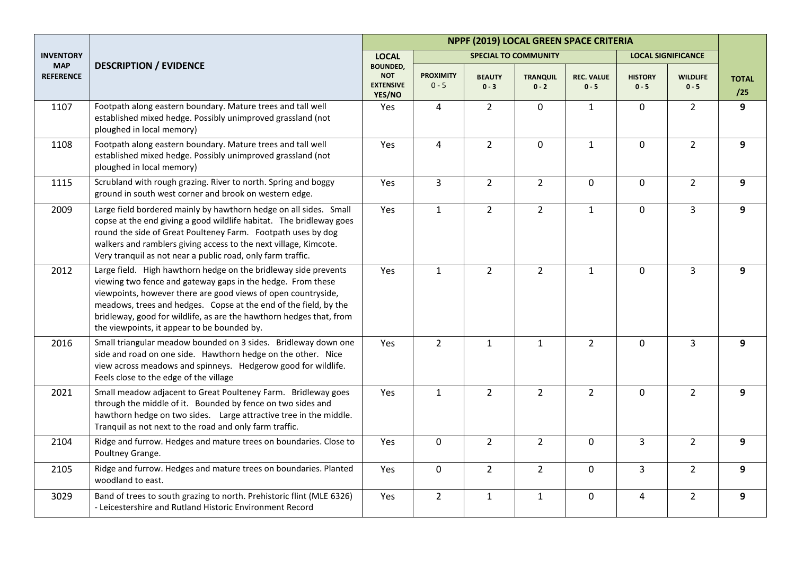|                                |                                                                                                                                                                                                                                                                                                                                                                                           | NPPF (2019) LOCAL GREEN SPACE CRITERIA                      |                             |                          |                             |                              |                           |                            |                     |  |
|--------------------------------|-------------------------------------------------------------------------------------------------------------------------------------------------------------------------------------------------------------------------------------------------------------------------------------------------------------------------------------------------------------------------------------------|-------------------------------------------------------------|-----------------------------|--------------------------|-----------------------------|------------------------------|---------------------------|----------------------------|---------------------|--|
| <b>INVENTORY</b>               |                                                                                                                                                                                                                                                                                                                                                                                           | <b>LOCAL</b>                                                |                             |                          | <b>SPECIAL TO COMMUNITY</b> |                              |                           | <b>LOCAL SIGNIFICANCE</b>  |                     |  |
| <b>MAP</b><br><b>REFERENCE</b> | <b>DESCRIPTION / EVIDENCE</b>                                                                                                                                                                                                                                                                                                                                                             | <b>BOUNDED,</b><br><b>NOT</b><br><b>EXTENSIVE</b><br>YES/NO | <b>PROXIMITY</b><br>$0 - 5$ | <b>BEAUTY</b><br>$0 - 3$ | <b>TRANQUIL</b><br>$0 - 2$  | <b>REC. VALUE</b><br>$0 - 5$ | <b>HISTORY</b><br>$0 - 5$ | <b>WILDLIFE</b><br>$0 - 5$ | <b>TOTAL</b><br>/25 |  |
| 1107                           | Footpath along eastern boundary. Mature trees and tall well<br>established mixed hedge. Possibly unimproved grassland (not<br>ploughed in local memory)                                                                                                                                                                                                                                   | Yes                                                         | $\overline{4}$              | $\overline{2}$           | $\mathbf 0$                 | $\mathbf{1}$                 | 0                         | $\overline{2}$             | 9                   |  |
| 1108                           | Footpath along eastern boundary. Mature trees and tall well<br>established mixed hedge. Possibly unimproved grassland (not<br>ploughed in local memory)                                                                                                                                                                                                                                   | Yes                                                         | $\overline{4}$              | $\overline{2}$           | $\mathbf 0$                 | $\mathbf{1}$                 | 0                         | $\overline{2}$             | 9                   |  |
| 1115                           | Scrubland with rough grazing. River to north. Spring and boggy<br>ground in south west corner and brook on western edge.                                                                                                                                                                                                                                                                  | Yes                                                         | $\overline{3}$              | $\overline{2}$           | $\overline{2}$              | $\mathbf 0$                  | $\mathbf 0$               | $\overline{2}$             | 9                   |  |
| 2009                           | Large field bordered mainly by hawthorn hedge on all sides. Small<br>copse at the end giving a good wildlife habitat. The bridleway goes<br>round the side of Great Poulteney Farm. Footpath uses by dog<br>walkers and ramblers giving access to the next village, Kimcote.<br>Very tranquil as not near a public road, only farm traffic.                                               | Yes                                                         | $\mathbf{1}$                | $\overline{2}$           | $\overline{2}$              | $\mathbf{1}$                 | $\mathbf 0$               | $\overline{3}$             | 9                   |  |
| 2012                           | Large field. High hawthorn hedge on the bridleway side prevents<br>viewing two fence and gateway gaps in the hedge. From these<br>viewpoints, however there are good views of open countryside,<br>meadows, trees and hedges. Copse at the end of the field, by the<br>bridleway, good for wildlife, as are the hawthorn hedges that, from<br>the viewpoints, it appear to be bounded by. | Yes                                                         | $\mathbf{1}$                | $\overline{2}$           | $\overline{2}$              | $\mathbf{1}$                 | $\Omega$                  | $\overline{3}$             | 9                   |  |
| 2016                           | Small triangular meadow bounded on 3 sides. Bridleway down one<br>side and road on one side. Hawthorn hedge on the other. Nice<br>view across meadows and spinneys. Hedgerow good for wildlife.<br>Feels close to the edge of the village                                                                                                                                                 | Yes                                                         | $\overline{2}$              | $\mathbf{1}$             | $\mathbf{1}$                | $\overline{2}$               | $\mathbf 0$               | $\overline{3}$             | 9                   |  |
| 2021                           | Small meadow adjacent to Great Poulteney Farm. Bridleway goes<br>through the middle of it. Bounded by fence on two sides and<br>hawthorn hedge on two sides. Large attractive tree in the middle.<br>Tranquil as not next to the road and only farm traffic.                                                                                                                              | Yes                                                         | $\mathbf{1}$                | $\overline{2}$           | $\overline{2}$              | $\overline{2}$               | $\mathbf 0$               | $\overline{2}$             | 9                   |  |
| 2104                           | Ridge and furrow. Hedges and mature trees on boundaries. Close to<br>Poultney Grange.                                                                                                                                                                                                                                                                                                     | Yes                                                         | $\mathbf 0$                 | $\overline{2}$           | $\overline{2}$              | $\mathbf 0$                  | 3                         | $\overline{2}$             | 9                   |  |
| 2105                           | Ridge and furrow. Hedges and mature trees on boundaries. Planted<br>woodland to east.                                                                                                                                                                                                                                                                                                     | Yes                                                         | 0                           | $\overline{2}$           | $\overline{2}$              | $\mathbf 0$                  | $\overline{3}$            | $2^{\circ}$                | 9                   |  |
| 3029                           | Band of trees to south grazing to north. Prehistoric flint (MLE 6326)<br>- Leicestershire and Rutland Historic Environment Record                                                                                                                                                                                                                                                         | Yes                                                         | $\overline{2}$              | $\mathbf{1}$             | $\mathbf{1}$                | $\pmb{0}$                    | 4                         | $\overline{2}$             | 9                   |  |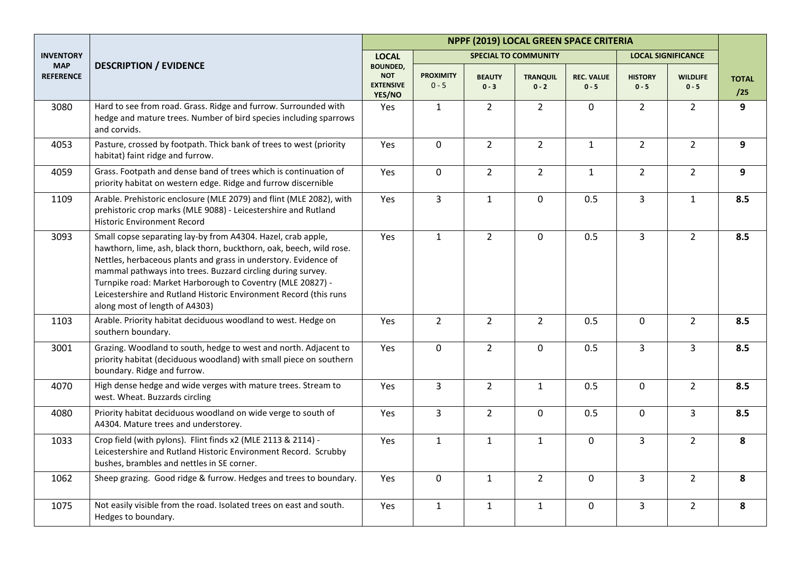|                                |                                                                                                                                                                                                                                                                                                                                                                                                                                            | NPPF (2019) LOCAL GREEN SPACE CRITERIA                      |                             |                          |                             |                              |                           |                            |                     |  |
|--------------------------------|--------------------------------------------------------------------------------------------------------------------------------------------------------------------------------------------------------------------------------------------------------------------------------------------------------------------------------------------------------------------------------------------------------------------------------------------|-------------------------------------------------------------|-----------------------------|--------------------------|-----------------------------|------------------------------|---------------------------|----------------------------|---------------------|--|
| <b>INVENTORY</b>               |                                                                                                                                                                                                                                                                                                                                                                                                                                            | <b>LOCAL</b>                                                |                             |                          | <b>SPECIAL TO COMMUNITY</b> |                              |                           | <b>LOCAL SIGNIFICANCE</b>  |                     |  |
| <b>MAP</b><br><b>REFERENCE</b> | <b>DESCRIPTION / EVIDENCE</b>                                                                                                                                                                                                                                                                                                                                                                                                              | <b>BOUNDED,</b><br><b>NOT</b><br><b>EXTENSIVE</b><br>YES/NO | <b>PROXIMITY</b><br>$0 - 5$ | <b>BEAUTY</b><br>$0 - 3$ | <b>TRANQUIL</b><br>$0 - 2$  | <b>REC. VALUE</b><br>$0 - 5$ | <b>HISTORY</b><br>$0 - 5$ | <b>WILDLIFE</b><br>$0 - 5$ | <b>TOTAL</b><br>/25 |  |
| 3080                           | Hard to see from road. Grass. Ridge and furrow. Surrounded with<br>hedge and mature trees. Number of bird species including sparrows<br>and corvids.                                                                                                                                                                                                                                                                                       | Yes                                                         | $\mathbf{1}$                | $\overline{2}$           | $\overline{2}$              | 0                            | $\overline{2}$            | 2 <sup>1</sup>             | 9                   |  |
| 4053                           | Pasture, crossed by footpath. Thick bank of trees to west (priority<br>habitat) faint ridge and furrow.                                                                                                                                                                                                                                                                                                                                    | Yes                                                         | $\mathbf 0$                 | $\overline{2}$           | $\overline{2}$              | $\mathbf{1}$                 | $\overline{2}$            | $\overline{2}$             | 9                   |  |
| 4059                           | Grass. Footpath and dense band of trees which is continuation of<br>priority habitat on western edge. Ridge and furrow discernible                                                                                                                                                                                                                                                                                                         | Yes                                                         | $\mathbf 0$                 | $\overline{2}$           | $\overline{2}$              | $\mathbf{1}$                 | $\overline{2}$            | $\overline{2}$             | 9                   |  |
| 1109                           | Arable. Prehistoric enclosure (MLE 2079) and flint (MLE 2082), with<br>prehistoric crop marks (MLE 9088) - Leicestershire and Rutland<br><b>Historic Environment Record</b>                                                                                                                                                                                                                                                                | Yes                                                         | $\mathbf{3}$                | $\mathbf{1}$             | $\mathbf 0$                 | 0.5                          | 3                         | $\mathbf{1}$               | 8.5                 |  |
| 3093                           | Small copse separating lay-by from A4304. Hazel, crab apple,<br>hawthorn, lime, ash, black thorn, buckthorn, oak, beech, wild rose.<br>Nettles, herbaceous plants and grass in understory. Evidence of<br>mammal pathways into trees. Buzzard circling during survey.<br>Turnpike road: Market Harborough to Coventry (MLE 20827) -<br>Leicestershire and Rutland Historic Environment Record (this runs<br>along most of length of A4303) | Yes                                                         | $\mathbf{1}$                | $2^{\circ}$              | $\mathbf 0$                 | 0.5                          | 3                         | $\overline{2}$             | 8.5                 |  |
| 1103                           | Arable. Priority habitat deciduous woodland to west. Hedge on<br>southern boundary.                                                                                                                                                                                                                                                                                                                                                        | Yes                                                         | $\overline{2}$              | $2^{\circ}$              | $\overline{2}$              | 0.5                          | $\mathbf 0$               | 2 <sup>1</sup>             | 8.5                 |  |
| 3001                           | Grazing. Woodland to south, hedge to west and north. Adjacent to<br>priority habitat (deciduous woodland) with small piece on southern<br>boundary. Ridge and furrow.                                                                                                                                                                                                                                                                      | Yes                                                         | $\mathbf 0$                 | $\overline{2}$           | $\mathbf 0$                 | 0.5                          | $\overline{3}$            | $\overline{3}$             | 8.5                 |  |
| 4070                           | High dense hedge and wide verges with mature trees. Stream to<br>west. Wheat. Buzzards circling                                                                                                                                                                                                                                                                                                                                            | Yes                                                         | $\overline{3}$              | $2^{\circ}$              | $\mathbf{1}$                | 0.5                          | $\overline{0}$            | 2 <sup>1</sup>             | 8.5                 |  |
| 4080                           | Priority habitat deciduous woodland on wide verge to south of<br>A4304. Mature trees and understorey.                                                                                                                                                                                                                                                                                                                                      | Yes                                                         | $\overline{3}$              | $2^{\circ}$              | $\mathbf 0$                 | 0.5                          | $\mathbf 0$               | $\overline{3}$             | 8.5                 |  |
| 1033                           | Crop field (with pylons). Flint finds x2 (MLE 2113 & 2114) -<br>Leicestershire and Rutland Historic Environment Record. Scrubby<br>bushes, brambles and nettles in SE corner.                                                                                                                                                                                                                                                              | Yes                                                         | $\mathbf{1}$                | $\mathbf{1}$             | $\mathbf{1}$                | $\mathbf 0$                  | $\overline{3}$            | 2 <sup>1</sup>             | 8                   |  |
| 1062                           | Sheep grazing. Good ridge & furrow. Hedges and trees to boundary.                                                                                                                                                                                                                                                                                                                                                                          | Yes                                                         | $\pmb{0}$                   | $\mathbf{1}$             | $\overline{2}$              | $\pmb{0}$                    | $\overline{3}$            | $\overline{2}$             | 8                   |  |
| 1075                           | Not easily visible from the road. Isolated trees on east and south.<br>Hedges to boundary.                                                                                                                                                                                                                                                                                                                                                 | Yes                                                         | $\mathbf{1}$                | $\mathbf{1}$             | $\mathbf{1}$                | $\mathbf 0$                  | $\overline{3}$            | $\overline{2}$             | 8                   |  |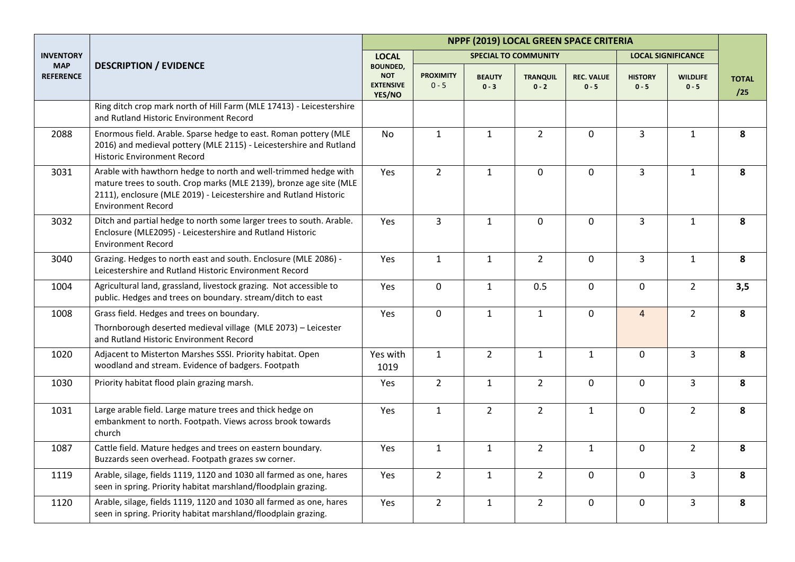|                                |                                                                                                                                                                                                                                         | NPPF (2019) LOCAL GREEN SPACE CRITERIA                      |                             |                          |                             |                              |                           |                            |                     |  |
|--------------------------------|-----------------------------------------------------------------------------------------------------------------------------------------------------------------------------------------------------------------------------------------|-------------------------------------------------------------|-----------------------------|--------------------------|-----------------------------|------------------------------|---------------------------|----------------------------|---------------------|--|
| <b>INVENTORY</b>               |                                                                                                                                                                                                                                         | <b>LOCAL</b>                                                |                             |                          | <b>SPECIAL TO COMMUNITY</b> |                              | <b>LOCAL SIGNIFICANCE</b> |                            |                     |  |
| <b>MAP</b><br><b>REFERENCE</b> | <b>DESCRIPTION / EVIDENCE</b>                                                                                                                                                                                                           | <b>BOUNDED,</b><br><b>NOT</b><br><b>EXTENSIVE</b><br>YES/NO | <b>PROXIMITY</b><br>$0 - 5$ | <b>BEAUTY</b><br>$0 - 3$ | <b>TRANQUIL</b><br>$0 - 2$  | <b>REC. VALUE</b><br>$0 - 5$ | <b>HISTORY</b><br>$0 - 5$ | <b>WILDLIFE</b><br>$0 - 5$ | <b>TOTAL</b><br>/25 |  |
|                                | Ring ditch crop mark north of Hill Farm (MLE 17413) - Leicestershire<br>and Rutland Historic Environment Record                                                                                                                         |                                                             |                             |                          |                             |                              |                           |                            |                     |  |
| 2088                           | Enormous field. Arable. Sparse hedge to east. Roman pottery (MLE<br>2016) and medieval pottery (MLE 2115) - Leicestershire and Rutland<br><b>Historic Environment Record</b>                                                            | <b>No</b>                                                   | $\mathbf{1}$                | $\mathbf{1}$             | $\overline{2}$              | $\mathbf 0$                  | $\overline{3}$            | $\mathbf{1}$               | 8                   |  |
| 3031                           | Arable with hawthorn hedge to north and well-trimmed hedge with<br>mature trees to south. Crop marks (MLE 2139), bronze age site (MLE<br>2111), enclosure (MLE 2019) - Leicestershire and Rutland Historic<br><b>Environment Record</b> | Yes                                                         | $\overline{2}$              | $\mathbf{1}$             | $\mathbf 0$                 | $\mathbf 0$                  | $\overline{3}$            | $\mathbf{1}$               | 8                   |  |
| 3032                           | Ditch and partial hedge to north some larger trees to south. Arable.<br>Enclosure (MLE2095) - Leicestershire and Rutland Historic<br><b>Environment Record</b>                                                                          | Yes                                                         | 3                           | $\mathbf{1}$             | $\mathbf 0$                 | $\mathbf 0$                  | $\overline{3}$            | $\mathbf{1}$               | 8                   |  |
| 3040                           | Grazing. Hedges to north east and south. Enclosure (MLE 2086) -<br>Leicestershire and Rutland Historic Environment Record                                                                                                               | Yes                                                         | $\mathbf{1}$                | $\mathbf{1}$             | $\overline{2}$              | $\mathbf 0$                  | $\overline{3}$            | $\mathbf{1}$               | 8                   |  |
| 1004                           | Agricultural land, grassland, livestock grazing. Not accessible to<br>public. Hedges and trees on boundary. stream/ditch to east                                                                                                        | Yes                                                         | $\mathbf 0$                 | $\mathbf{1}$             | 0.5                         | $\mathbf 0$                  | $\mathbf 0$               | $\overline{2}$             | 3,5                 |  |
| 1008                           | Grass field. Hedges and trees on boundary.<br>Thornborough deserted medieval village (MLE 2073) - Leicester<br>and Rutland Historic Environment Record                                                                                  | Yes                                                         | $\mathbf 0$                 | $\mathbf{1}$             | $\mathbf{1}$                | $\mathbf 0$                  | $\overline{4}$            | $2^{\circ}$                | 8                   |  |
| 1020                           | Adjacent to Misterton Marshes SSSI. Priority habitat. Open<br>woodland and stream. Evidence of badgers. Footpath                                                                                                                        | Yes with<br>1019                                            | $\mathbf{1}$                | $\overline{2}$           | $\mathbf{1}$                | $\mathbf{1}$                 | $\mathbf 0$               | $\overline{3}$             | 8                   |  |
| 1030                           | Priority habitat flood plain grazing marsh.                                                                                                                                                                                             | Yes                                                         | $\overline{2}$              | $\mathbf{1}$             | $\overline{2}$              | $\mathbf 0$                  | $\mathbf 0$               | $\overline{3}$             | 8                   |  |
| 1031                           | Large arable field. Large mature trees and thick hedge on<br>embankment to north. Footpath. Views across brook towards<br>church                                                                                                        | Yes                                                         | $\mathbf{1}$                | $2^{\circ}$              | $\overline{2}$              | $\mathbf{1}$                 | $\mathbf 0$               | $\overline{2}$             | 8                   |  |
| 1087                           | Cattle field. Mature hedges and trees on eastern boundary.<br>Buzzards seen overhead. Footpath grazes sw corner.                                                                                                                        | Yes                                                         | $\mathbf{1}$                | $\mathbf{1}$             | $\overline{2}$              | $\mathbf{1}$                 | $\mathbf 0$               | $2^{\circ}$                | 8                   |  |
| 1119                           | Arable, silage, fields 1119, 1120 and 1030 all farmed as one, hares<br>seen in spring. Priority habitat marshland/floodplain grazing.                                                                                                   | Yes                                                         | $2^{\circ}$                 | $\mathbf{1}$             | $\overline{2}$              | $\mathbf 0$                  | $\mathbf 0$               | $\overline{3}$             | 8                   |  |
| 1120                           | Arable, silage, fields 1119, 1120 and 1030 all farmed as one, hares<br>seen in spring. Priority habitat marshland/floodplain grazing.                                                                                                   | Yes                                                         | $\overline{2}$              | $\mathbf{1}$             | $\overline{2}$              | 0                            | 0                         | 3                          | 8                   |  |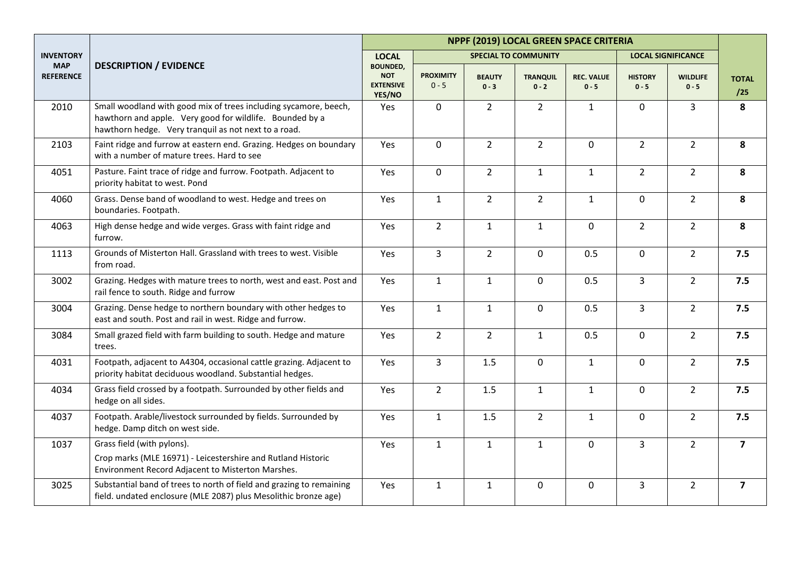|                                |                                                                                                                                                                                      | NPPF (2019) LOCAL GREEN SPACE CRITERIA                      |                             |                          |                             |                              |                           |                            |                         |  |
|--------------------------------|--------------------------------------------------------------------------------------------------------------------------------------------------------------------------------------|-------------------------------------------------------------|-----------------------------|--------------------------|-----------------------------|------------------------------|---------------------------|----------------------------|-------------------------|--|
| <b>INVENTORY</b>               |                                                                                                                                                                                      | <b>LOCAL</b>                                                |                             |                          | <b>SPECIAL TO COMMUNITY</b> |                              |                           | <b>LOCAL SIGNIFICANCE</b>  |                         |  |
| <b>MAP</b><br><b>REFERENCE</b> | <b>DESCRIPTION / EVIDENCE</b>                                                                                                                                                        | <b>BOUNDED,</b><br><b>NOT</b><br><b>EXTENSIVE</b><br>YES/NO | <b>PROXIMITY</b><br>$0 - 5$ | <b>BEAUTY</b><br>$0 - 3$ | <b>TRANQUIL</b><br>$0 - 2$  | <b>REC. VALUE</b><br>$0 - 5$ | <b>HISTORY</b><br>$0 - 5$ | <b>WILDLIFE</b><br>$0 - 5$ | <b>TOTAL</b><br>/25     |  |
| 2010                           | Small woodland with good mix of trees including sycamore, beech,<br>hawthorn and apple. Very good for wildlife. Bounded by a<br>hawthorn hedge. Very tranquil as not next to a road. | Yes                                                         | 0                           | $\overline{2}$           | $\overline{2}$              | $\mathbf{1}$                 | 0                         | $\overline{3}$             | 8                       |  |
| 2103                           | Faint ridge and furrow at eastern end. Grazing. Hedges on boundary<br>with a number of mature trees. Hard to see                                                                     | Yes                                                         | 0                           | $\overline{2}$           | $\overline{2}$              | $\mathbf 0$                  | $\overline{2}$            | $\overline{2}$             | 8                       |  |
| 4051                           | Pasture. Faint trace of ridge and furrow. Footpath. Adjacent to<br>priority habitat to west. Pond                                                                                    | Yes                                                         | 0                           | $\overline{2}$           | $\mathbf{1}$                | $\mathbf{1}$                 | $\overline{2}$            | $\overline{2}$             | 8                       |  |
| 4060                           | Grass. Dense band of woodland to west. Hedge and trees on<br>boundaries. Footpath.                                                                                                   | Yes                                                         | $\mathbf{1}$                | $\overline{2}$           | $\overline{2}$              | $\mathbf{1}$                 | 0                         | $\overline{2}$             | 8                       |  |
| 4063                           | High dense hedge and wide verges. Grass with faint ridge and<br>furrow.                                                                                                              | Yes                                                         | $\overline{2}$              | $\mathbf{1}$             | $1\,$                       | $\mathbf 0$                  | $\overline{2}$            | $\overline{2}$             | 8                       |  |
| 1113                           | Grounds of Misterton Hall, Grassland with trees to west. Visible<br>from road.                                                                                                       | Yes                                                         | $\overline{3}$              | $\overline{2}$           | $\mathbf 0$                 | 0.5                          | $\overline{0}$            | 2 <sup>1</sup>             | 7.5                     |  |
| 3002                           | Grazing. Hedges with mature trees to north, west and east. Post and<br>rail fence to south. Ridge and furrow                                                                         | Yes                                                         | $\mathbf{1}$                | $\mathbf{1}$             | $\mathbf 0$                 | 0.5                          | $\overline{3}$            | $2^{\circ}$                | 7.5                     |  |
| 3004                           | Grazing. Dense hedge to northern boundary with other hedges to<br>east and south. Post and rail in west. Ridge and furrow.                                                           | Yes                                                         | $\mathbf{1}$                | $\mathbf{1}$             | $\mathbf 0$                 | 0.5                          | $\overline{3}$            | $2^{\circ}$                | 7.5                     |  |
| 3084                           | Small grazed field with farm building to south. Hedge and mature<br>trees.                                                                                                           | Yes                                                         | $\overline{2}$              | $\overline{2}$           | $\mathbf{1}$                | 0.5                          | $\mathbf 0$               | $2^{\circ}$                | 7.5                     |  |
| 4031                           | Footpath, adjacent to A4304, occasional cattle grazing. Adjacent to<br>priority habitat deciduous woodland. Substantial hedges.                                                      | Yes                                                         | 3                           | 1.5                      | $\mathbf 0$                 | $\mathbf{1}$                 | $\mathbf 0$               | $\overline{2}$             | 7.5                     |  |
| 4034                           | Grass field crossed by a footpath. Surrounded by other fields and<br>hedge on all sides.                                                                                             | Yes                                                         | $\overline{2}$              | 1.5                      | $\mathbf{1}$                | $\mathbf{1}$                 | 0                         | $2^{\circ}$                | 7.5                     |  |
| 4037                           | Footpath. Arable/livestock surrounded by fields. Surrounded by<br>hedge. Damp ditch on west side.                                                                                    | Yes                                                         | $\mathbf{1}$                | 1.5                      | $\overline{2}$              | $\mathbf{1}$                 | $\Omega$                  | 2 <sup>1</sup>             | 7.5                     |  |
| 1037                           | Grass field (with pylons).                                                                                                                                                           | Yes                                                         | $\mathbf{1}$                | $\mathbf{1}$             | $\mathbf{1}$                | $\mathbf 0$                  | $\overline{3}$            | $\overline{2}$             | $\overline{7}$          |  |
|                                | Crop marks (MLE 16971) - Leicestershire and Rutland Historic<br>Environment Record Adjacent to Misterton Marshes.                                                                    |                                                             |                             |                          |                             |                              |                           |                            |                         |  |
| 3025                           | Substantial band of trees to north of field and grazing to remaining<br>field. undated enclosure (MLE 2087) plus Mesolithic bronze age)                                              | Yes                                                         | $\mathbf{1}$                | $\mathbf{1}$             | $\mathbf 0$                 | 0                            | 3                         | $\overline{2}$             | $\overline{\mathbf{z}}$ |  |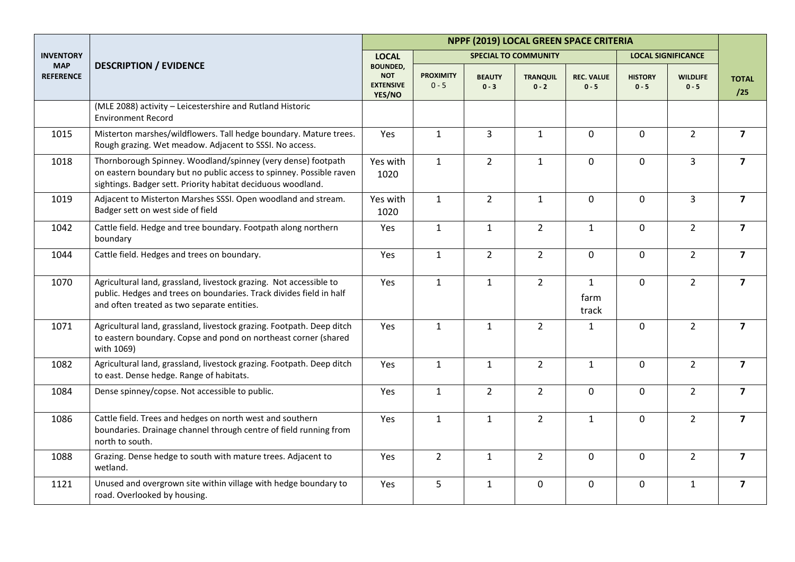|                                |                                                                                                                                                                                                     | NPPF (2019) LOCAL GREEN SPACE CRITERIA                      |                             |                          |                             |                               |                           |                            |                         |
|--------------------------------|-----------------------------------------------------------------------------------------------------------------------------------------------------------------------------------------------------|-------------------------------------------------------------|-----------------------------|--------------------------|-----------------------------|-------------------------------|---------------------------|----------------------------|-------------------------|
| <b>INVENTORY</b>               |                                                                                                                                                                                                     | <b>LOCAL</b>                                                |                             |                          | <b>SPECIAL TO COMMUNITY</b> |                               |                           | <b>LOCAL SIGNIFICANCE</b>  |                         |
| <b>MAP</b><br><b>REFERENCE</b> | <b>DESCRIPTION / EVIDENCE</b>                                                                                                                                                                       | <b>BOUNDED,</b><br><b>NOT</b><br><b>EXTENSIVE</b><br>YES/NO | <b>PROXIMITY</b><br>$0 - 5$ | <b>BEAUTY</b><br>$0 - 3$ | <b>TRANQUIL</b><br>$0 - 2$  | <b>REC. VALUE</b><br>$0 - 5$  | <b>HISTORY</b><br>$0 - 5$ | <b>WILDLIFE</b><br>$0 - 5$ | <b>TOTAL</b><br>/25     |
|                                | (MLE 2088) activity - Leicestershire and Rutland Historic<br><b>Environment Record</b>                                                                                                              |                                                             |                             |                          |                             |                               |                           |                            |                         |
| 1015                           | Misterton marshes/wildflowers. Tall hedge boundary. Mature trees.<br>Rough grazing. Wet meadow. Adjacent to SSSI. No access.                                                                        | Yes                                                         | $\mathbf{1}$                | $\overline{3}$           | $\mathbf{1}$                | $\mathbf 0$                   | $\overline{0}$            | $\overline{2}$             | $\overline{7}$          |
| 1018                           | Thornborough Spinney. Woodland/spinney (very dense) footpath<br>on eastern boundary but no public access to spinney. Possible raven<br>sightings. Badger sett. Priority habitat deciduous woodland. | Yes with<br>1020                                            | $\mathbf{1}$                | $\overline{2}$           | $\mathbf{1}$                | $\mathbf 0$                   | $\mathbf 0$               | $\overline{3}$             | $\overline{7}$          |
| 1019                           | Adjacent to Misterton Marshes SSSI. Open woodland and stream.<br>Badger sett on west side of field                                                                                                  | Yes with<br>1020                                            | $\mathbf{1}$                | $2^{\circ}$              | $\mathbf{1}$                | $\mathbf 0$                   | $\overline{0}$            | $\overline{3}$             | $\overline{7}$          |
| 1042                           | Cattle field. Hedge and tree boundary. Footpath along northern<br>boundary                                                                                                                          | Yes                                                         | $\mathbf{1}$                | $\mathbf{1}$             | $\overline{2}$              | $\mathbf{1}$                  | $\overline{0}$            | $\overline{2}$             | $\overline{7}$          |
| 1044                           | Cattle field. Hedges and trees on boundary.                                                                                                                                                         | Yes                                                         | $\mathbf{1}$                | $\overline{2}$           | $\overline{2}$              | $\mathbf 0$                   | $\mathsf{O}$              | $\overline{2}$             | $\overline{\mathbf{z}}$ |
| 1070                           | Agricultural land, grassland, livestock grazing. Not accessible to<br>public. Hedges and trees on boundaries. Track divides field in half<br>and often treated as two separate entities.            | Yes                                                         | $\mathbf{1}$                | $\mathbf{1}$             | $\overline{2}$              | $\mathbf{1}$<br>farm<br>track | 0                         | $\overline{2}$             | $\overline{7}$          |
| 1071                           | Agricultural land, grassland, livestock grazing. Footpath. Deep ditch<br>to eastern boundary. Copse and pond on northeast corner (shared<br>with 1069)                                              | Yes                                                         | $\mathbf{1}$                | $\mathbf{1}$             | $\overline{2}$              | $\mathbf{1}$                  | 0                         | $\overline{2}$             | $\overline{7}$          |
| 1082                           | Agricultural land, grassland, livestock grazing. Footpath. Deep ditch<br>to east. Dense hedge. Range of habitats.                                                                                   | Yes                                                         | $\mathbf{1}$                | $\mathbf{1}$             | $\overline{2}$              | $\mathbf{1}$                  | $\mathbf 0$               | $\overline{2}$             | $\overline{7}$          |
| 1084                           | Dense spinney/copse. Not accessible to public.                                                                                                                                                      | Yes                                                         | $\mathbf{1}$                | $\overline{2}$           | $\overline{2}$              | $\mathbf 0$                   | 0                         | $\overline{2}$             | $\overline{7}$          |
| 1086                           | Cattle field. Trees and hedges on north west and southern<br>boundaries. Drainage channel through centre of field running from<br>north to south.                                                   | Yes                                                         | $\mathbf{1}$                | $\mathbf{1}$             | $\overline{2}$              | $\mathbf{1}$                  | $\mathsf{O}$              | $\overline{2}$             | $\overline{\mathbf{z}}$ |
| 1088                           | Grazing. Dense hedge to south with mature trees. Adjacent to<br>wetland.                                                                                                                            | Yes                                                         | $\overline{2}$              | $\mathbf{1}$             | $\overline{2}$              | $\mathbf 0$                   | $\mathbf 0$               | $\overline{2}$             | $\overline{7}$          |
| 1121                           | Unused and overgrown site within village with hedge boundary to<br>road. Overlooked by housing.                                                                                                     | Yes                                                         | 5                           | $\mathbf{1}$             | $\pmb{0}$                   | 0                             | $\mathbf 0$               | $\mathbf{1}$               | $\overline{\mathbf{z}}$ |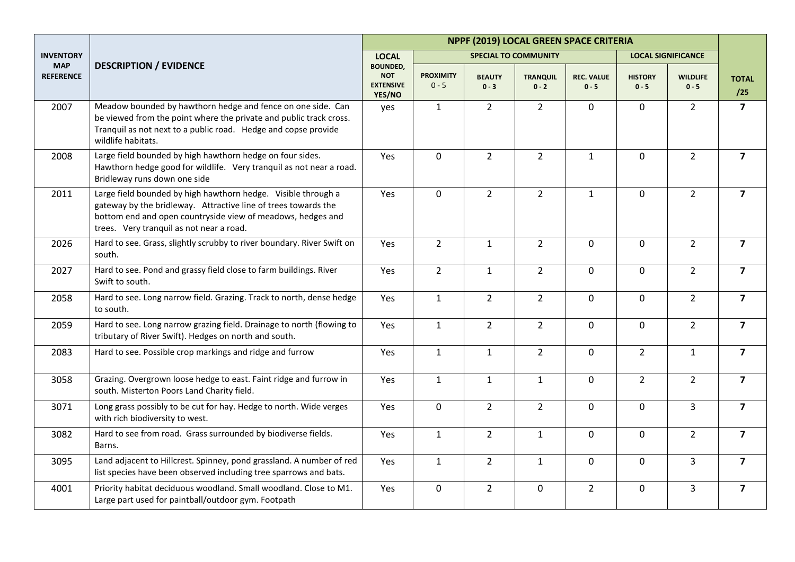| NPPF (2019) LOCAL GREEN SPACE CRITERIA |                                                                                                                                                                                                                                            |                                                             |                             |                          |                             |                              |                           |                            |                         |
|----------------------------------------|--------------------------------------------------------------------------------------------------------------------------------------------------------------------------------------------------------------------------------------------|-------------------------------------------------------------|-----------------------------|--------------------------|-----------------------------|------------------------------|---------------------------|----------------------------|-------------------------|
| <b>INVENTORY</b>                       |                                                                                                                                                                                                                                            | <b>LOCAL</b>                                                |                             |                          | <b>SPECIAL TO COMMUNITY</b> |                              |                           | <b>LOCAL SIGNIFICANCE</b>  |                         |
| <b>MAP</b><br><b>REFERENCE</b>         | <b>DESCRIPTION / EVIDENCE</b>                                                                                                                                                                                                              | <b>BOUNDED,</b><br><b>NOT</b><br><b>EXTENSIVE</b><br>YES/NO | <b>PROXIMITY</b><br>$0 - 5$ | <b>BEAUTY</b><br>$0 - 3$ | <b>TRANQUIL</b><br>$0 - 2$  | <b>REC. VALUE</b><br>$0 - 5$ | <b>HISTORY</b><br>$0 - 5$ | <b>WILDLIFE</b><br>$0 - 5$ | <b>TOTAL</b><br>/25     |
| 2007                                   | Meadow bounded by hawthorn hedge and fence on one side. Can<br>be viewed from the point where the private and public track cross.<br>Tranquil as not next to a public road. Hedge and copse provide<br>wildlife habitats.                  | yes                                                         | $\mathbf{1}$                | $\overline{2}$           | $\overline{2}$              | $\mathbf 0$                  | 0                         | $\overline{2}$             | $\overline{\mathbf{z}}$ |
| 2008                                   | Large field bounded by high hawthorn hedge on four sides.<br>Hawthorn hedge good for wildlife. Very tranquil as not near a road.<br>Bridleway runs down one side                                                                           | Yes                                                         | $\mathsf{O}\xspace$         | $\overline{2}$           | $\overline{2}$              | $\mathbf{1}$                 | $\mathbf 0$               | $\overline{2}$             | $\overline{\mathbf{z}}$ |
| 2011                                   | Large field bounded by high hawthorn hedge. Visible through a<br>gateway by the bridleway. Attractive line of trees towards the<br>bottom end and open countryside view of meadows, hedges and<br>trees. Very tranquil as not near a road. | Yes                                                         | $\mathbf 0$                 | $\overline{2}$           | $\overline{2}$              | $\mathbf{1}$                 | 0                         | $\overline{2}$             | $\overline{7}$          |
| 2026                                   | Hard to see. Grass, slightly scrubby to river boundary. River Swift on<br>south.                                                                                                                                                           | Yes                                                         | $\overline{2}$              | $\mathbf{1}$             | $\overline{2}$              | $\mathbf 0$                  | $\mathbf 0$               | $\overline{2}$             | $\overline{\mathbf{z}}$ |
| 2027                                   | Hard to see. Pond and grassy field close to farm buildings. River<br>Swift to south.                                                                                                                                                       | Yes                                                         | $\overline{2}$              | $\mathbf{1}$             | $\overline{2}$              | $\mathbf 0$                  | $\mathbf 0$               | $\overline{2}$             | $\overline{\mathbf{z}}$ |
| 2058                                   | Hard to see. Long narrow field. Grazing. Track to north, dense hedge<br>to south.                                                                                                                                                          | Yes                                                         | $\mathbf{1}$                | $\overline{2}$           | $\overline{2}$              | $\mathbf 0$                  | $\mathbf 0$               | $\overline{2}$             | $\overline{7}$          |
| 2059                                   | Hard to see. Long narrow grazing field. Drainage to north (flowing to<br>tributary of River Swift). Hedges on north and south.                                                                                                             | Yes                                                         | $\mathbf{1}$                | $2^{\circ}$              | $\overline{2}$              | $\mathbf 0$                  | $\mathbf 0$               | $\overline{2}$             | $\overline{7}$          |
| 2083                                   | Hard to see. Possible crop markings and ridge and furrow                                                                                                                                                                                   | Yes                                                         | $\mathbf{1}$                | $\mathbf{1}$             | $\overline{2}$              | $\mathbf 0$                  | $\overline{2}$            | $\mathbf{1}$               | $\overline{\mathbf{z}}$ |
| 3058                                   | Grazing. Overgrown loose hedge to east. Faint ridge and furrow in<br>south. Misterton Poors Land Charity field.                                                                                                                            | Yes                                                         | $\mathbf{1}$                | $\mathbf{1}$             | $\mathbf{1}$                | $\mathbf 0$                  | $\overline{2}$            | $\overline{2}$             | $\overline{\mathbf{z}}$ |
| 3071                                   | Long grass possibly to be cut for hay. Hedge to north. Wide verges<br>with rich biodiversity to west.                                                                                                                                      | Yes                                                         | $\mathbf 0$                 | $2^{\circ}$              | $\overline{2}$              | $\mathbf 0$                  | $\mathbf 0$               | $\overline{3}$             | $\overline{7}$          |
| 3082                                   | Hard to see from road. Grass surrounded by biodiverse fields.<br>Barns.                                                                                                                                                                    | Yes                                                         | $\mathbf{1}$                | $2^{\circ}$              | $\mathbf{1}$                | $\mathbf 0$                  | $\mathbf 0$               | $2^{\circ}$                | $\overline{\mathbf{z}}$ |
| 3095                                   | Land adjacent to Hillcrest. Spinney, pond grassland. A number of red<br>list species have been observed including tree sparrows and bats.                                                                                                  | Yes                                                         | $\mathbf{1}$                | $\overline{2}$           | $\mathbf{1}$                | $\mathbf 0$                  | $\mathbf 0$               | $\overline{3}$             | $\overline{\mathbf{z}}$ |
| 4001                                   | Priority habitat deciduous woodland. Small woodland. Close to M1.<br>Large part used for paintball/outdoor gym. Footpath                                                                                                                   | Yes                                                         | $\mathsf 0$                 | $\overline{2}$           | $\pmb{0}$                   | $\overline{2}$               | 0                         | 3                          | $\overline{\mathbf{z}}$ |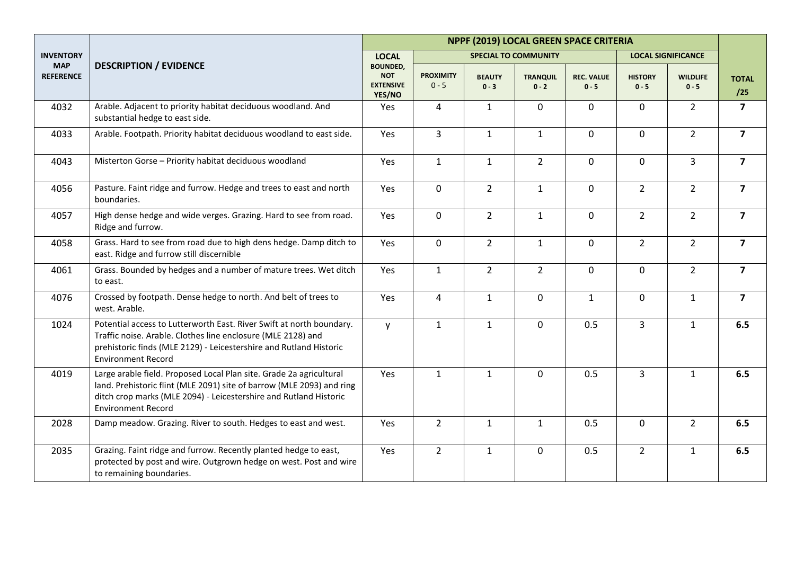|                                |                                                                                                                                                                                                                                                | NPPF (2019) LOCAL GREEN SPACE CRITERIA                      |                             |                          |                             |                              |                           |                            |                         |  |
|--------------------------------|------------------------------------------------------------------------------------------------------------------------------------------------------------------------------------------------------------------------------------------------|-------------------------------------------------------------|-----------------------------|--------------------------|-----------------------------|------------------------------|---------------------------|----------------------------|-------------------------|--|
| <b>INVENTORY</b>               |                                                                                                                                                                                                                                                | <b>LOCAL</b>                                                |                             |                          | <b>SPECIAL TO COMMUNITY</b> |                              |                           | <b>LOCAL SIGNIFICANCE</b>  |                         |  |
| <b>MAP</b><br><b>REFERENCE</b> | <b>DESCRIPTION / EVIDENCE</b>                                                                                                                                                                                                                  | <b>BOUNDED,</b><br><b>NOT</b><br><b>EXTENSIVE</b><br>YES/NO | <b>PROXIMITY</b><br>$0 - 5$ | <b>BEAUTY</b><br>$0 - 3$ | <b>TRANQUIL</b><br>$0 - 2$  | <b>REC. VALUE</b><br>$0 - 5$ | <b>HISTORY</b><br>$0 - 5$ | <b>WILDLIFE</b><br>$0 - 5$ | <b>TOTAL</b><br>/25     |  |
| 4032                           | Arable. Adjacent to priority habitat deciduous woodland. And<br>substantial hedge to east side.                                                                                                                                                | Yes                                                         | 4                           | $\mathbf{1}$             | $\mathbf 0$                 | $\mathbf 0$                  | 0                         | $\overline{2}$             | $\overline{\mathbf{z}}$ |  |
| 4033                           | Arable. Footpath. Priority habitat deciduous woodland to east side.                                                                                                                                                                            | Yes                                                         | $\overline{3}$              | $\mathbf{1}$             | $\mathbf{1}$                | $\mathbf 0$                  | $\mathbf 0$               | $2^{\circ}$                | $\overline{7}$          |  |
| 4043                           | Misterton Gorse - Priority habitat deciduous woodland                                                                                                                                                                                          | Yes                                                         | $\mathbf{1}$                | $\mathbf{1}$             | $\overline{2}$              | $\mathbf 0$                  | $\mathbf 0$               | 3                          | $\overline{7}$          |  |
| 4056                           | Pasture. Faint ridge and furrow. Hedge and trees to east and north<br>boundaries.                                                                                                                                                              | Yes                                                         | 0                           | $2^{\circ}$              | $\mathbf{1}$                | $\mathbf 0$                  | $\overline{2}$            | $2^{\circ}$                | $\overline{\mathbf{z}}$ |  |
| 4057                           | High dense hedge and wide verges. Grazing. Hard to see from road.<br>Ridge and furrow.                                                                                                                                                         | Yes                                                         | $\mathbf 0$                 | $\overline{2}$           | $\mathbf{1}$                | $\mathbf 0$                  | $\overline{2}$            | $\overline{2}$             | $\overline{7}$          |  |
| 4058                           | Grass. Hard to see from road due to high dens hedge. Damp ditch to<br>east. Ridge and furrow still discernible                                                                                                                                 | Yes                                                         | 0                           | $\overline{2}$           | $\mathbf{1}$                | $\mathbf 0$                  | $\overline{2}$            | 2 <sup>1</sup>             | $\overline{7}$          |  |
| 4061                           | Grass. Bounded by hedges and a number of mature trees. Wet ditch<br>to east.                                                                                                                                                                   | Yes                                                         | $\mathbf{1}$                | $2^{\circ}$              | $\overline{2}$              | $\mathbf 0$                  | $\mathbf 0$               | $2^{\circ}$                | $\overline{\mathbf{z}}$ |  |
| 4076                           | Crossed by footpath. Dense hedge to north. And belt of trees to<br>west. Arable.                                                                                                                                                               | Yes                                                         | 4                           | $\mathbf{1}$             | $\mathbf 0$                 | $\mathbf{1}$                 | $\mathbf 0$               | $\mathbf{1}$               | $\overline{7}$          |  |
| 1024                           | Potential access to Lutterworth East. River Swift at north boundary.<br>Traffic noise. Arable. Clothes line enclosure (MLE 2128) and<br>prehistoric finds (MLE 2129) - Leicestershire and Rutland Historic<br><b>Environment Record</b>        | $\mathsf{V}$                                                | $\mathbf{1}$                | $\mathbf{1}$             | $\mathbf 0$                 | 0.5                          | $\overline{3}$            | $\mathbf{1}$               | 6.5                     |  |
| 4019                           | Large arable field. Proposed Local Plan site. Grade 2a agricultural<br>land. Prehistoric flint (MLE 2091) site of barrow (MLE 2093) and ring<br>ditch crop marks (MLE 2094) - Leicestershire and Rutland Historic<br><b>Environment Record</b> | Yes                                                         | $\mathbf{1}$                | $\mathbf{1}$             | $\mathbf 0$                 | 0.5                          | $\overline{3}$            | $\mathbf{1}$               | 6.5                     |  |
| 2028                           | Damp meadow. Grazing. River to south. Hedges to east and west.                                                                                                                                                                                 | Yes                                                         | $\overline{2}$              | $\mathbf{1}$             | $\mathbf{1}$                | 0.5                          | $\mathbf 0$               | $\overline{2}$             | 6.5                     |  |
| 2035                           | Grazing. Faint ridge and furrow. Recently planted hedge to east,<br>protected by post and wire. Outgrown hedge on west. Post and wire<br>to remaining boundaries.                                                                              | Yes                                                         | $\overline{2}$              | $\mathbf{1}$             | $\mathbf 0$                 | 0.5                          | $2^{\circ}$               | $\mathbf{1}$               | 6.5                     |  |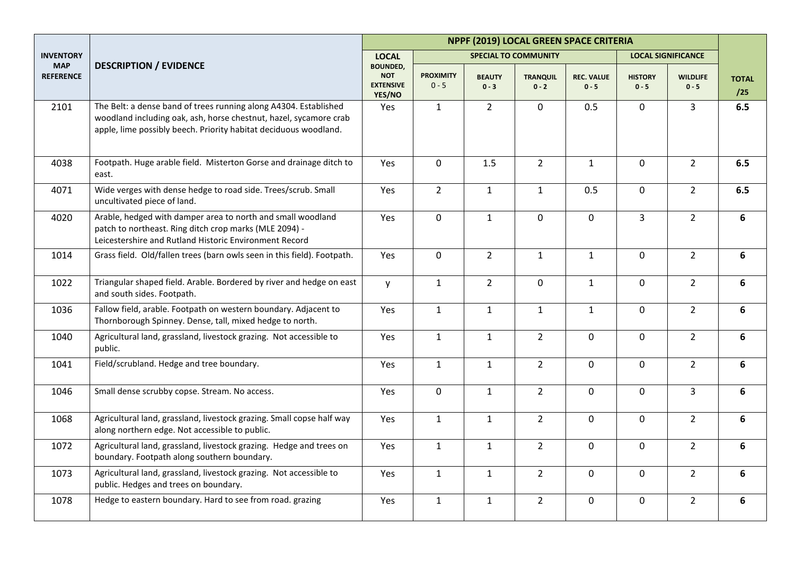|                                |                                                                                                                                                                                                           | NPPF (2019) LOCAL GREEN SPACE CRITERIA                      |                             |                          |                             |                              |                           |                            |                     |  |
|--------------------------------|-----------------------------------------------------------------------------------------------------------------------------------------------------------------------------------------------------------|-------------------------------------------------------------|-----------------------------|--------------------------|-----------------------------|------------------------------|---------------------------|----------------------------|---------------------|--|
| <b>INVENTORY</b>               |                                                                                                                                                                                                           | <b>LOCAL</b>                                                |                             |                          | <b>SPECIAL TO COMMUNITY</b> |                              |                           | <b>LOCAL SIGNIFICANCE</b>  |                     |  |
| <b>MAP</b><br><b>REFERENCE</b> | <b>DESCRIPTION / EVIDENCE</b>                                                                                                                                                                             | <b>BOUNDED,</b><br><b>NOT</b><br><b>EXTENSIVE</b><br>YES/NO | <b>PROXIMITY</b><br>$0 - 5$ | <b>BEAUTY</b><br>$0 - 3$ | <b>TRANQUIL</b><br>$0 - 2$  | <b>REC. VALUE</b><br>$0 - 5$ | <b>HISTORY</b><br>$0 - 5$ | <b>WILDLIFE</b><br>$0 - 5$ | <b>TOTAL</b><br>/25 |  |
| 2101                           | The Belt: a dense band of trees running along A4304. Established<br>woodland including oak, ash, horse chestnut, hazel, sycamore crab<br>apple, lime possibly beech. Priority habitat deciduous woodland. | Yes                                                         | $\mathbf{1}$                | $2^{\circ}$              | $\mathbf 0$                 | 0.5                          | $\mathbf 0$               | 3                          | 6.5                 |  |
| 4038                           | Footpath. Huge arable field. Misterton Gorse and drainage ditch to<br>east.                                                                                                                               | Yes                                                         | $\mathbf 0$                 | 1.5                      | $\overline{2}$              | $\mathbf{1}$                 | $\mathbf 0$               | $\overline{2}$             | 6.5                 |  |
| 4071                           | Wide verges with dense hedge to road side. Trees/scrub. Small<br>uncultivated piece of land.                                                                                                              | Yes                                                         | $2^{\circ}$                 | $\mathbf{1}$             | $\mathbf{1}$                | 0.5                          | $\mathbf 0$               | $\overline{2}$             | 6.5                 |  |
| 4020                           | Arable, hedged with damper area to north and small woodland<br>patch to northeast. Ring ditch crop marks (MLE 2094) -<br>Leicestershire and Rutland Historic Environment Record                           | Yes                                                         | 0                           | $\mathbf{1}$             | $\mathbf 0$                 | $\mathbf 0$                  | $\overline{3}$            | $\overline{2}$             | 6                   |  |
| 1014                           | Grass field. Old/fallen trees (barn owls seen in this field). Footpath.                                                                                                                                   | Yes                                                         | $\mathbf 0$                 | $\overline{2}$           | $\mathbf{1}$                | $\mathbf{1}$                 | $\mathbf 0$               | $\overline{2}$             | 6                   |  |
| 1022                           | Triangular shaped field. Arable. Bordered by river and hedge on east<br>and south sides. Footpath.                                                                                                        | y                                                           | $\mathbf{1}$                | $\overline{2}$           | $\mathbf 0$                 | $\mathbf{1}$                 | $\mathbf 0$               | $\overline{2}$             | 6                   |  |
| 1036                           | Fallow field, arable. Footpath on western boundary. Adjacent to<br>Thornborough Spinney. Dense, tall, mixed hedge to north.                                                                               | Yes                                                         | $\mathbf{1}$                | $\mathbf{1}$             | $\mathbf{1}$                | $\mathbf{1}$                 | $\mathbf 0$               | $\overline{2}$             | 6                   |  |
| 1040                           | Agricultural land, grassland, livestock grazing. Not accessible to<br>public.                                                                                                                             | Yes                                                         | $\mathbf{1}$                | $\mathbf{1}$             | $\overline{2}$              | $\mathbf 0$                  | $\mathbf 0$               | $\overline{2}$             | 6                   |  |
| 1041                           | Field/scrubland. Hedge and tree boundary.                                                                                                                                                                 | Yes                                                         | $\mathbf{1}$                | $\mathbf{1}$             | $\overline{2}$              | $\mathbf 0$                  | $\mathbf 0$               | $2^{\circ}$                | 6                   |  |
| 1046                           | Small dense scrubby copse. Stream. No access.                                                                                                                                                             | Yes                                                         | $\mathbf 0$                 | $\mathbf{1}$             | $\overline{2}$              | $\mathbf 0$                  | $\mathbf 0$               | $\overline{3}$             | 6                   |  |
| 1068                           | Agricultural land, grassland, livestock grazing. Small copse half way<br>along northern edge. Not accessible to public.                                                                                   | Yes                                                         | $\mathbf{1}$                | $\mathbf{1}$             | $\overline{2}$              | $\mathbf 0$                  | $\mathbf 0$               | $\overline{2}$             | 6                   |  |
| 1072                           | Agricultural land, grassland, livestock grazing. Hedge and trees on<br>boundary. Footpath along southern boundary.                                                                                        | Yes                                                         | $\mathbf{1}$                | $\mathbf{1}$             | $\overline{2}$              | $\mathbf 0$                  | $\mathbf 0$               | $2^{\circ}$                | 6                   |  |
| 1073                           | Agricultural land, grassland, livestock grazing. Not accessible to<br>public. Hedges and trees on boundary.                                                                                               | Yes                                                         | $\mathbf{1}$                | $\mathbf{1}$             | $\overline{2}$              | $\mathbf 0$                  | $\mathbf 0$               | $2^{\circ}$                | 6                   |  |
| 1078                           | Hedge to eastern boundary. Hard to see from road. grazing                                                                                                                                                 | Yes                                                         | $\mathbf{1}$                | $\mathbf{1}$             | $\overline{2}$              | $\mathbf 0$                  | $\mathbf 0$               | $\overline{2}$             | 6                   |  |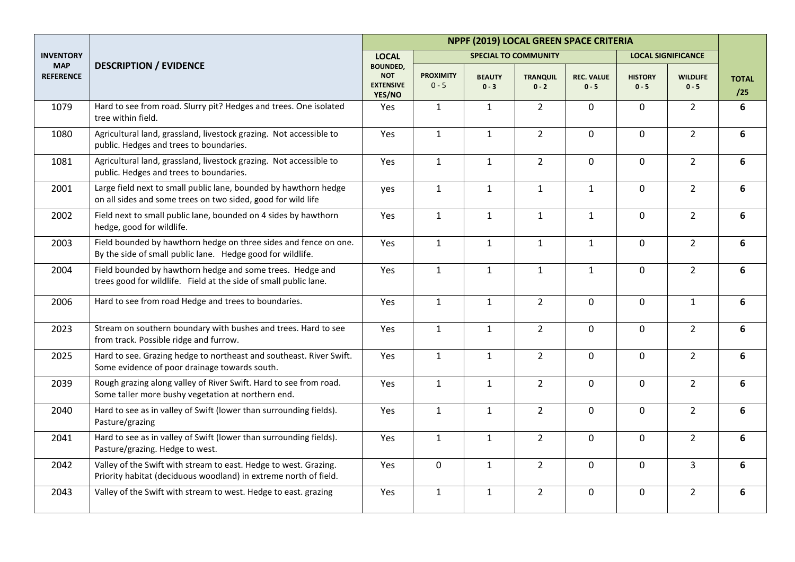|                                |                                                                                                                                      | NPPF (2019) LOCAL GREEN SPACE CRITERIA                      |                             |                          |                             |                              |                           |                            |                     |  |
|--------------------------------|--------------------------------------------------------------------------------------------------------------------------------------|-------------------------------------------------------------|-----------------------------|--------------------------|-----------------------------|------------------------------|---------------------------|----------------------------|---------------------|--|
| <b>INVENTORY</b>               |                                                                                                                                      | <b>LOCAL</b>                                                |                             |                          | <b>SPECIAL TO COMMUNITY</b> |                              |                           | <b>LOCAL SIGNIFICANCE</b>  |                     |  |
| <b>MAP</b><br><b>REFERENCE</b> | <b>DESCRIPTION / EVIDENCE</b>                                                                                                        | <b>BOUNDED,</b><br><b>NOT</b><br><b>EXTENSIVE</b><br>YES/NO | <b>PROXIMITY</b><br>$0 - 5$ | <b>BEAUTY</b><br>$0 - 3$ | <b>TRANQUIL</b><br>$0 - 2$  | <b>REC. VALUE</b><br>$0 - 5$ | <b>HISTORY</b><br>$0 - 5$ | <b>WILDLIFE</b><br>$0 - 5$ | <b>TOTAL</b><br>/25 |  |
| 1079                           | Hard to see from road. Slurry pit? Hedges and trees. One isolated<br>tree within field.                                              | Yes                                                         | $\mathbf{1}$                | $\mathbf{1}$             | $\overline{2}$              | $\mathbf 0$                  | $\mathsf{O}$              | $2^{\circ}$                | 6                   |  |
| 1080                           | Agricultural land, grassland, livestock grazing. Not accessible to<br>public. Hedges and trees to boundaries.                        | Yes                                                         | $\mathbf{1}$                | $\mathbf{1}$             | $\overline{2}$              | $\mathbf 0$                  | $\overline{0}$            | $2^{\circ}$                | 6                   |  |
| 1081                           | Agricultural land, grassland, livestock grazing. Not accessible to<br>public. Hedges and trees to boundaries.                        | Yes                                                         | $\mathbf{1}$                | $\mathbf{1}$             | $\overline{2}$              | $\mathbf 0$                  | $\overline{0}$            | $\overline{2}$             | 6                   |  |
| 2001                           | Large field next to small public lane, bounded by hawthorn hedge<br>on all sides and some trees on two sided, good for wild life     | yes                                                         | $\mathbf{1}$                | $\mathbf{1}$             | $\mathbf{1}$                | $\mathbf{1}$                 | $\mathsf{O}$              | $\overline{2}$             | 6                   |  |
| 2002                           | Field next to small public lane, bounded on 4 sides by hawthorn<br>hedge, good for wildlife.                                         | Yes                                                         | $\mathbf{1}$                | $\mathbf{1}$             | $\mathbf{1}$                | $\mathbf{1}$                 | $\mathsf{O}$              | $\overline{2}$             | 6                   |  |
| 2003                           | Field bounded by hawthorn hedge on three sides and fence on one.<br>By the side of small public lane. Hedge good for wildlife.       | Yes                                                         | $\mathbf{1}$                | $\mathbf{1}$             | $\mathbf{1}$                | $\mathbf{1}$                 | $\mathbf 0$               | $\overline{2}$             | 6                   |  |
| 2004                           | Field bounded by hawthorn hedge and some trees. Hedge and<br>trees good for wildlife. Field at the side of small public lane.        | Yes                                                         | $\mathbf{1}$                | $\mathbf{1}$             | $\mathbf{1}$                | $\mathbf{1}$                 | $\mathbf 0$               | $\overline{2}$             | 6                   |  |
| 2006                           | Hard to see from road Hedge and trees to boundaries.                                                                                 | Yes                                                         | $\mathbf{1}$                | $\mathbf{1}$             | $\overline{2}$              | $\mathbf 0$                  | $\overline{0}$            | $\mathbf{1}$               | 6                   |  |
| 2023                           | Stream on southern boundary with bushes and trees. Hard to see<br>from track. Possible ridge and furrow.                             | Yes                                                         | $\mathbf{1}$                | $\mathbf{1}$             | $\overline{2}$              | $\mathbf 0$                  | $\mathsf{O}$              | $\overline{2}$             | 6                   |  |
| 2025                           | Hard to see. Grazing hedge to northeast and southeast. River Swift.<br>Some evidence of poor drainage towards south.                 | Yes                                                         | $\mathbf{1}$                | $\mathbf{1}$             | $\overline{2}$              | $\mathbf 0$                  | $\mathsf{O}$              | $2^{\circ}$                | 6                   |  |
| 2039                           | Rough grazing along valley of River Swift. Hard to see from road.<br>Some taller more bushy vegetation at northern end.              | Yes                                                         | $\mathbf{1}$                | $\mathbf{1}$             | $\overline{2}$              | $\mathbf 0$                  | $\overline{0}$            | $\overline{2}$             | 6                   |  |
| 2040                           | Hard to see as in valley of Swift (lower than surrounding fields).<br>Pasture/grazing                                                | Yes                                                         | $\mathbf{1}$                | $\mathbf{1}$             | $\overline{2}$              | $\mathbf 0$                  | $\overline{0}$            | $\overline{2}$             | 6                   |  |
| 2041                           | Hard to see as in valley of Swift (lower than surrounding fields).<br>Pasture/grazing. Hedge to west.                                | Yes                                                         | $\mathbf{1}$                | $\mathbf{1}$             | $\overline{2}$              | $\mathbf 0$                  | $\overline{0}$            | $\overline{2}$             | 6                   |  |
| 2042                           | Valley of the Swift with stream to east. Hedge to west. Grazing.<br>Priority habitat (deciduous woodland) in extreme north of field. | Yes                                                         | 0                           | $\mathbf{1}$             | $\overline{2}$              | $\mathbf 0$                  | $\mathbf 0$               | $\overline{3}$             | 6                   |  |
| 2043                           | Valley of the Swift with stream to west. Hedge to east. grazing                                                                      | Yes                                                         | $\mathbf{1}$                | $\mathbf{1}$             | $\overline{2}$              | $\mathbf 0$                  | $\mathbf 0$               | $\overline{2}$             | 6                   |  |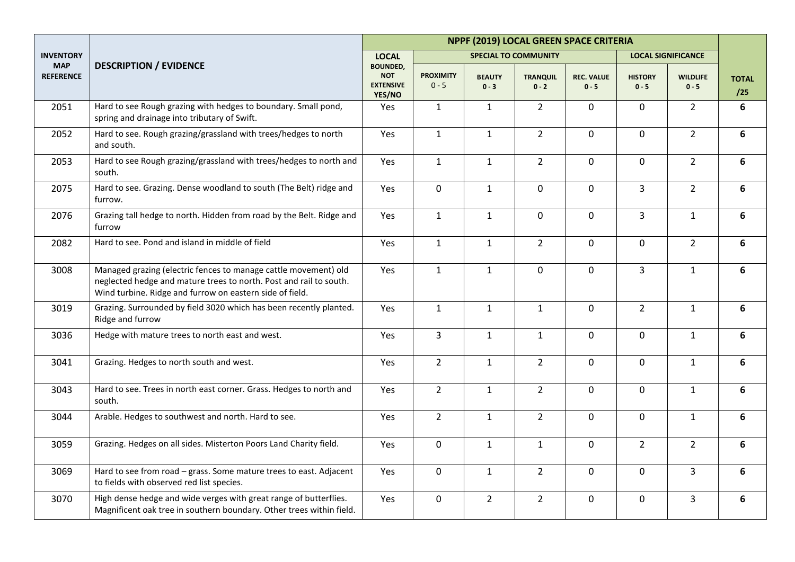|                                |                                                                                                                                                                                                   | NPPF (2019) LOCAL GREEN SPACE CRITERIA                      |                             |                          |                             |                              |                           |                            |                     |  |
|--------------------------------|---------------------------------------------------------------------------------------------------------------------------------------------------------------------------------------------------|-------------------------------------------------------------|-----------------------------|--------------------------|-----------------------------|------------------------------|---------------------------|----------------------------|---------------------|--|
| <b>INVENTORY</b>               |                                                                                                                                                                                                   | <b>LOCAL</b>                                                |                             |                          | <b>SPECIAL TO COMMUNITY</b> |                              |                           | <b>LOCAL SIGNIFICANCE</b>  |                     |  |
| <b>MAP</b><br><b>REFERENCE</b> | <b>DESCRIPTION / EVIDENCE</b>                                                                                                                                                                     | <b>BOUNDED,</b><br><b>NOT</b><br><b>EXTENSIVE</b><br>YES/NO | <b>PROXIMITY</b><br>$0 - 5$ | <b>BEAUTY</b><br>$0 - 3$ | <b>TRANQUIL</b><br>$0 - 2$  | <b>REC. VALUE</b><br>$0 - 5$ | <b>HISTORY</b><br>$0 - 5$ | <b>WILDLIFE</b><br>$0 - 5$ | <b>TOTAL</b><br>/25 |  |
| 2051                           | Hard to see Rough grazing with hedges to boundary. Small pond,<br>spring and drainage into tributary of Swift.                                                                                    | Yes                                                         | $\mathbf{1}$                | $\mathbf{1}$             | $\overline{2}$              | $\mathbf 0$                  | $\overline{0}$            | $\overline{2}$             | 6                   |  |
| 2052                           | Hard to see. Rough grazing/grassland with trees/hedges to north<br>and south.                                                                                                                     | Yes                                                         | $\mathbf{1}$                | $\mathbf{1}$             | $\overline{2}$              | $\mathbf 0$                  | $\mathsf{O}$              | $2^{\circ}$                | 6                   |  |
| 2053                           | Hard to see Rough grazing/grassland with trees/hedges to north and<br>south.                                                                                                                      | Yes                                                         | $\mathbf{1}$                | $\mathbf{1}$             | $\overline{2}$              | $\mathbf 0$                  | $\overline{0}$            | $\overline{2}$             | 6                   |  |
| 2075                           | Hard to see. Grazing. Dense woodland to south (The Belt) ridge and<br>furrow.                                                                                                                     | Yes                                                         | 0                           | $\mathbf{1}$             | $\mathbf 0$                 | $\mathbf 0$                  | $\overline{3}$            | $\overline{2}$             | 6                   |  |
| 2076                           | Grazing tall hedge to north. Hidden from road by the Belt. Ridge and<br>furrow                                                                                                                    | Yes                                                         | $\mathbf{1}$                | $\mathbf{1}$             | $\mathbf 0$                 | $\mathbf 0$                  | $\overline{3}$            | $\mathbf{1}$               | 6                   |  |
| 2082                           | Hard to see. Pond and island in middle of field                                                                                                                                                   | Yes                                                         | $\mathbf{1}$                | $\mathbf{1}$             | $\overline{2}$              | 0                            | $\mathbf 0$               | $\overline{2}$             | 6                   |  |
| 3008                           | Managed grazing (electric fences to manage cattle movement) old<br>neglected hedge and mature trees to north. Post and rail to south.<br>Wind turbine. Ridge and furrow on eastern side of field. | Yes                                                         | $\mathbf{1}$                | $\mathbf{1}$             | $\mathbf 0$                 | $\mathbf 0$                  | $\overline{3}$            | $\mathbf{1}$               | 6                   |  |
| 3019                           | Grazing. Surrounded by field 3020 which has been recently planted.<br>Ridge and furrow                                                                                                            | Yes                                                         | $\mathbf{1}$                | $\mathbf{1}$             | $\mathbf{1}$                | 0                            | $\overline{2}$            | $\mathbf{1}$               | 6                   |  |
| 3036                           | Hedge with mature trees to north east and west.                                                                                                                                                   | Yes                                                         | $\overline{\mathbf{3}}$     | $\mathbf{1}$             | $\mathbf 1$                 | $\mathbf 0$                  | $\mathsf{O}$              | $\mathbf{1}$               | 6                   |  |
| 3041                           | Grazing. Hedges to north south and west.                                                                                                                                                          | Yes                                                         | $2^{\circ}$                 | $\mathbf{1}$             | $\overline{2}$              | $\mathbf 0$                  | $\mathsf{O}$              | $\mathbf{1}$               | 6                   |  |
| 3043                           | Hard to see. Trees in north east corner. Grass. Hedges to north and<br>south.                                                                                                                     | Yes                                                         | $\overline{2}$              | $\mathbf{1}$             | $\overline{2}$              | $\mathbf 0$                  | $\mathbf 0$               | $\mathbf{1}$               | 6                   |  |
| 3044                           | Arable. Hedges to southwest and north. Hard to see.                                                                                                                                               | Yes                                                         | $2^{\circ}$                 | $\mathbf{1}$             | $\overline{2}$              | 0                            | $\overline{0}$            | $\mathbf{1}$               | 6                   |  |
| 3059                           | Grazing. Hedges on all sides. Misterton Poors Land Charity field.                                                                                                                                 | Yes                                                         | 0                           | $\mathbf{1}$             | $\mathbf 1$                 | 0                            | $\overline{2}$            | $\overline{2}$             | 6                   |  |
| 3069                           | Hard to see from road - grass. Some mature trees to east. Adjacent<br>to fields with observed red list species.                                                                                   | Yes                                                         | 0                           | $\mathbf{1}$             | $\overline{2}$              | 0                            | 0                         | 3                          | 6                   |  |
| 3070                           | High dense hedge and wide verges with great range of butterflies.<br>Magnificent oak tree in southern boundary. Other trees within field.                                                         | Yes                                                         | 0                           | $\overline{2}$           | $\overline{2}$              | 0                            | $\mathsf{O}$              | $\overline{3}$             | 6                   |  |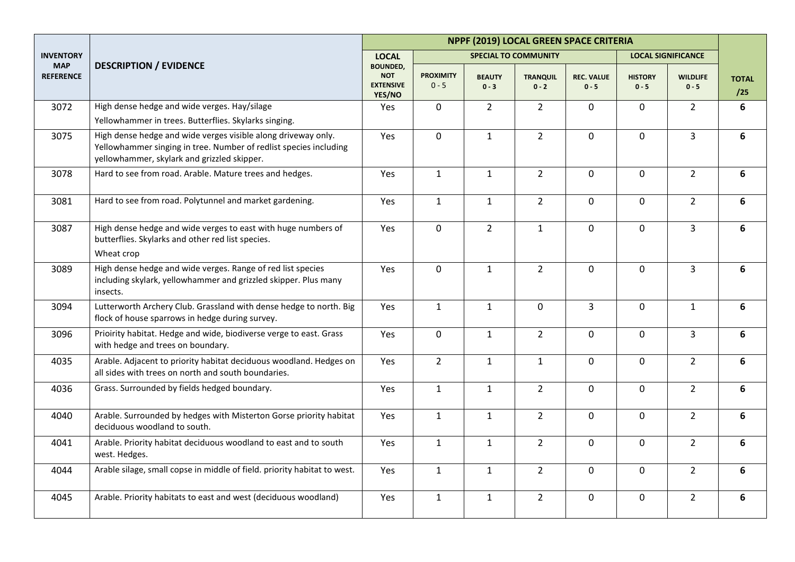|                                |                                                                                                                                                                                   | NPPF (2019) LOCAL GREEN SPACE CRITERIA                      |                             |                          |                             |                              |                           |                            |                     |  |
|--------------------------------|-----------------------------------------------------------------------------------------------------------------------------------------------------------------------------------|-------------------------------------------------------------|-----------------------------|--------------------------|-----------------------------|------------------------------|---------------------------|----------------------------|---------------------|--|
| <b>INVENTORY</b>               |                                                                                                                                                                                   | <b>LOCAL</b>                                                |                             |                          | <b>SPECIAL TO COMMUNITY</b> |                              |                           | <b>LOCAL SIGNIFICANCE</b>  |                     |  |
| <b>MAP</b><br><b>REFERENCE</b> | <b>DESCRIPTION / EVIDENCE</b>                                                                                                                                                     | <b>BOUNDED,</b><br><b>NOT</b><br><b>EXTENSIVE</b><br>YES/NO | <b>PROXIMITY</b><br>$0 - 5$ | <b>BEAUTY</b><br>$0 - 3$ | <b>TRANQUIL</b><br>$0 - 2$  | <b>REC. VALUE</b><br>$0 - 5$ | <b>HISTORY</b><br>$0 - 5$ | <b>WILDLIFE</b><br>$0 - 5$ | <b>TOTAL</b><br>/25 |  |
| 3072                           | High dense hedge and wide verges. Hay/silage<br>Yellowhammer in trees. Butterflies. Skylarks singing.                                                                             | Yes                                                         | 0                           | $\overline{2}$           | $\overline{2}$              | $\mathbf 0$                  | $\mathbf 0$               | $\overline{2}$             | 6                   |  |
| 3075                           | High dense hedge and wide verges visible along driveway only.<br>Yellowhammer singing in tree. Number of redlist species including<br>yellowhammer, skylark and grizzled skipper. | Yes                                                         | $\mathbf 0$                 | $\mathbf{1}$             | $\overline{2}$              | $\mathbf 0$                  | $\mathbf 0$               | $\overline{3}$             | 6                   |  |
| 3078                           | Hard to see from road. Arable. Mature trees and hedges.                                                                                                                           | Yes                                                         | $\mathbf{1}$                | $\mathbf{1}$             | $\overline{2}$              | $\mathbf 0$                  | $\mathbf 0$               | $\overline{2}$             | 6                   |  |
| 3081                           | Hard to see from road. Polytunnel and market gardening.                                                                                                                           | Yes                                                         | $\mathbf{1}$                | $\mathbf{1}$             | $\overline{2}$              | $\mathbf 0$                  | $\mathbf 0$               | $\overline{2}$             | 6                   |  |
| 3087                           | High dense hedge and wide verges to east with huge numbers of<br>butterflies. Skylarks and other red list species.<br>Wheat crop                                                  | Yes                                                         | 0                           | $\overline{2}$           | $\mathbf{1}$                | $\mathbf 0$                  | $\mathbf 0$               | $\overline{3}$             | 6                   |  |
| 3089                           | High dense hedge and wide verges. Range of red list species<br>including skylark, yellowhammer and grizzled skipper. Plus many<br>insects.                                        | Yes                                                         | $\mathbf 0$                 | $\mathbf{1}$             | $\overline{2}$              | $\mathbf 0$                  | $\mathbf 0$               | $\overline{3}$             | 6                   |  |
| 3094                           | Lutterworth Archery Club. Grassland with dense hedge to north. Big<br>flock of house sparrows in hedge during survey.                                                             | Yes                                                         | $\mathbf{1}$                | $\mathbf{1}$             | $\mathbf 0$                 | 3                            | $\mathbf 0$               | $\mathbf{1}$               | 6                   |  |
| 3096                           | Prioirity habitat. Hedge and wide, biodiverse verge to east. Grass<br>with hedge and trees on boundary.                                                                           | Yes                                                         | $\mathbf 0$                 | $\mathbf{1}$             | $\overline{2}$              | $\mathbf 0$                  | $\mathbf 0$               | 3                          | 6                   |  |
| 4035                           | Arable. Adjacent to priority habitat deciduous woodland. Hedges on<br>all sides with trees on north and south boundaries.                                                         | Yes                                                         | $\overline{2}$              | $\mathbf{1}$             | $\mathbf{1}$                | $\mathbf 0$                  | $\mathbf 0$               | $2^{\circ}$                | 6                   |  |
| 4036                           | Grass. Surrounded by fields hedged boundary.                                                                                                                                      | Yes                                                         | $\mathbf{1}$                | $\mathbf{1}$             | $\overline{2}$              | $\Omega$                     | $\mathbf 0$               | $\overline{2}$             | 6                   |  |
| 4040                           | Arable. Surrounded by hedges with Misterton Gorse priority habitat<br>deciduous woodland to south.                                                                                | Yes                                                         | $\mathbf{1}$                | $\mathbf{1}$             | $\overline{2}$              | $\mathbf 0$                  | $\mathbf 0$               | $2^{\circ}$                | 6                   |  |
| 4041                           | Arable. Priority habitat deciduous woodland to east and to south<br>west. Hedges.                                                                                                 | Yes                                                         | $\mathbf{1}$                | $\mathbf{1}$             | $\overline{2}$              | $\mathbf 0$                  | $\mathbf 0$               | $\overline{2}$             | 6                   |  |
| 4044                           | Arable silage, small copse in middle of field. priority habitat to west.                                                                                                          | Yes                                                         | $\mathbf{1}$                | $\mathbf{1}$             | $\overline{2}$              | $\mathbf 0$                  | $\mathbf 0$               | $2^{\circ}$                | 6                   |  |
| 4045                           | Arable. Priority habitats to east and west (deciduous woodland)                                                                                                                   | Yes                                                         | $\mathbf{1}$                | $\mathbf{1}$             | $\overline{2}$              | $\mathbf 0$                  | $\mathbf 0$               | $\overline{2}$             | 6                   |  |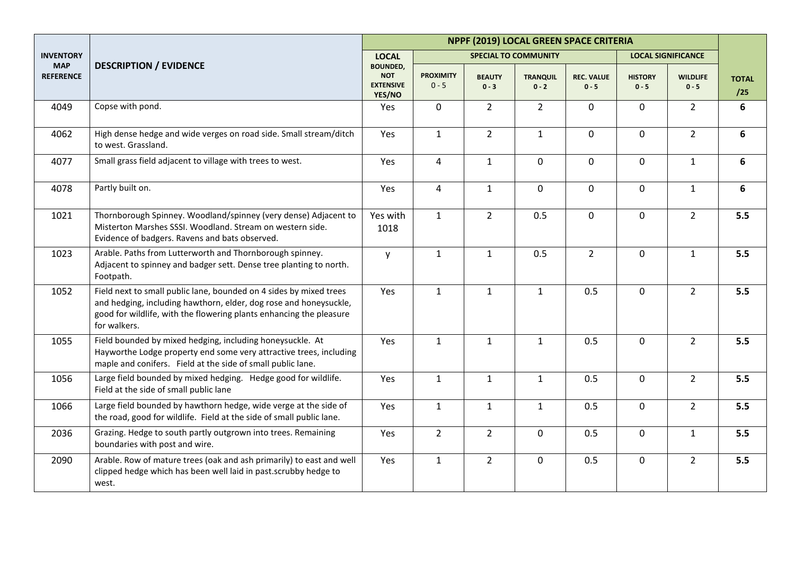|                                |                                                                                                                                                                                                                                | NPPF (2019) LOCAL GREEN SPACE CRITERIA                      |                             |                          |                             |                              |                           |                            |                     |  |
|--------------------------------|--------------------------------------------------------------------------------------------------------------------------------------------------------------------------------------------------------------------------------|-------------------------------------------------------------|-----------------------------|--------------------------|-----------------------------|------------------------------|---------------------------|----------------------------|---------------------|--|
| <b>INVENTORY</b>               |                                                                                                                                                                                                                                | <b>LOCAL</b>                                                |                             |                          | <b>SPECIAL TO COMMUNITY</b> |                              | <b>LOCAL SIGNIFICANCE</b> |                            |                     |  |
| <b>MAP</b><br><b>REFERENCE</b> | <b>DESCRIPTION / EVIDENCE</b>                                                                                                                                                                                                  | <b>BOUNDED,</b><br><b>NOT</b><br><b>EXTENSIVE</b><br>YES/NO | <b>PROXIMITY</b><br>$0 - 5$ | <b>BEAUTY</b><br>$0 - 3$ | <b>TRANQUIL</b><br>$0 - 2$  | <b>REC. VALUE</b><br>$0 - 5$ | <b>HISTORY</b><br>$0 - 5$ | <b>WILDLIFE</b><br>$0 - 5$ | <b>TOTAL</b><br>/25 |  |
| 4049                           | Copse with pond.                                                                                                                                                                                                               | Yes                                                         | 0                           | $2^{\circ}$              | $\overline{2}$              | $\mathbf 0$                  | $\mathbf 0$               | $2^{\circ}$                | 6                   |  |
| 4062                           | High dense hedge and wide verges on road side. Small stream/ditch<br>to west. Grassland.                                                                                                                                       | Yes                                                         | $\mathbf{1}$                | $\overline{2}$           | $\mathbf{1}$                | $\mathbf 0$                  | $\mathbf 0$               | $\overline{2}$             | 6                   |  |
| 4077                           | Small grass field adjacent to village with trees to west.                                                                                                                                                                      | Yes                                                         | $\overline{4}$              | $\mathbf{1}$             | $\mathbf 0$                 | $\mathbf 0$                  | $\mathbf 0$               | $\mathbf{1}$               | 6                   |  |
| 4078                           | Partly built on.                                                                                                                                                                                                               | Yes                                                         | 4                           | $\mathbf{1}$             | $\mathbf 0$                 | $\mathbf 0$                  | $\mathbf 0$               | $\mathbf{1}$               | 6                   |  |
| 1021                           | Thornborough Spinney. Woodland/spinney (very dense) Adjacent to<br>Misterton Marshes SSSI. Woodland. Stream on western side.<br>Evidence of badgers. Ravens and bats observed.                                                 | Yes with<br>1018                                            | $\mathbf{1}$                | $\overline{2}$           | 0.5                         | $\mathbf 0$                  | $\mathbf 0$               | $2^{\circ}$                | 5.5                 |  |
| 1023                           | Arable. Paths from Lutterworth and Thornborough spinney.<br>Adjacent to spinney and badger sett. Dense tree planting to north.<br>Footpath.                                                                                    | V                                                           | $\mathbf{1}$                | $\mathbf{1}$             | 0.5                         | $\overline{2}$               | $\mathbf 0$               | $\mathbf{1}$               | 5.5                 |  |
| 1052                           | Field next to small public lane, bounded on 4 sides by mixed trees<br>and hedging, including hawthorn, elder, dog rose and honeysuckle,<br>good for wildlife, with the flowering plants enhancing the pleasure<br>for walkers. | Yes                                                         | $\mathbf{1}$                | $\mathbf{1}$             | $\mathbf{1}$                | 0.5                          | $\mathbf 0$               | $\overline{2}$             | 5.5                 |  |
| 1055                           | Field bounded by mixed hedging, including honeysuckle. At<br>Hayworthe Lodge property end some very attractive trees, including<br>maple and conifers. Field at the side of small public lane.                                 | Yes                                                         | $\mathbf{1}$                | $\mathbf{1}$             | $\mathbf{1}$                | 0.5                          | $\mathbf 0$               | $\overline{2}$             | 5.5                 |  |
| 1056                           | Large field bounded by mixed hedging. Hedge good for wildlife.<br>Field at the side of small public lane                                                                                                                       | Yes                                                         | $\mathbf{1}$                | $\mathbf{1}$             | $\mathbf{1}$                | 0.5                          | $\mathbf 0$               | $\overline{2}$             | 5.5                 |  |
| 1066                           | Large field bounded by hawthorn hedge, wide verge at the side of<br>the road, good for wildlife. Field at the side of small public lane.                                                                                       | Yes                                                         | $\mathbf{1}$                | $\mathbf{1}$             | $\mathbf{1}$                | 0.5                          | $\mathbf 0$               | $2^{\circ}$                | 5.5                 |  |
| 2036                           | Grazing. Hedge to south partly outgrown into trees. Remaining<br>boundaries with post and wire.                                                                                                                                | Yes                                                         | $\overline{2}$              | $\overline{2}$           | $\mathbf 0$                 | 0.5                          | $\mathbf 0$               | $\mathbf{1}$               | 5.5                 |  |
| 2090                           | Arable. Row of mature trees (oak and ash primarily) to east and well<br>clipped hedge which has been well laid in past.scrubby hedge to<br>west.                                                                               | Yes                                                         | $\mathbf{1}$                | $2^{\circ}$              | $\mathbf 0$                 | 0.5                          | $\mathbf 0$               | $2^{\circ}$                | 5.5                 |  |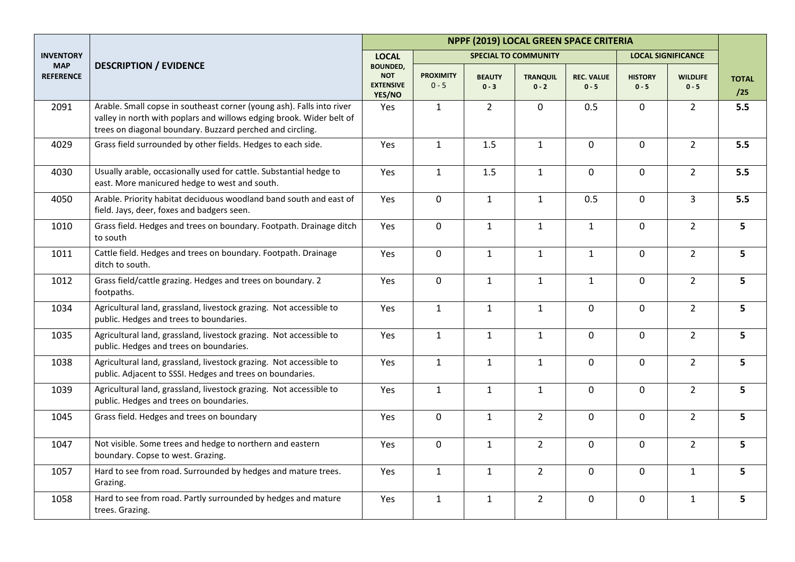|                                |                                                                                                                                                                                                            | NPPF (2019) LOCAL GREEN SPACE CRITERIA                      |                             |                          |                             |                              |                           |                            |                     |  |
|--------------------------------|------------------------------------------------------------------------------------------------------------------------------------------------------------------------------------------------------------|-------------------------------------------------------------|-----------------------------|--------------------------|-----------------------------|------------------------------|---------------------------|----------------------------|---------------------|--|
| <b>INVENTORY</b>               |                                                                                                                                                                                                            | <b>LOCAL</b>                                                |                             |                          | <b>SPECIAL TO COMMUNITY</b> |                              |                           | <b>LOCAL SIGNIFICANCE</b>  |                     |  |
| <b>MAP</b><br><b>REFERENCE</b> | <b>DESCRIPTION / EVIDENCE</b>                                                                                                                                                                              | <b>BOUNDED,</b><br><b>NOT</b><br><b>EXTENSIVE</b><br>YES/NO | <b>PROXIMITY</b><br>$0 - 5$ | <b>BEAUTY</b><br>$0 - 3$ | <b>TRANQUIL</b><br>$0 - 2$  | <b>REC. VALUE</b><br>$0 - 5$ | <b>HISTORY</b><br>$0 - 5$ | <b>WILDLIFE</b><br>$0 - 5$ | <b>TOTAL</b><br>/25 |  |
| 2091                           | Arable. Small copse in southeast corner (young ash). Falls into river<br>valley in north with poplars and willows edging brook. Wider belt of<br>trees on diagonal boundary. Buzzard perched and circling. | Yes                                                         | $\mathbf{1}$                | $\overline{2}$           | $\mathbf 0$                 | 0.5                          | 0                         | $\overline{2}$             | 5.5                 |  |
| 4029                           | Grass field surrounded by other fields. Hedges to each side.                                                                                                                                               | Yes                                                         | $\mathbf{1}$                | 1.5                      | $\mathbf{1}$                | $\mathbf 0$                  | $\mathbf 0$               | $2^{\circ}$                | 5.5                 |  |
| 4030                           | Usually arable, occasionally used for cattle. Substantial hedge to<br>east. More manicured hedge to west and south.                                                                                        | Yes                                                         | $\mathbf{1}$                | 1.5                      | $\mathbf{1}$                | $\mathbf 0$                  | $\mathbf 0$               | $\overline{2}$             | 5.5                 |  |
| 4050                           | Arable. Priority habitat deciduous woodland band south and east of<br>field. Jays, deer, foxes and badgers seen.                                                                                           | Yes                                                         | 0                           | $\mathbf{1}$             | $\mathbf{1}$                | 0.5                          | $\mathbf 0$               | $\overline{3}$             | 5.5                 |  |
| 1010                           | Grass field. Hedges and trees on boundary. Footpath. Drainage ditch<br>to south                                                                                                                            | Yes                                                         | 0                           | $\mathbf{1}$             | $\mathbf{1}$                | $\mathbf{1}$                 | $\mathbf 0$               | $\overline{2}$             | 5                   |  |
| 1011                           | Cattle field. Hedges and trees on boundary. Footpath. Drainage<br>ditch to south.                                                                                                                          | Yes                                                         | 0                           | $\mathbf{1}$             | $\mathbf{1}$                | $\mathbf{1}$                 | $\mathbf 0$               | $2^{\circ}$                | 5                   |  |
| 1012                           | Grass field/cattle grazing. Hedges and trees on boundary. 2<br>footpaths.                                                                                                                                  | Yes                                                         | $\mathbf 0$                 | $\mathbf{1}$             | $1\,$                       | $\mathbf{1}$                 | $\overline{0}$            | $\overline{2}$             | 5                   |  |
| 1034                           | Agricultural land, grassland, livestock grazing. Not accessible to<br>public. Hedges and trees to boundaries.                                                                                              | Yes                                                         | $\mathbf{1}$                | $\mathbf{1}$             | $\mathbf{1}$                | $\mathbf 0$                  | 0                         | $\overline{2}$             | 5                   |  |
| 1035                           | Agricultural land, grassland, livestock grazing. Not accessible to<br>public. Hedges and trees on boundaries.                                                                                              | Yes                                                         | $\mathbf{1}$                | $\mathbf{1}$             | $\mathbf{1}$                | $\mathbf 0$                  | 0                         | $\overline{2}$             | 5                   |  |
| 1038                           | Agricultural land, grassland, livestock grazing. Not accessible to<br>public. Adjacent to SSSI. Hedges and trees on boundaries.                                                                            | Yes                                                         | $\mathbf{1}$                | $\mathbf{1}$             | $\mathbf{1}$                | $\mathbf 0$                  | $\mathbf 0$               | $\overline{2}$             | 5                   |  |
| 1039                           | Agricultural land, grassland, livestock grazing. Not accessible to<br>public. Hedges and trees on boundaries.                                                                                              | Yes                                                         | $\mathbf{1}$                | $\mathbf{1}$             | $\mathbf{1}$                | $\mathbf 0$                  | $\mathbf 0$               | $\overline{2}$             | 5                   |  |
| 1045                           | Grass field. Hedges and trees on boundary                                                                                                                                                                  | Yes                                                         | $\mathbf 0$                 | $\mathbf{1}$             | $\overline{2}$              | $\pmb{0}$                    | $\mathbf 0$               | $\overline{2}$             | 5                   |  |
| 1047                           | Not visible. Some trees and hedge to northern and eastern<br>boundary. Copse to west. Grazing.                                                                                                             | Yes                                                         | $\pmb{0}$                   | $\mathbf{1}$             | $\overline{2}$              | $\pmb{0}$                    | $\mathbf 0$               | $\overline{2}$             | 5                   |  |
| 1057                           | Hard to see from road. Surrounded by hedges and mature trees.<br>Grazing.                                                                                                                                  | Yes                                                         | $\mathbf{1}$                | $\mathbf{1}$             | $\overline{2}$              | $\pmb{0}$                    | $\mathbf 0$               | $\mathbf{1}$               | 5                   |  |
| 1058                           | Hard to see from road. Partly surrounded by hedges and mature<br>trees. Grazing.                                                                                                                           | Yes                                                         | $\mathbf{1}$                | $\mathbf{1}$             | $\overline{2}$              | $\mathsf 0$                  | $\mathbf 0$               | $\mathbf{1}$               | 5                   |  |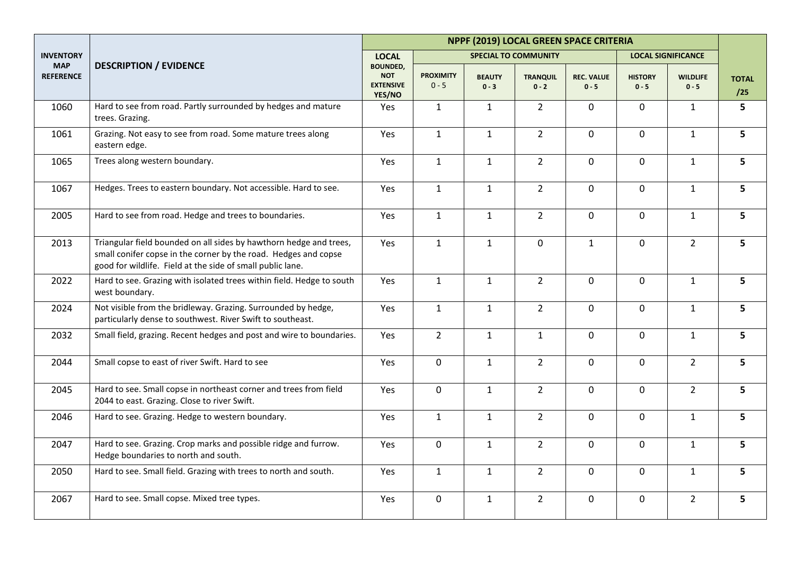|                                |                                                                                                                                                                                                     | NPPF (2019) LOCAL GREEN SPACE CRITERIA                      |                             |                          |                             |                              |                           |                            |                     |  |
|--------------------------------|-----------------------------------------------------------------------------------------------------------------------------------------------------------------------------------------------------|-------------------------------------------------------------|-----------------------------|--------------------------|-----------------------------|------------------------------|---------------------------|----------------------------|---------------------|--|
| <b>INVENTORY</b>               |                                                                                                                                                                                                     | <b>LOCAL</b>                                                |                             |                          | <b>SPECIAL TO COMMUNITY</b> |                              |                           | <b>LOCAL SIGNIFICANCE</b>  |                     |  |
| <b>MAP</b><br><b>REFERENCE</b> | <b>DESCRIPTION / EVIDENCE</b>                                                                                                                                                                       | <b>BOUNDED,</b><br><b>NOT</b><br><b>EXTENSIVE</b><br>YES/NO | <b>PROXIMITY</b><br>$0 - 5$ | <b>BEAUTY</b><br>$0 - 3$ | <b>TRANQUIL</b><br>$0 - 2$  | <b>REC. VALUE</b><br>$0 - 5$ | <b>HISTORY</b><br>$0 - 5$ | <b>WILDLIFE</b><br>$0 - 5$ | <b>TOTAL</b><br>/25 |  |
| 1060                           | Hard to see from road. Partly surrounded by hedges and mature<br>trees. Grazing.                                                                                                                    | Yes                                                         | $\mathbf{1}$                | $\mathbf{1}$             | $\overline{2}$              | $\mathbf 0$                  | 0                         | $\mathbf{1}$               | 5                   |  |
| 1061                           | Grazing. Not easy to see from road. Some mature trees along<br>eastern edge.                                                                                                                        | Yes                                                         | $\mathbf{1}$                | $\mathbf{1}$             | $\overline{2}$              | $\mathbf 0$                  | $\overline{0}$            | $\mathbf{1}$               | 5 <sup>1</sup>      |  |
| 1065                           | Trees along western boundary.                                                                                                                                                                       | Yes                                                         | $\mathbf{1}$                | $\mathbf{1}$             | $\overline{2}$              | 0                            | $\mathbf 0$               | $\mathbf{1}$               | 5                   |  |
| 1067                           | Hedges. Trees to eastern boundary. Not accessible. Hard to see.                                                                                                                                     | Yes                                                         | $\mathbf{1}$                | $\mathbf{1}$             | $\overline{2}$              | $\mathbf 0$                  | $\overline{0}$            | $\mathbf{1}$               | 5                   |  |
| 2005                           | Hard to see from road. Hedge and trees to boundaries.                                                                                                                                               | Yes                                                         | $\mathbf{1}$                | $\mathbf{1}$             | $\overline{2}$              | $\pmb{0}$                    | $\mathsf{O}$              | $\mathbf{1}$               | 5                   |  |
| 2013                           | Triangular field bounded on all sides by hawthorn hedge and trees,<br>small conifer copse in the corner by the road. Hedges and copse<br>good for wildlife. Field at the side of small public lane. | Yes                                                         | $\mathbf{1}$                | $\mathbf{1}$             | $\mathbf 0$                 | $\mathbf{1}$                 | $\mathbf 0$               | $\overline{2}$             | 5                   |  |
| 2022                           | Hard to see. Grazing with isolated trees within field. Hedge to south<br>west boundary.                                                                                                             | Yes                                                         | $\mathbf{1}$                | $\mathbf{1}$             | $\overline{2}$              | 0                            | 0                         | $\mathbf{1}$               | 5                   |  |
| 2024                           | Not visible from the bridleway. Grazing. Surrounded by hedge,<br>particularly dense to southwest. River Swift to southeast.                                                                         | Yes                                                         | $\mathbf{1}$                | $\mathbf{1}$             | $\overline{2}$              | 0                            | $\mathbf 0$               | $\mathbf{1}$               | 5                   |  |
| 2032                           | Small field, grazing. Recent hedges and post and wire to boundaries.                                                                                                                                | Yes                                                         | $\overline{2}$              | $\mathbf{1}$             | $\mathbf{1}$                | 0                            | $\mathbf 0$               | $\mathbf{1}$               | 5                   |  |
| 2044                           | Small copse to east of river Swift. Hard to see                                                                                                                                                     | Yes                                                         | $\overline{0}$              | $\mathbf{1}$             | $\overline{2}$              | $\mathbf 0$                  | $\overline{0}$            | $\overline{2}$             | 5                   |  |
| 2045                           | Hard to see. Small copse in northeast corner and trees from field<br>2044 to east. Grazing. Close to river Swift.                                                                                   | Yes                                                         | $\mathbf 0$                 | $\mathbf{1}$             | $\overline{2}$              | $\Omega$                     | $\mathbf{0}$              | $\overline{2}$             | 5                   |  |
| 2046                           | Hard to see. Grazing. Hedge to western boundary.                                                                                                                                                    | Yes                                                         | $\mathbf{1}$                | $\mathbf{1}$             | $\overline{2}$              | $\mathbf 0$                  | $\mathbf 0$               | $\mathbf{1}$               | 5                   |  |
| 2047                           | Hard to see. Grazing. Crop marks and possible ridge and furrow.<br>Hedge boundaries to north and south.                                                                                             | Yes                                                         | 0                           | $\mathbf{1}$             | $\overline{2}$              | $\mathbf 0$                  | $\mathsf{O}$              | $\mathbf{1}$               | 5                   |  |
| 2050                           | Hard to see. Small field. Grazing with trees to north and south.                                                                                                                                    | Yes                                                         | $\mathbf{1}$                | $\mathbf{1}$             | $\overline{2}$              | $\mathbf 0$                  | $\mathsf{O}$              | $\mathbf{1}$               | 5                   |  |
| 2067                           | Hard to see. Small copse. Mixed tree types.                                                                                                                                                         | Yes                                                         | $\mathsf{O}\xspace$         | $\mathbf{1}$             | $\overline{2}$              | $\mathbf 0$                  | $\mathsf{O}$              | $\overline{2}$             | 5                   |  |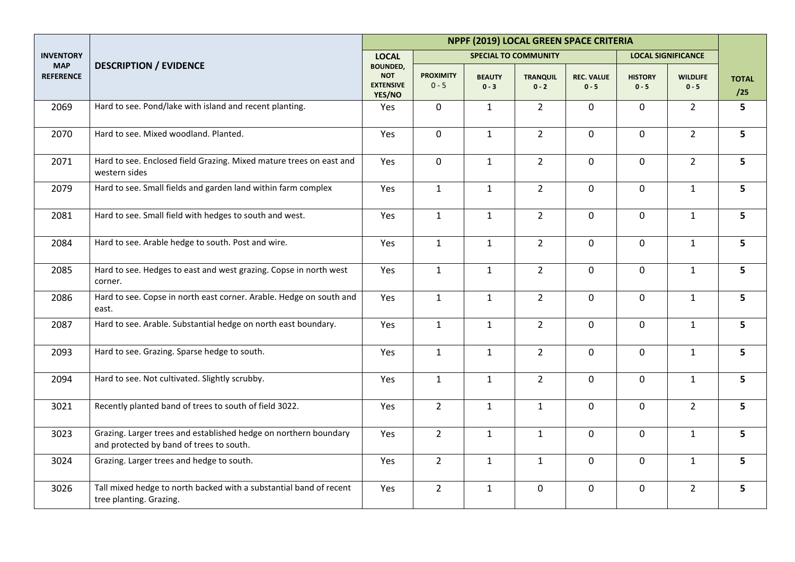|                                |                                                                                                              | NPPF (2019) LOCAL GREEN SPACE CRITERIA                      |                             |                             |                            |                              |                           |                            |                     |  |
|--------------------------------|--------------------------------------------------------------------------------------------------------------|-------------------------------------------------------------|-----------------------------|-----------------------------|----------------------------|------------------------------|---------------------------|----------------------------|---------------------|--|
| <b>INVENTORY</b>               |                                                                                                              | <b>LOCAL</b>                                                |                             | <b>SPECIAL TO COMMUNITY</b> |                            |                              |                           | <b>LOCAL SIGNIFICANCE</b>  |                     |  |
| <b>MAP</b><br><b>REFERENCE</b> | <b>DESCRIPTION / EVIDENCE</b>                                                                                | <b>BOUNDED,</b><br><b>NOT</b><br><b>EXTENSIVE</b><br>YES/NO | <b>PROXIMITY</b><br>$0 - 5$ | <b>BEAUTY</b><br>$0 - 3$    | <b>TRANQUIL</b><br>$0 - 2$ | <b>REC. VALUE</b><br>$0 - 5$ | <b>HISTORY</b><br>$0 - 5$ | <b>WILDLIFE</b><br>$0 - 5$ | <b>TOTAL</b><br>/25 |  |
| 2069                           | Hard to see. Pond/lake with island and recent planting.                                                      | Yes                                                         | $\mathbf 0$                 | $\mathbf{1}$                | $\overline{2}$             | 0                            | $\mathbf 0$               | $2^{\circ}$                | 5                   |  |
| 2070                           | Hard to see. Mixed woodland. Planted.                                                                        | Yes                                                         | $\mathsf{O}$                | $\mathbf{1}$                | $\overline{2}$             | 0                            | $\mathsf{O}$              | $2^{\circ}$                | 5                   |  |
| 2071                           | Hard to see. Enclosed field Grazing. Mixed mature trees on east and<br>western sides                         | Yes                                                         | $\mathbf 0$                 | $\mathbf{1}$                | $\overline{2}$             | 0                            | $\mathbf 0$               | $\overline{2}$             | 5                   |  |
| 2079                           | Hard to see. Small fields and garden land within farm complex                                                | Yes                                                         | $\mathbf{1}$                | $\mathbf{1}$                | $\overline{2}$             | $\mathbf 0$                  | $\mathbf 0$               | $\mathbf{1}$               | 5                   |  |
| 2081                           | Hard to see. Small field with hedges to south and west.                                                      | Yes                                                         | $\mathbf{1}$                | $\mathbf{1}$                | $\overline{2}$             | $\mathbf 0$                  | $\mathbf 0$               | $\mathbf{1}$               | 5                   |  |
| 2084                           | Hard to see. Arable hedge to south. Post and wire.                                                           | Yes                                                         | $\mathbf{1}$                | $\mathbf{1}$                | $\overline{2}$             | $\mathbf 0$                  | $\overline{0}$            | $\mathbf{1}$               | 5                   |  |
| 2085                           | Hard to see. Hedges to east and west grazing. Copse in north west<br>corner.                                 | Yes                                                         | $\mathbf{1}$                | $\mathbf{1}$                | $\overline{2}$             | $\mathbf 0$                  | $\mathbf 0$               | $\mathbf{1}$               | 5                   |  |
| 2086                           | Hard to see. Copse in north east corner. Arable. Hedge on south and<br>east.                                 | Yes                                                         | $\mathbf{1}$                | $\mathbf{1}$                | $\overline{2}$             | $\mathbf 0$                  | $\mathsf{O}$              | $\mathbf{1}$               | 5                   |  |
| 2087                           | Hard to see. Arable. Substantial hedge on north east boundary.                                               | Yes                                                         | $\mathbf{1}$                | $\mathbf{1}$                | $\overline{2}$             | 0                            | $\mathsf{O}$              | $\mathbf{1}$               | 5                   |  |
| 2093                           | Hard to see. Grazing. Sparse hedge to south.                                                                 | Yes                                                         | $\mathbf{1}$                | $\mathbf{1}$                | $\overline{2}$             | $\mathbf 0$                  | $\mathsf{O}$              | $\mathbf{1}$               | 5                   |  |
| 2094                           | Hard to see. Not cultivated. Slightly scrubby.                                                               | Yes                                                         | $\mathbf{1}$                | $\mathbf{1}$                | $\overline{2}$             | 0                            | $\mathbf 0$               | $\mathbf{1}$               | 5 <sup>1</sup>      |  |
| 3021                           | Recently planted band of trees to south of field 3022.                                                       | Yes                                                         | $2^{\circ}$                 | $\mathbf{1}$                | $\mathbf{1}$               | $\mathbf 0$                  | $\mathsf{O}$              | $2^{\circ}$                | 5                   |  |
| 3023                           | Grazing. Larger trees and established hedge on northern boundary<br>and protected by band of trees to south. | Yes                                                         | $2^{\circ}$                 | $\mathbf{1}$                | $\mathbf{1}$               | 0                            | $\overline{0}$            | $\mathbf{1}$               | 5                   |  |
| 3024                           | Grazing. Larger trees and hedge to south.                                                                    | Yes                                                         | $2^{\circ}$                 | $\mathbf{1}$                | $\mathbf{1}$               | $\mathbf 0$                  | $\mathsf{O}$              | $\mathbf{1}$               | 5                   |  |
| 3026                           | Tall mixed hedge to north backed with a substantial band of recent<br>tree planting. Grazing.                | Yes                                                         | $2^{\circ}$                 | $\mathbf{1}$                | $\pmb{0}$                  | 0                            | 0                         | $\overline{2}$             | 5                   |  |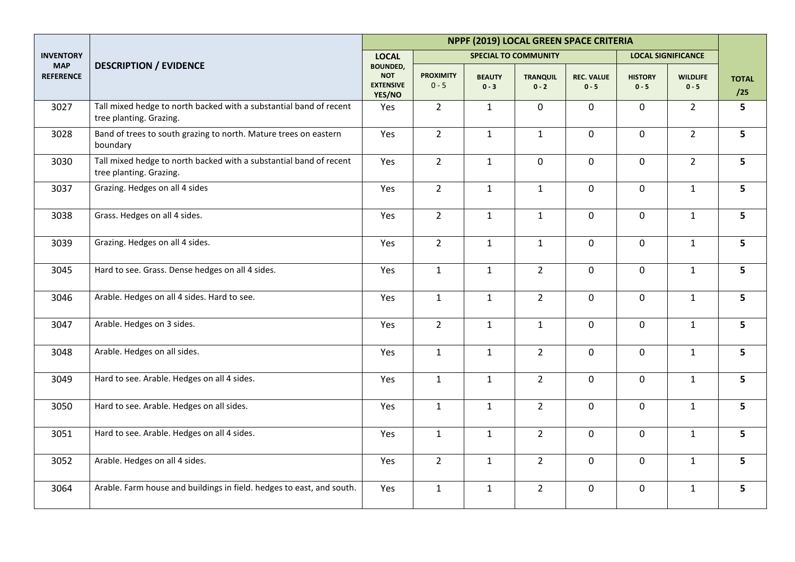|                                |                                                                                               | NPPF (2019) LOCAL GREEN SPACE CRITERIA                      |                             |                             |                            |                              |                           |                            |                     |  |
|--------------------------------|-----------------------------------------------------------------------------------------------|-------------------------------------------------------------|-----------------------------|-----------------------------|----------------------------|------------------------------|---------------------------|----------------------------|---------------------|--|
| <b>INVENTORY</b>               |                                                                                               | <b>LOCAL</b>                                                |                             | <b>SPECIAL TO COMMUNITY</b> |                            |                              |                           | <b>LOCAL SIGNIFICANCE</b>  |                     |  |
| <b>MAP</b><br><b>REFERENCE</b> | <b>DESCRIPTION / EVIDENCE</b>                                                                 | <b>BOUNDED,</b><br><b>NOT</b><br><b>EXTENSIVE</b><br>YES/NO | <b>PROXIMITY</b><br>$0 - 5$ | <b>BEAUTY</b><br>$0 - 3$    | <b>TRANQUIL</b><br>$0 - 2$ | <b>REC. VALUE</b><br>$0 - 5$ | <b>HISTORY</b><br>$0 - 5$ | <b>WILDLIFE</b><br>$0 - 5$ | <b>TOTAL</b><br>/25 |  |
| 3027                           | Tall mixed hedge to north backed with a substantial band of recent<br>tree planting. Grazing. | Yes                                                         | $2^{\circ}$                 | $\mathbf{1}$                | $\mathbf 0$                | $\mathbf 0$                  | $\mathbf 0$               | $2^{\circ}$                | 5                   |  |
| 3028                           | Band of trees to south grazing to north. Mature trees on eastern<br>boundary                  | Yes                                                         | $2^{\circ}$                 | $\mathbf{1}$                | $\mathbf{1}$               | $\mathbf 0$                  | $\mathbf 0$               | $2^{\circ}$                | 5                   |  |
| 3030                           | Tall mixed hedge to north backed with a substantial band of recent<br>tree planting. Grazing. | Yes                                                         | $\overline{2}$              | $\mathbf{1}$                | $\pmb{0}$                  | $\pmb{0}$                    | $\mathbf 0$               | $\overline{2}$             | 5                   |  |
| 3037                           | Grazing. Hedges on all 4 sides                                                                | Yes                                                         | $\overline{2}$              | $\mathbf{1}$                | $\mathbf{1}$               | $\mathbf 0$                  | $\mathbf 0$               | $\mathbf{1}$               | 5                   |  |
| 3038                           | Grass. Hedges on all 4 sides.                                                                 | Yes                                                         | $2^{\circ}$                 | $\mathbf{1}$                | $\mathbf{1}$               | $\mathbf 0$                  | $\mathbf 0$               | $\mathbf{1}$               | 5                   |  |
| 3039                           | Grazing. Hedges on all 4 sides.                                                               | Yes                                                         | $2^{\circ}$                 | $\mathbf{1}$                | $\mathbf{1}$               | $\mathbf 0$                  | $\mathbf 0$               | $\mathbf{1}$               | 5                   |  |
| 3045                           | Hard to see. Grass. Dense hedges on all 4 sides.                                              | Yes                                                         | $\mathbf{1}$                | $\mathbf{1}$                | $\overline{2}$             | $\mathbf 0$                  | $\mathbf 0$               | $\mathbf{1}$               | 5                   |  |
| 3046                           | Arable. Hedges on all 4 sides. Hard to see.                                                   | Yes                                                         | $\mathbf{1}$                | $\mathbf{1}$                | $\overline{2}$             | $\mathbf 0$                  | $\mathbf 0$               | $\mathbf{1}$               | 5                   |  |
| 3047                           | Arable. Hedges on 3 sides.                                                                    | Yes                                                         | $2^{\circ}$                 | $\mathbf{1}$                | $\mathbf{1}$               | $\mathbf 0$                  | $\mathbf 0$               | $\mathbf{1}$               | 5                   |  |
| 3048                           | Arable. Hedges on all sides.                                                                  | Yes                                                         | $\mathbf{1}$                | $\mathbf{1}$                | $2^{\circ}$                | $\mathbf 0$                  | $\mathbf 0$               | $\mathbf{1}$               | 5                   |  |
| 3049                           | Hard to see. Arable. Hedges on all 4 sides.                                                   | Yes                                                         | $\mathbf{1}$                | $\mathbf{1}$                | $\overline{2}$             | $\mathbf 0$                  | $\mathbf 0$               | $\mathbf{1}$               | 5                   |  |
| 3050                           | Hard to see. Arable. Hedges on all sides.                                                     | Yes                                                         | $\mathbf{1}$                | $\mathbf{1}$                | $\overline{2}$             | $\mathbf 0$                  | $\mathbf 0$               | $\mathbf{1}$               | 5                   |  |
| 3051                           | Hard to see. Arable. Hedges on all 4 sides.                                                   | Yes                                                         | $\mathbf{1}$                | $\mathbf{1}$                | $2^{\circ}$                | $\mathbf 0$                  | $\mathbf 0$               | $\mathbf{1}$               | 5                   |  |
| 3052                           | Arable. Hedges on all 4 sides.                                                                | Yes                                                         | $\overline{2}$              | $\mathbf{1}$                | $\overline{2}$             | $\mathbf 0$                  | $\mathbf 0$               | $\mathbf{1}$               | 5                   |  |
| 3064                           | Arable. Farm house and buildings in field. hedges to east, and south.                         | Yes                                                         | $\mathbf{1}$                | $\mathbf{1}$                | $\overline{2}$             | $\pmb{0}$                    | $\mathbf 0$               | $\mathbf{1}$               | 5                   |  |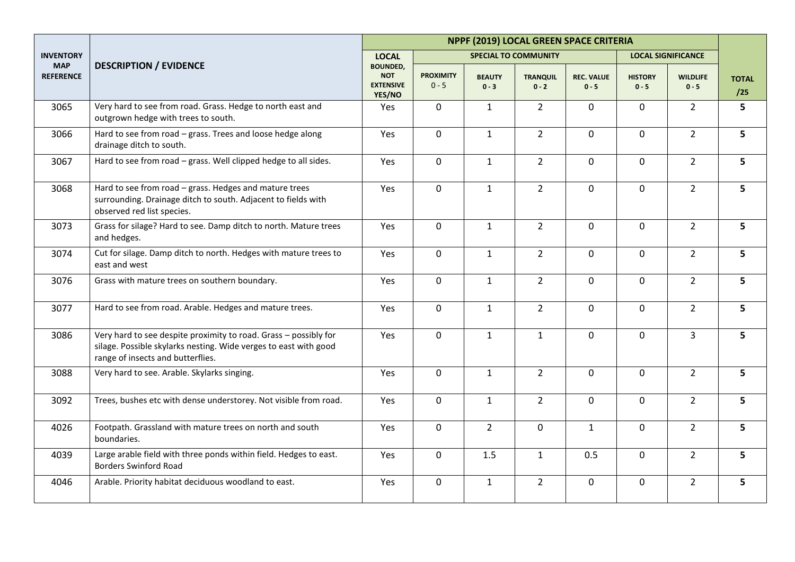|                                |                                                                                                                                                                           | NPPF (2019) LOCAL GREEN SPACE CRITERIA                      |                             |                          |                             |                              |                           |                            |                     |  |
|--------------------------------|---------------------------------------------------------------------------------------------------------------------------------------------------------------------------|-------------------------------------------------------------|-----------------------------|--------------------------|-----------------------------|------------------------------|---------------------------|----------------------------|---------------------|--|
| <b>INVENTORY</b>               |                                                                                                                                                                           | <b>LOCAL</b>                                                |                             |                          | <b>SPECIAL TO COMMUNITY</b> |                              |                           | <b>LOCAL SIGNIFICANCE</b>  |                     |  |
| <b>MAP</b><br><b>REFERENCE</b> | <b>DESCRIPTION / EVIDENCE</b>                                                                                                                                             | <b>BOUNDED,</b><br><b>NOT</b><br><b>EXTENSIVE</b><br>YES/NO | <b>PROXIMITY</b><br>$0 - 5$ | <b>BEAUTY</b><br>$0 - 3$ | <b>TRANQUIL</b><br>$0 - 2$  | <b>REC. VALUE</b><br>$0 - 5$ | <b>HISTORY</b><br>$0 - 5$ | <b>WILDLIFE</b><br>$0 - 5$ | <b>TOTAL</b><br>/25 |  |
| 3065                           | Very hard to see from road. Grass. Hedge to north east and<br>outgrown hedge with trees to south.                                                                         | Yes                                                         | 0                           | $\mathbf{1}$             | $\overline{2}$              | 0                            | $\mathbf 0$               | $2^{\circ}$                | 5                   |  |
| 3066                           | Hard to see from road - grass. Trees and loose hedge along<br>drainage ditch to south.                                                                                    | Yes                                                         | $\mathbf 0$                 | $\mathbf{1}$             | $\overline{2}$              | $\mathbf 0$                  | $\mathsf{O}$              | $\overline{2}$             | 5                   |  |
| 3067                           | Hard to see from road - grass. Well clipped hedge to all sides.                                                                                                           | Yes                                                         | 0                           | $\mathbf{1}$             | $\overline{2}$              | 0                            | $\mathbf 0$               | $\overline{2}$             | 5                   |  |
| 3068                           | Hard to see from road - grass. Hedges and mature trees<br>surrounding. Drainage ditch to south. Adjacent to fields with<br>observed red list species.                     | Yes                                                         | $\mathbf 0$                 | $\mathbf{1}$             | $\overline{2}$              | $\mathbf 0$                  | $\overline{0}$            | $2^{\circ}$                | 5                   |  |
| 3073                           | Grass for silage? Hard to see. Damp ditch to north. Mature trees<br>and hedges.                                                                                           | Yes                                                         | $\mathbf 0$                 | $\mathbf{1}$             | $\overline{2}$              | $\mathbf 0$                  | 0                         | $\overline{2}$             | 5                   |  |
| 3074                           | Cut for silage. Damp ditch to north. Hedges with mature trees to<br>east and west                                                                                         | Yes                                                         | $\mathbf 0$                 | $\mathbf{1}$             | $\overline{2}$              | $\mathbf 0$                  | $\overline{0}$            | $\overline{2}$             | 5                   |  |
| 3076                           | Grass with mature trees on southern boundary.                                                                                                                             | Yes                                                         | $\mathbf 0$                 | $\mathbf{1}$             | $\overline{2}$              | $\mathbf 0$                  | $\overline{0}$            | $\overline{2}$             | 5                   |  |
| 3077                           | Hard to see from road. Arable. Hedges and mature trees.                                                                                                                   | Yes                                                         | 0                           | $\mathbf{1}$             | $\overline{2}$              | $\mathbf 0$                  | $\mathsf{O}$              | $\overline{2}$             | 5                   |  |
| 3086                           | Very hard to see despite proximity to road. Grass - possibly for<br>silage. Possible skylarks nesting. Wide verges to east with good<br>range of insects and butterflies. | Yes                                                         | 0                           | $\mathbf{1}$             | $\mathbf{1}$                | $\mathbf 0$                  | $\mathbf 0$               | $\overline{3}$             | 5                   |  |
| 3088                           | Very hard to see. Arable. Skylarks singing.                                                                                                                               | Yes                                                         | $\mathbf 0$                 | $\mathbf{1}$             | $\overline{2}$              | $\mathbf 0$                  | $\mathbf 0$               | $\overline{2}$             | 5                   |  |
| 3092                           | Trees, bushes etc with dense understorey. Not visible from road.                                                                                                          | Yes                                                         | $\mathbf 0$                 | $\mathbf{1}$             | $\overline{2}$              | $\mathbf 0$                  | $\overline{0}$            | $2^{\circ}$                | 5                   |  |
| 4026                           | Footpath. Grassland with mature trees on north and south<br>boundaries.                                                                                                   | Yes                                                         | $\mathbf 0$                 | $2^{\circ}$              | $\mathbf 0$                 | $\mathbf{1}$                 | $\overline{0}$            | $2^{\circ}$                | 5                   |  |
| 4039                           | Large arable field with three ponds within field. Hedges to east.<br><b>Borders Swinford Road</b>                                                                         | Yes                                                         | $\mathbf 0$                 | 1.5                      | $\mathbf{1}$                | 0.5                          | $\overline{0}$            | $\overline{2}$             | 5                   |  |
| 4046                           | Arable. Priority habitat deciduous woodland to east.                                                                                                                      | Yes                                                         | 0                           | $\mathbf{1}$             | $\overline{2}$              | $\mathbf 0$                  | $\mathbf 0$               | $\overline{2}$             | 5                   |  |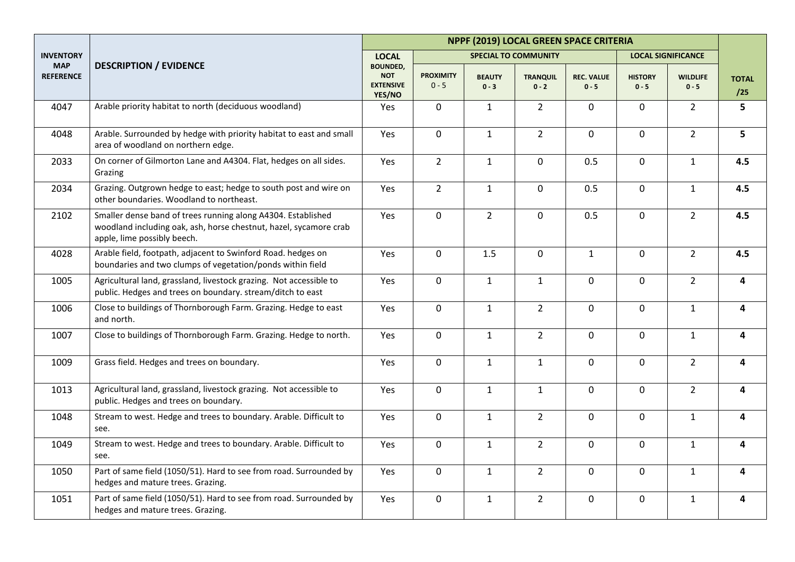|                                |                                                                                                                                                                  |                                                             |                             |                          |                             | NPPF (2019) LOCAL GREEN SPACE CRITERIA |                           |                            |                     |
|--------------------------------|------------------------------------------------------------------------------------------------------------------------------------------------------------------|-------------------------------------------------------------|-----------------------------|--------------------------|-----------------------------|----------------------------------------|---------------------------|----------------------------|---------------------|
| <b>INVENTORY</b>               |                                                                                                                                                                  | <b>LOCAL</b>                                                |                             |                          | <b>SPECIAL TO COMMUNITY</b> |                                        |                           | <b>LOCAL SIGNIFICANCE</b>  |                     |
| <b>MAP</b><br><b>REFERENCE</b> | <b>DESCRIPTION / EVIDENCE</b>                                                                                                                                    | <b>BOUNDED,</b><br><b>NOT</b><br><b>EXTENSIVE</b><br>YES/NO | <b>PROXIMITY</b><br>$0 - 5$ | <b>BEAUTY</b><br>$0 - 3$ | <b>TRANQUIL</b><br>$0 - 2$  | <b>REC. VALUE</b><br>$0 - 5$           | <b>HISTORY</b><br>$0 - 5$ | <b>WILDLIFE</b><br>$0 - 5$ | <b>TOTAL</b><br>/25 |
| 4047                           | Arable priority habitat to north (deciduous woodland)                                                                                                            | Yes                                                         | $\mathbf 0$                 | $\mathbf{1}$             | $\overline{2}$              | $\mathbf 0$                            | $\mathbf 0$               | $\overline{2}$             | 5                   |
| 4048                           | Arable. Surrounded by hedge with priority habitat to east and small<br>area of woodland on northern edge.                                                        | Yes                                                         | $\mathbf 0$                 | $\mathbf{1}$             | $\overline{2}$              | $\mathbf 0$                            | $\overline{0}$            | $\overline{2}$             | 5                   |
| 2033                           | On corner of Gilmorton Lane and A4304. Flat, hedges on all sides.<br>Grazing                                                                                     | Yes                                                         | $\overline{2}$              | $\mathbf{1}$             | $\mathbf 0$                 | 0.5                                    | 0                         | $\mathbf{1}$               | 4.5                 |
| 2034                           | Grazing. Outgrown hedge to east; hedge to south post and wire on<br>other boundaries. Woodland to northeast.                                                     | Yes                                                         | $2^{\circ}$                 | $\mathbf{1}$             | $\mathbf 0$                 | 0.5                                    | $\overline{0}$            | $\mathbf{1}$               | 4.5                 |
| 2102                           | Smaller dense band of trees running along A4304. Established<br>woodland including oak, ash, horse chestnut, hazel, sycamore crab<br>apple, lime possibly beech. | Yes                                                         | 0                           | $\overline{2}$           | $\pmb{0}$                   | 0.5                                    | $\mathsf{O}$              | $\overline{2}$             | 4.5                 |
| 4028                           | Arable field, footpath, adjacent to Swinford Road. hedges on<br>boundaries and two clumps of vegetation/ponds within field                                       | Yes                                                         | 0                           | 1.5                      | $\mathbf 0$                 | $\mathbf{1}$                           | $\overline{0}$            | $\overline{2}$             | 4.5                 |
| 1005                           | Agricultural land, grassland, livestock grazing. Not accessible to<br>public. Hedges and trees on boundary. stream/ditch to east                                 | Yes                                                         | 0                           | $\mathbf{1}$             | $\mathbf{1}$                | 0                                      | 0                         | $\overline{2}$             | 4                   |
| 1006                           | Close to buildings of Thornborough Farm. Grazing. Hedge to east<br>and north.                                                                                    | Yes                                                         | $\mathsf 0$                 | $\mathbf{1}$             | $\overline{2}$              | 0                                      | $\mathbf 0$               | $\mathbf{1}$               | 4                   |
| 1007                           | Close to buildings of Thornborough Farm. Grazing. Hedge to north.                                                                                                | Yes                                                         | $\mathsf 0$                 | $\mathbf{1}$             | $\overline{2}$              | 0                                      | $\mathsf{O}$              | $\mathbf{1}$               | 4                   |
| 1009                           | Grass field. Hedges and trees on boundary.                                                                                                                       | Yes                                                         | $\mathbf 0$                 | $\mathbf{1}$             | $\mathbf{1}$                | $\mathbf 0$                            | $\overline{0}$            | $\overline{2}$             | 4                   |
| 1013                           | Agricultural land, grassland, livestock grazing. Not accessible to<br>public. Hedges and trees on boundary.                                                      | Yes                                                         | $\mathbf 0$                 | $\mathbf{1}$             | $\mathbf{1}$                | $\mathbf 0$                            | $\mathbf{0}$              | $2^{\circ}$                | 4                   |
| 1048                           | Stream to west. Hedge and trees to boundary. Arable. Difficult to<br>see.                                                                                        | Yes                                                         | 0                           | $\mathbf{1}$             | $\overline{2}$              | $\mathbf 0$                            | $\overline{0}$            | $\mathbf{1}$               | 4                   |
| 1049                           | Stream to west. Hedge and trees to boundary. Arable. Difficult to<br>see.                                                                                        | Yes                                                         | 0                           | $\mathbf{1}$             | $\overline{2}$              | $\mathbf 0$                            | $\mathbf 0$               | $\mathbf{1}$               | 4                   |
| 1050                           | Part of same field (1050/51). Hard to see from road. Surrounded by<br>hedges and mature trees. Grazing.                                                          | Yes                                                         | $\mathsf 0$                 | $\mathbf{1}$             | $\overline{2}$              | $\mathbf 0$                            | $\mathsf{O}$              | $\mathbf{1}$               | 4                   |
| 1051                           | Part of same field (1050/51). Hard to see from road. Surrounded by<br>hedges and mature trees. Grazing.                                                          | Yes                                                         | $\mathbf 0$                 | $\mathbf{1}$             | $\overline{2}$              | $\mathbf 0$                            | $\mathsf{O}$              | $\mathbf{1}$               | 4                   |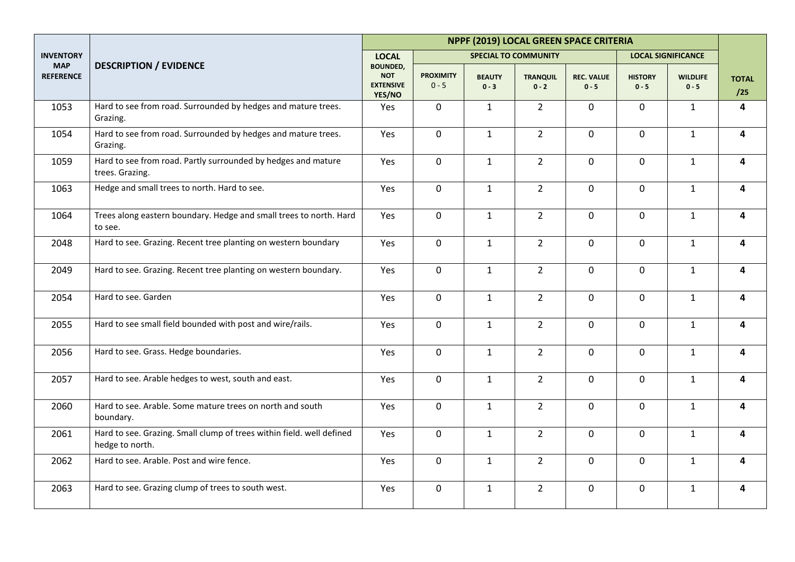|                                |                                                                                          |                                                             |                             |                          |                             | NPPF (2019) LOCAL GREEN SPACE CRITERIA |                           |                            |                         |
|--------------------------------|------------------------------------------------------------------------------------------|-------------------------------------------------------------|-----------------------------|--------------------------|-----------------------------|----------------------------------------|---------------------------|----------------------------|-------------------------|
| <b>INVENTORY</b>               |                                                                                          | <b>LOCAL</b>                                                |                             |                          | <b>SPECIAL TO COMMUNITY</b> |                                        |                           | <b>LOCAL SIGNIFICANCE</b>  |                         |
| <b>MAP</b><br><b>REFERENCE</b> | <b>DESCRIPTION / EVIDENCE</b>                                                            | <b>BOUNDED,</b><br><b>NOT</b><br><b>EXTENSIVE</b><br>YES/NO | <b>PROXIMITY</b><br>$0 - 5$ | <b>BEAUTY</b><br>$0 - 3$ | <b>TRANQUIL</b><br>$0 - 2$  | <b>REC. VALUE</b><br>$0 - 5$           | <b>HISTORY</b><br>$0 - 5$ | <b>WILDLIFE</b><br>$0 - 5$ | <b>TOTAL</b><br>/25     |
| 1053                           | Hard to see from road. Surrounded by hedges and mature trees.<br>Grazing.                | Yes                                                         | $\mathbf 0$                 | $\mathbf{1}$             | $\overline{2}$              | $\mathbf 0$                            | $\mathbf 0$               | $\mathbf{1}$               | 4                       |
| 1054                           | Hard to see from road. Surrounded by hedges and mature trees.<br>Grazing.                | Yes                                                         | 0                           | $\mathbf{1}$             | $\overline{2}$              | $\mathsf 0$                            | $\mathsf{O}$              | $\mathbf{1}$               | 4                       |
| 1059                           | Hard to see from road. Partly surrounded by hedges and mature<br>trees. Grazing.         | Yes                                                         | 0                           | $\mathbf{1}$             | $\overline{2}$              | $\mathsf 0$                            | 0                         | $\mathbf{1}$               | 4                       |
| 1063                           | Hedge and small trees to north. Hard to see.                                             | Yes                                                         | 0                           | $\mathbf{1}$             | $\overline{2}$              | $\mathbf 0$                            | $\mathsf{O}$              | $\mathbf{1}$               | 4                       |
| 1064                           | Trees along eastern boundary. Hedge and small trees to north. Hard<br>to see.            | Yes                                                         | 0                           | $\mathbf{1}$             | $\overline{2}$              | $\mathbf 0$                            | $\mathbf 0$               | $\mathbf{1}$               | 4                       |
| 2048                           | Hard to see. Grazing. Recent tree planting on western boundary                           | Yes                                                         | 0                           | $\mathbf{1}$             | $\overline{2}$              | $\mathbf 0$                            | $\overline{0}$            | $\mathbf{1}$               | 4                       |
| 2049                           | Hard to see. Grazing. Recent tree planting on western boundary.                          | Yes                                                         | 0                           | $\mathbf{1}$             | $\overline{2}$              | $\mathbf 0$                            | $\overline{0}$            | $\mathbf{1}$               | 4                       |
| 2054                           | Hard to see. Garden                                                                      | Yes                                                         | $\mathbf 0$                 | $\mathbf{1}$             | $\overline{2}$              | $\mathbf 0$                            | $\overline{0}$            | $\mathbf{1}$               | $\overline{\mathbf{4}}$ |
| 2055                           | Hard to see small field bounded with post and wire/rails.                                | Yes                                                         | 0                           | $\mathbf{1}$             | $\overline{2}$              | $\mathbf 0$                            | $\mathbf 0$               | $\mathbf{1}$               | $\overline{\mathbf{4}}$ |
| 2056                           | Hard to see. Grass. Hedge boundaries.                                                    | Yes                                                         | 0                           | $\mathbf{1}$             | $\overline{2}$              | $\mathbf 0$                            | $\overline{0}$            | $\mathbf{1}$               | 4                       |
| 2057                           | Hard to see. Arable hedges to west, south and east.                                      | Yes                                                         | 0                           | $\mathbf{1}$             | $\overline{2}$              | $\mathbf 0$                            | $\mathbf{0}$              | $\mathbf{1}$               | 4                       |
| 2060                           | Hard to see. Arable. Some mature trees on north and south<br>boundary.                   | Yes                                                         | $\mathbf 0$                 | $\mathbf{1}$             | $\overline{2}$              | $\mathbf 0$                            | $\mathbf 0$               | $\mathbf{1}$               | 4                       |
| 2061                           | Hard to see. Grazing. Small clump of trees within field. well defined<br>hedge to north. | Yes                                                         | $\overline{0}$              | $\mathbf{1}$             | $\overline{2}$              | $\mathbf 0$                            | $\overline{0}$            | $\mathbf{1}$               | 4                       |
| 2062                           | Hard to see. Arable. Post and wire fence.                                                | Yes                                                         | $\mathbf 0$                 | $\mathbf{1}$             | $\overline{2}$              | $\mathbf 0$                            | $\overline{0}$            | $\mathbf{1}$               | 4                       |
| 2063                           | Hard to see. Grazing clump of trees to south west.                                       | Yes                                                         | 0                           | $\mathbf{1}$             | $\overline{2}$              | $\mathsf 0$                            | 0                         | $\mathbf{1}$               | 4                       |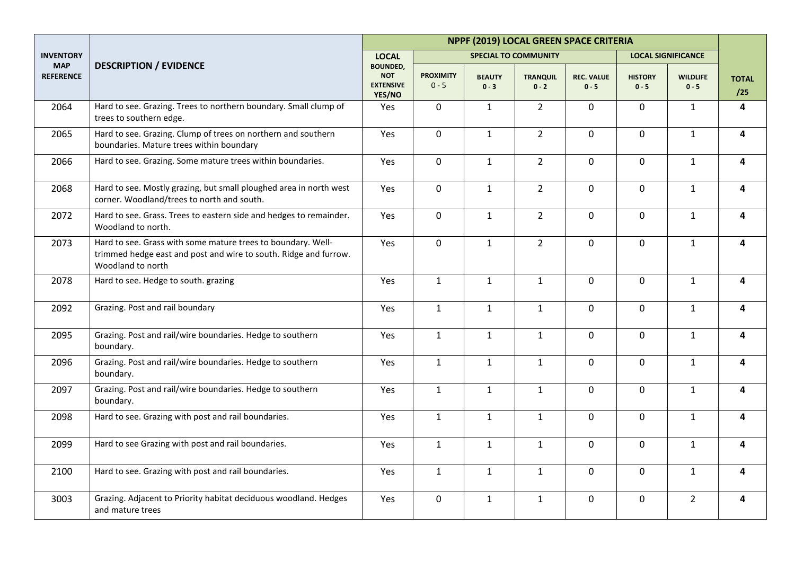|                                |                                                                                                                                                       |                                                             |                             |                          |                             | NPPF (2019) LOCAL GREEN SPACE CRITERIA |                           |                            |                         |
|--------------------------------|-------------------------------------------------------------------------------------------------------------------------------------------------------|-------------------------------------------------------------|-----------------------------|--------------------------|-----------------------------|----------------------------------------|---------------------------|----------------------------|-------------------------|
| <b>INVENTORY</b>               |                                                                                                                                                       | <b>LOCAL</b>                                                |                             |                          | <b>SPECIAL TO COMMUNITY</b> |                                        |                           | <b>LOCAL SIGNIFICANCE</b>  |                         |
| <b>MAP</b><br><b>REFERENCE</b> | <b>DESCRIPTION / EVIDENCE</b>                                                                                                                         | <b>BOUNDED,</b><br><b>NOT</b><br><b>EXTENSIVE</b><br>YES/NO | <b>PROXIMITY</b><br>$0 - 5$ | <b>BEAUTY</b><br>$0 - 3$ | <b>TRANQUIL</b><br>$0 - 2$  | <b>REC. VALUE</b><br>$0 - 5$           | <b>HISTORY</b><br>$0 - 5$ | <b>WILDLIFE</b><br>$0 - 5$ | <b>TOTAL</b><br>/25     |
| 2064                           | Hard to see. Grazing. Trees to northern boundary. Small clump of<br>trees to southern edge.                                                           | Yes                                                         | $\mathbf 0$                 | $\mathbf{1}$             | $\overline{2}$              | $\mathbf 0$                            | $\mathbf 0$               | $\mathbf{1}$               | 4                       |
| 2065                           | Hard to see. Grazing. Clump of trees on northern and southern<br>boundaries. Mature trees within boundary                                             | Yes                                                         | $\mathbf 0$                 | $\mathbf{1}$             | $\overline{2}$              | $\mathbf 0$                            | $\mathbf 0$               | $\mathbf{1}$               | $\overline{\mathbf{4}}$ |
| 2066                           | Hard to see. Grazing. Some mature trees within boundaries.                                                                                            | Yes                                                         | $\mathbf 0$                 | $\mathbf{1}$             | $\overline{2}$              | $\mathbf 0$                            | $\mathbf 0$               | $\mathbf{1}$               | 4                       |
| 2068                           | Hard to see. Mostly grazing, but small ploughed area in north west<br>corner. Woodland/trees to north and south.                                      | Yes                                                         | 0                           | $\mathbf{1}$             | $\overline{2}$              | $\mathbf 0$                            | $\mathbf 0$               | $\mathbf{1}$               | 4                       |
| 2072                           | Hard to see. Grass. Trees to eastern side and hedges to remainder.<br>Woodland to north.                                                              | Yes                                                         | $\mathbf 0$                 | $\mathbf{1}$             | $\overline{2}$              | $\mathbf 0$                            | $\mathbf 0$               | $\mathbf{1}$               | $\overline{\mathbf{4}}$ |
| 2073                           | Hard to see. Grass with some mature trees to boundary. Well-<br>trimmed hedge east and post and wire to south. Ridge and furrow.<br>Woodland to north | Yes                                                         | 0                           | $\mathbf{1}$             | $\overline{2}$              | $\mathbf 0$                            | $\mathbf 0$               | $\mathbf{1}$               | 4                       |
| 2078                           | Hard to see. Hedge to south. grazing                                                                                                                  | Yes                                                         | $\mathbf{1}$                | $\mathbf{1}$             | $\mathbf{1}$                | $\mathbf 0$                            | $\mathbf 0$               | $\mathbf{1}$               | $\overline{\mathbf{4}}$ |
| 2092                           | Grazing. Post and rail boundary                                                                                                                       | Yes                                                         | $\mathbf{1}$                | $\mathbf{1}$             | $\mathbf{1}$                | $\mathbf 0$                            | $\mathbf 0$               | $\mathbf{1}$               | 4                       |
| 2095                           | Grazing. Post and rail/wire boundaries. Hedge to southern<br>boundary.                                                                                | Yes                                                         | $\mathbf{1}$                | $\mathbf{1}$             | $\mathbf{1}$                | $\mathbf 0$                            | $\mathbf 0$               | $\mathbf{1}$               | 4                       |
| 2096                           | Grazing. Post and rail/wire boundaries. Hedge to southern<br>boundary.                                                                                | Yes                                                         | $\mathbf{1}$                | $\mathbf{1}$             | $\mathbf{1}$                | $\mathbf 0$                            | $\mathbf 0$               | $\mathbf{1}$               | 4                       |
| 2097                           | Grazing. Post and rail/wire boundaries. Hedge to southern<br>boundary.                                                                                | Yes                                                         | $\mathbf{1}$                | $\mathbf{1}$             | $\mathbf{1}$                | $\mathbf 0$                            | $\mathbf 0$               | $\mathbf{1}$               | 4                       |
| 2098                           | Hard to see. Grazing with post and rail boundaries.                                                                                                   | Yes                                                         | $\mathbf{1}$                | $\mathbf{1}$             | $\mathbf{1}$                | $\mathbf 0$                            | $\mathbf 0$               | $\mathbf{1}$               | 4                       |
| 2099                           | Hard to see Grazing with post and rail boundaries.                                                                                                    | Yes                                                         | $\mathbf{1}$                | $\mathbf{1}$             | $\mathbf{1}$                | $\mathbf 0$                            | $\mathbf 0$               | $\mathbf{1}$               | 4                       |
| 2100                           | Hard to see. Grazing with post and rail boundaries.                                                                                                   | Yes                                                         | $\mathbf{1}$                | $\mathbf{1}$             | $\mathbf{1}$                | $\mathbf 0$                            | $\mathbf 0$               | $\mathbf{1}$               | 4                       |
| 3003                           | Grazing. Adjacent to Priority habitat deciduous woodland. Hedges<br>and mature trees                                                                  | Yes                                                         | $\mathsf{O}\xspace$         | $\mathbf{1}$             | $\mathbf{1}$                | $\mathbf 0$                            | $\mathbf 0$               | $\overline{2}$             | 4                       |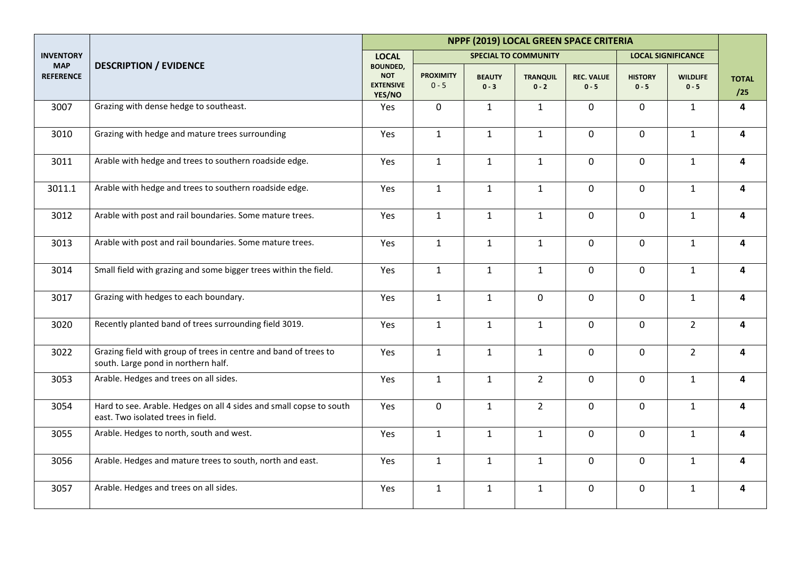|                                |                                                                                                           | NPPF (2019) LOCAL GREEN SPACE CRITERIA                      |                             |                          |                             |                              |                           |                            |                         |  |
|--------------------------------|-----------------------------------------------------------------------------------------------------------|-------------------------------------------------------------|-----------------------------|--------------------------|-----------------------------|------------------------------|---------------------------|----------------------------|-------------------------|--|
| <b>INVENTORY</b>               |                                                                                                           | <b>LOCAL</b>                                                |                             |                          | <b>SPECIAL TO COMMUNITY</b> |                              |                           | <b>LOCAL SIGNIFICANCE</b>  |                         |  |
| <b>MAP</b><br><b>REFERENCE</b> | <b>DESCRIPTION / EVIDENCE</b>                                                                             | <b>BOUNDED,</b><br><b>NOT</b><br><b>EXTENSIVE</b><br>YES/NO | <b>PROXIMITY</b><br>$0 - 5$ | <b>BEAUTY</b><br>$0 - 3$ | <b>TRANQUIL</b><br>$0 - 2$  | <b>REC. VALUE</b><br>$0 - 5$ | <b>HISTORY</b><br>$0 - 5$ | <b>WILDLIFE</b><br>$0 - 5$ | <b>TOTAL</b><br>/25     |  |
| 3007                           | Grazing with dense hedge to southeast.                                                                    | Yes                                                         | $\mathbf 0$                 | $\mathbf{1}$             | $\mathbf{1}$                | $\mathbf 0$                  | $\mathbf 0$               | $\mathbf{1}$               | 4                       |  |
| 3010                           | Grazing with hedge and mature trees surrounding                                                           | Yes                                                         | $\mathbf{1}$                | $\mathbf{1}$             | $\mathbf{1}$                | $\pmb{0}$                    | $\mathsf{O}$              | $\mathbf{1}$               | 4                       |  |
| 3011                           | Arable with hedge and trees to southern roadside edge.                                                    | Yes                                                         | $\mathbf{1}$                | $\mathbf{1}$             | $\mathbf{1}$                | $\mathbf 0$                  | $\mathbf 0$               | $\mathbf{1}$               | 4                       |  |
| 3011.1                         | Arable with hedge and trees to southern roadside edge.                                                    | Yes                                                         | $\mathbf{1}$                | $\mathbf{1}$             | $\mathbf{1}$                | $\mathbf 0$                  | $\mathsf{O}$              | $\mathbf{1}$               | 4                       |  |
| 3012                           | Arable with post and rail boundaries. Some mature trees.                                                  | Yes                                                         | $\mathbf{1}$                | $\mathbf{1}$             | $\mathbf{1}$                | $\mathbf 0$                  | $\mathbf 0$               | $\mathbf{1}$               | 4                       |  |
| 3013                           | Arable with post and rail boundaries. Some mature trees.                                                  | Yes                                                         | $\mathbf{1}$                | $\mathbf{1}$             | $\mathbf{1}$                | $\mathbf 0$                  | $\mathsf{O}$              | $\mathbf{1}$               | $\overline{\mathbf{4}}$ |  |
| 3014                           | Small field with grazing and some bigger trees within the field.                                          | Yes                                                         | $\mathbf{1}$                | $\mathbf 1$              | $\mathbf 1$                 | $\mathbf 0$                  | $\mathbf 0$               | $\mathbf{1}$               | 4                       |  |
| 3017                           | Grazing with hedges to each boundary.                                                                     | Yes                                                         | $\mathbf{1}$                | $\mathbf{1}$             | $\mathbf 0$                 | $\mathbf 0$                  | $\mathbf 0$               | $\mathbf{1}$               | 4                       |  |
| 3020                           | Recently planted band of trees surrounding field 3019.                                                    | Yes                                                         | $\mathbf{1}$                | $\mathbf{1}$             | $\mathbf{1}$                | $\pmb{0}$                    | $\mathbf 0$               | $2^{\circ}$                | 4                       |  |
| 3022                           | Grazing field with group of trees in centre and band of trees to<br>south. Large pond in northern half.   | Yes                                                         | $\mathbf{1}$                | $\mathbf{1}$             | $\mathbf{1}$                | $\pmb{0}$                    | $\mathsf{O}$              | $2^{\circ}$                | 4                       |  |
| 3053                           | Arable. Hedges and trees on all sides.                                                                    | Yes                                                         | $\mathbf{1}$                | $\mathbf{1}$             | $\overline{2}$              | $\pmb{0}$                    | $\mathsf{O}$              | $\mathbf{1}$               | 4                       |  |
| 3054                           | Hard to see. Arable. Hedges on all 4 sides and small copse to south<br>east. Two isolated trees in field. | Yes                                                         | $\mathbf 0$                 | $\mathbf{1}$             | $\overline{2}$              | $\mathbf 0$                  | 0                         | $\mathbf{1}$               | 4                       |  |
| 3055                           | Arable. Hedges to north, south and west.                                                                  | Yes                                                         | $\mathbf{1}$                | $\mathbf{1}$             | $\mathbf{1}$                | $\mathbf 0$                  | $\mathsf{O}$              | $\mathbf{1}$               | 4                       |  |
| 3056                           | Arable. Hedges and mature trees to south, north and east.                                                 | Yes                                                         | $\mathbf{1}$                | $\mathbf{1}$             | $\mathbf{1}$                | $\mathbf 0$                  | $\mathbf 0$               | $\mathbf{1}$               | 4                       |  |
| 3057                           | Arable. Hedges and trees on all sides.                                                                    | Yes                                                         | $\mathbf{1}$                | $\mathbf{1}$             | $\mathbf{1}$                | $\mathbf 0$                  | $\mathbf 0$               | $\mathbf{1}$               | 4                       |  |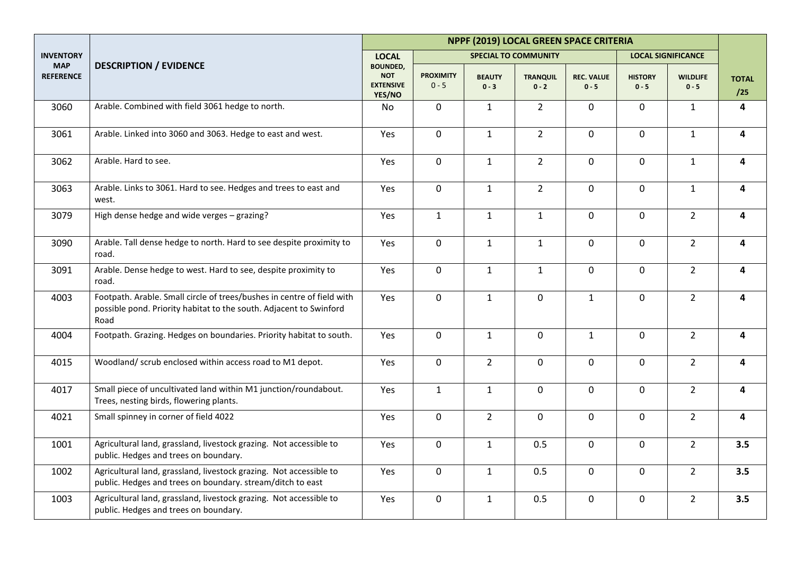|                                |                                                                                                                                                      | NPPF (2019) LOCAL GREEN SPACE CRITERIA                      |                             |                          |                             |                              |                           |                            |                     |  |  |
|--------------------------------|------------------------------------------------------------------------------------------------------------------------------------------------------|-------------------------------------------------------------|-----------------------------|--------------------------|-----------------------------|------------------------------|---------------------------|----------------------------|---------------------|--|--|
| <b>INVENTORY</b>               |                                                                                                                                                      | <b>LOCAL</b>                                                |                             |                          | <b>SPECIAL TO COMMUNITY</b> |                              |                           | <b>LOCAL SIGNIFICANCE</b>  |                     |  |  |
| <b>MAP</b><br><b>REFERENCE</b> | <b>DESCRIPTION / EVIDENCE</b>                                                                                                                        | <b>BOUNDED,</b><br><b>NOT</b><br><b>EXTENSIVE</b><br>YES/NO | <b>PROXIMITY</b><br>$0 - 5$ | <b>BEAUTY</b><br>$0 - 3$ | <b>TRANQUIL</b><br>$0 - 2$  | <b>REC. VALUE</b><br>$0 - 5$ | <b>HISTORY</b><br>$0 - 5$ | <b>WILDLIFE</b><br>$0 - 5$ | <b>TOTAL</b><br>/25 |  |  |
| 3060                           | Arable. Combined with field 3061 hedge to north.                                                                                                     | No                                                          | 0                           | $\mathbf{1}$             | $\overline{2}$              | $\mathbf 0$                  | 0                         | $\mathbf{1}$               | 4                   |  |  |
| 3061                           | Arable. Linked into 3060 and 3063. Hedge to east and west.                                                                                           | Yes                                                         | $\overline{0}$              | $\mathbf{1}$             | $\overline{2}$              | $\mathbf 0$                  | $\overline{0}$            | $\mathbf{1}$               | 4                   |  |  |
| 3062                           | Arable. Hard to see.                                                                                                                                 | Yes                                                         | $\mathbf 0$                 | $\mathbf{1}$             | $\overline{2}$              | $\mathbf 0$                  | $\mathbf 0$               | $\mathbf{1}$               | 4                   |  |  |
| 3063                           | Arable. Links to 3061. Hard to see. Hedges and trees to east and<br>west.                                                                            | Yes                                                         | 0                           | $\mathbf{1}$             | $\overline{2}$              | $\pmb{0}$                    | 0                         | $\mathbf{1}$               | 4                   |  |  |
| 3079                           | High dense hedge and wide verges - grazing?                                                                                                          | Yes                                                         | $\mathbf{1}$                | $\mathbf{1}$             | $\mathbf{1}$                | $\mathsf 0$                  | 0                         | $\overline{2}$             | 4                   |  |  |
| 3090                           | Arable. Tall dense hedge to north. Hard to see despite proximity to<br>road.                                                                         | Yes                                                         | 0                           | $\mathbf{1}$             | $\mathbf{1}$                | 0                            | 0                         | $\overline{2}$             | 4                   |  |  |
| 3091                           | Arable. Dense hedge to west. Hard to see, despite proximity to<br>road.                                                                              | Yes                                                         | 0                           | $\mathbf{1}$             | $\mathbf{1}$                | $\mathbf 0$                  | $\mathbf 0$               | 2 <sup>7</sup>             | 4                   |  |  |
| 4003                           | Footpath. Arable. Small circle of trees/bushes in centre of field with<br>possible pond. Priority habitat to the south. Adjacent to Swinford<br>Road | Yes                                                         | 0                           | $\mathbf{1}$             | $\mathbf 0$                 | $\mathbf{1}$                 | $\mathbf 0$               | $\overline{2}$             | 4                   |  |  |
| 4004                           | Footpath. Grazing. Hedges on boundaries. Priority habitat to south.                                                                                  | Yes                                                         | $\mathbf 0$                 | $\mathbf{1}$             | $\mathbf 0$                 | $\mathbf{1}$                 | $\mathsf{O}$              | $\overline{2}$             | 4                   |  |  |
| 4015                           | Woodland/ scrub enclosed within access road to M1 depot.                                                                                             | Yes                                                         | $\overline{0}$              | $\overline{2}$           | $\mathbf 0$                 | $\mathbf 0$                  | $\mathbf 0$               | $\overline{2}$             | 4                   |  |  |
| 4017                           | Small piece of uncultivated land within M1 junction/roundabout.<br>Trees, nesting birds, flowering plants.                                           | Yes                                                         | $\mathbf{1}$                | $\mathbf{1}$             | $\mathbf 0$                 | $\mathbf 0$                  | $\mathbf 0$               | $2^{\circ}$                | 4                   |  |  |
| 4021                           | Small spinney in corner of field 4022                                                                                                                | Yes                                                         | 0                           | $\overline{2}$           | $\mathbf 0$                 | $\mathbf 0$                  | $\mathbf 0$               | 2 <sup>1</sup>             | 4                   |  |  |
| 1001                           | Agricultural land, grassland, livestock grazing. Not accessible to<br>public. Hedges and trees on boundary.                                          | Yes                                                         | 0                           | $\mathbf{1}$             | 0.5                         | $\mathbf 0$                  | $\mathbf 0$               | $\overline{2}$             | 3.5                 |  |  |
| 1002                           | Agricultural land, grassland, livestock grazing. Not accessible to<br>public. Hedges and trees on boundary. stream/ditch to east                     | Yes                                                         | 0                           | $\mathbf{1}$             | 0.5                         | $\mathsf 0$                  | $\mathbf 0$               | $2^{\circ}$                | 3.5                 |  |  |
| 1003                           | Agricultural land, grassland, livestock grazing. Not accessible to<br>public. Hedges and trees on boundary.                                          | Yes                                                         | $\mathbf 0$                 | $\mathbf{1}$             | 0.5                         | $\mathsf 0$                  | $\mathbf 0$               | $\overline{2}$             | 3.5                 |  |  |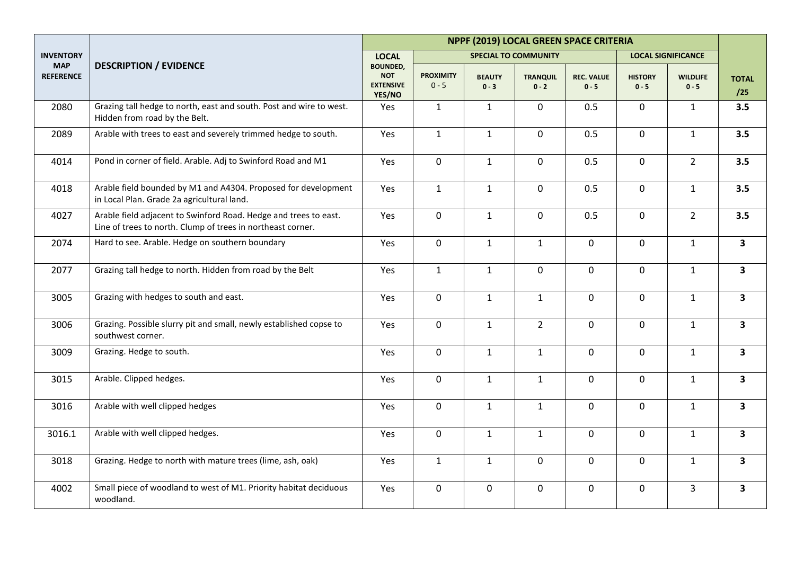|                                |                                                                                                                                 |                                                             |                             |                             |                            | NPPF (2019) LOCAL GREEN SPACE CRITERIA |                           |                            |                         |
|--------------------------------|---------------------------------------------------------------------------------------------------------------------------------|-------------------------------------------------------------|-----------------------------|-----------------------------|----------------------------|----------------------------------------|---------------------------|----------------------------|-------------------------|
| <b>INVENTORY</b>               |                                                                                                                                 | <b>LOCAL</b>                                                |                             | <b>SPECIAL TO COMMUNITY</b> |                            |                                        |                           | <b>LOCAL SIGNIFICANCE</b>  |                         |
| <b>MAP</b><br><b>REFERENCE</b> | <b>DESCRIPTION / EVIDENCE</b>                                                                                                   | <b>BOUNDED,</b><br><b>NOT</b><br><b>EXTENSIVE</b><br>YES/NO | <b>PROXIMITY</b><br>$0 - 5$ | <b>BEAUTY</b><br>$0 - 3$    | <b>TRANQUIL</b><br>$0 - 2$ | <b>REC. VALUE</b><br>$0 - 5$           | <b>HISTORY</b><br>$0 - 5$ | <b>WILDLIFE</b><br>$0 - 5$ | <b>TOTAL</b><br>/25     |
| 2080                           | Grazing tall hedge to north, east and south. Post and wire to west.<br>Hidden from road by the Belt.                            | Yes                                                         | $\mathbf{1}$                | $\mathbf{1}$                | $\mathbf 0$                | 0.5                                    | $\mathbf 0$               | $\mathbf{1}$               | 3.5                     |
| 2089                           | Arable with trees to east and severely trimmed hedge to south.                                                                  | Yes                                                         | $\mathbf{1}$                | $\mathbf{1}$                | $\pmb{0}$                  | 0.5                                    | $\mathbf 0$               | $\mathbf{1}$               | 3.5                     |
| 4014                           | Pond in corner of field. Arable. Adj to Swinford Road and M1                                                                    | Yes                                                         | 0                           | $\mathbf{1}$                | $\mathsf 0$                | 0.5                                    | $\mathsf{O}$              | $\overline{2}$             | 3.5                     |
| 4018                           | Arable field bounded by M1 and A4304. Proposed for development<br>in Local Plan. Grade 2a agricultural land.                    | Yes                                                         | $\mathbf{1}$                | $\mathbf{1}$                | $\mathbf 0$                | 0.5                                    | $\mathsf{O}$              | $\mathbf{1}$               | 3.5                     |
| 4027                           | Arable field adjacent to Swinford Road. Hedge and trees to east.<br>Line of trees to north. Clump of trees in northeast corner. | Yes                                                         | 0                           | $\mathbf{1}$                | $\mathbf 0$                | 0.5                                    | $\mathsf{O}$              | $2^{\circ}$                | 3.5                     |
| 2074                           | Hard to see. Arable. Hedge on southern boundary                                                                                 | Yes                                                         | 0                           | $\mathbf{1}$                | $\mathbf{1}$               | $\mathbf 0$                            | $\mathbf 0$               | $\mathbf{1}$               | $\overline{\mathbf{3}}$ |
| 2077                           | Grazing tall hedge to north. Hidden from road by the Belt                                                                       | Yes                                                         | $\mathbf{1}$                | $\mathbf{1}$                | $\mathbf 0$                | $\mathbf 0$                            | $\overline{0}$            | $\mathbf{1}$               | $\mathbf{3}$            |
| 3005                           | Grazing with hedges to south and east.                                                                                          | Yes                                                         | $\overline{0}$              | $\mathbf{1}$                | $\mathbf{1}$               | $\mathbf 0$                            | $\overline{0}$            | $\mathbf{1}$               | $\mathbf{3}$            |
| 3006                           | Grazing. Possible slurry pit and small, newly established copse to<br>southwest corner.                                         | Yes                                                         | 0                           | $\mathbf{1}$                | $\overline{2}$             | $\mathbf 0$                            | $\mathsf{O}$              | $\mathbf{1}$               | $\mathbf{3}$            |
| 3009                           | Grazing. Hedge to south.                                                                                                        | Yes                                                         | 0                           | $\mathbf{1}$                | $\mathbf 1$                | 0                                      | 0                         | $\mathbf{1}$               | $\mathbf{3}$            |
| 3015                           | Arable. Clipped hedges.                                                                                                         | Yes                                                         | 0                           | $\mathbf{1}$                | $\mathbf{1}$               | $\mathbf 0$                            | $\mathsf{O}$              | $\mathbf{1}$               | $\mathbf{3}$            |
| 3016                           | Arable with well clipped hedges                                                                                                 | Yes                                                         | 0                           | $\mathbf{1}$                | $\mathbf{1}$               | $\mathbf 0$                            | $\overline{0}$            | $\mathbf{1}$               | $\overline{\mathbf{3}}$ |
| 3016.1                         | Arable with well clipped hedges.                                                                                                | Yes                                                         | $\overline{0}$              | $\mathbf{1}$                | $\mathbf{1}$               | $\mathbf 0$                            | $\overline{0}$            | $\mathbf{1}$               | $\overline{\mathbf{3}}$ |
| 3018                           | Grazing. Hedge to north with mature trees (lime, ash, oak)                                                                      | Yes                                                         | $\mathbf{1}$                | $\mathbf{1}$                | $\mathsf 0$                | $\mathbf 0$                            | $\mathsf{O}$              | $\mathbf{1}$               | $\mathbf{3}$            |
| 4002                           | Small piece of woodland to west of M1. Priority habitat deciduous<br>woodland.                                                  | Yes                                                         | 0                           | $\mathsf{O}$                | $\pmb{0}$                  | 0                                      | 0                         | $\overline{3}$             | $\mathbf{3}$            |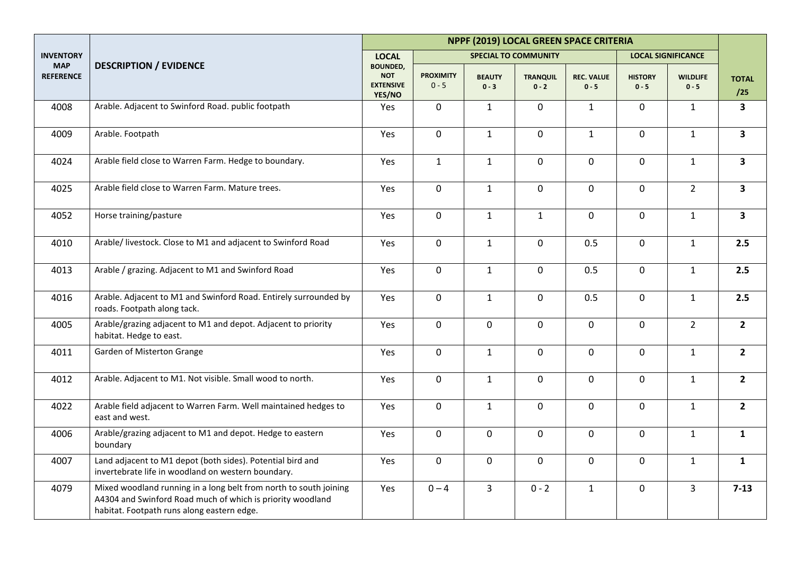|                                |                                                                                                                                                                               |                                                             |                             |                          | NPPF (2019) LOCAL GREEN SPACE CRITERIA |                              |                           |                            |                         |
|--------------------------------|-------------------------------------------------------------------------------------------------------------------------------------------------------------------------------|-------------------------------------------------------------|-----------------------------|--------------------------|----------------------------------------|------------------------------|---------------------------|----------------------------|-------------------------|
| <b>INVENTORY</b>               |                                                                                                                                                                               | <b>LOCAL</b>                                                |                             |                          | <b>SPECIAL TO COMMUNITY</b>            |                              |                           | <b>LOCAL SIGNIFICANCE</b>  |                         |
| <b>MAP</b><br><b>REFERENCE</b> | <b>DESCRIPTION / EVIDENCE</b>                                                                                                                                                 | <b>BOUNDED,</b><br><b>NOT</b><br><b>EXTENSIVE</b><br>YES/NO | <b>PROXIMITY</b><br>$0 - 5$ | <b>BEAUTY</b><br>$0 - 3$ | <b>TRANQUIL</b><br>$0 - 2$             | <b>REC. VALUE</b><br>$0 - 5$ | <b>HISTORY</b><br>$0 - 5$ | <b>WILDLIFE</b><br>$0 - 5$ | <b>TOTAL</b><br>/25     |
| 4008                           | Arable. Adjacent to Swinford Road. public footpath                                                                                                                            | Yes                                                         | $\mathbf 0$                 | $\mathbf{1}$             | $\mathbf 0$                            | $\mathbf{1}$                 | $\mathbf 0$               | $\mathbf{1}$               | $\mathbf{3}$            |
| 4009                           | Arable. Footpath                                                                                                                                                              | Yes                                                         | $\mathbf 0$                 | $\mathbf{1}$             | $\mathbf 0$                            | $\mathbf{1}$                 | $\mathbf 0$               | $\mathbf{1}$               | $\overline{\mathbf{3}}$ |
| 4024                           | Arable field close to Warren Farm. Hedge to boundary.                                                                                                                         | Yes                                                         | $\mathbf{1}$                | $\mathbf{1}$             | $\mathbf 0$                            | $\mathbf 0$                  | $\mathbf 0$               | $\mathbf{1}$               | 3                       |
| 4025                           | Arable field close to Warren Farm. Mature trees.                                                                                                                              | Yes                                                         | $\mathbf 0$                 | $\mathbf{1}$             | $\mathbf 0$                            | $\mathbf 0$                  | $\mathbf 0$               | $2^{\circ}$                | 3                       |
| 4052                           | Horse training/pasture                                                                                                                                                        | Yes                                                         | 0                           | $\mathbf{1}$             | $\mathbf{1}$                           | $\mathbf 0$                  | $\mathbf 0$               | $\mathbf{1}$               | $\overline{\mathbf{3}}$ |
| 4010                           | Arable/ livestock. Close to M1 and adjacent to Swinford Road                                                                                                                  | Yes                                                         | 0                           | $\mathbf{1}$             | $\mathbf 0$                            | 0.5                          | $\mathbf 0$               | $\mathbf{1}$               | 2.5                     |
| 4013                           | Arable / grazing. Adjacent to M1 and Swinford Road                                                                                                                            | Yes                                                         | $\pmb{0}$                   | $\mathbf{1}$             | $\mathbf 0$                            | 0.5                          | $\mathbf 0$               | $\mathbf{1}$               | 2.5                     |
| 4016                           | Arable. Adjacent to M1 and Swinford Road. Entirely surrounded by<br>roads. Footpath along tack.                                                                               | Yes                                                         | $\mathbf 0$                 | $\mathbf{1}$             | $\mathbf 0$                            | 0.5                          | $\mathbf 0$               | $\mathbf{1}$               | 2.5                     |
| 4005                           | Arable/grazing adjacent to M1 and depot. Adjacent to priority<br>habitat. Hedge to east.                                                                                      | Yes                                                         | $\overline{0}$              | $\mathbf 0$              | $\mathbf 0$                            | $\mathbf 0$                  | $\mathbf 0$               | $\overline{2}$             | $\mathbf{2}$            |
| 4011                           | Garden of Misterton Grange                                                                                                                                                    | Yes                                                         | $\mathbf 0$                 | $\mathbf{1}$             | $\mathbf 0$                            | $\mathbf 0$                  | $\mathbf 0$               | $\mathbf{1}$               | $\mathbf{2}$            |
| 4012                           | Arable. Adjacent to M1. Not visible. Small wood to north.                                                                                                                     | Yes                                                         | 0                           | $\mathbf{1}$             | $\mathbf 0$                            | $\mathbf 0$                  | $\mathbf 0$               | $\mathbf{1}$               | $\overline{2}$          |
| 4022                           | Arable field adjacent to Warren Farm. Well maintained hedges to<br>east and west.                                                                                             | Yes                                                         | 0                           | $\mathbf{1}$             | $\mathbf 0$                            | $\mathbf 0$                  | $\mathbf 0$               | $\mathbf{1}$               | $\overline{2}$          |
| 4006                           | Arable/grazing adjacent to M1 and depot. Hedge to eastern<br>boundary                                                                                                         | Yes                                                         | $\mathbf 0$                 | $\mathbf 0$              | $\mathbf 0$                            | $\mathbf 0$                  | $\mathbf 0$               | $\mathbf{1}$               | $\mathbf{1}$            |
| 4007                           | Land adjacent to M1 depot (both sides). Potential bird and<br>invertebrate life in woodland on western boundary.                                                              | Yes                                                         | 0                           | $\pmb{0}$                | $\mathbf 0$                            | $\pmb{0}$                    | $\mathbf 0$               | $\mathbf{1}$               | $\mathbf{1}$            |
| 4079                           | Mixed woodland running in a long belt from north to south joining<br>A4304 and Swinford Road much of which is priority woodland<br>habitat. Footpath runs along eastern edge. | Yes                                                         | $0 - 4$                     | $\overline{3}$           | $0 - 2$                                | $\mathbf{1}$                 | $\mathbf 0$               | 3                          | $7 - 13$                |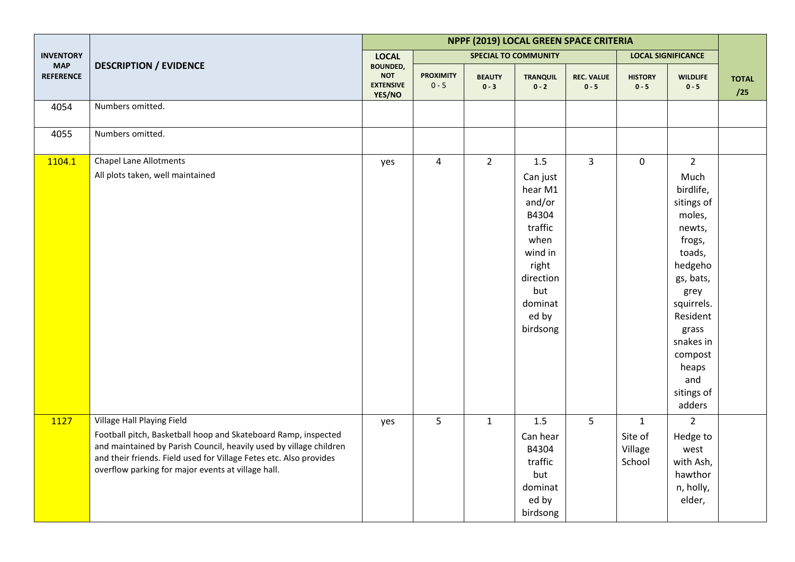|                                |                                                                                                                                                                                                                                                                                                | NPPF (2019) LOCAL GREEN SPACE CRITERIA                      |                             |                          |                                                                                                                                          |                              |                                              |                                                                                                                                                                                                                           |                     |  |
|--------------------------------|------------------------------------------------------------------------------------------------------------------------------------------------------------------------------------------------------------------------------------------------------------------------------------------------|-------------------------------------------------------------|-----------------------------|--------------------------|------------------------------------------------------------------------------------------------------------------------------------------|------------------------------|----------------------------------------------|---------------------------------------------------------------------------------------------------------------------------------------------------------------------------------------------------------------------------|---------------------|--|
| <b>INVENTORY</b>               |                                                                                                                                                                                                                                                                                                | <b>LOCAL</b>                                                |                             |                          | <b>SPECIAL TO COMMUNITY</b>                                                                                                              |                              |                                              | <b>LOCAL SIGNIFICANCE</b>                                                                                                                                                                                                 |                     |  |
| <b>MAP</b><br><b>REFERENCE</b> | <b>DESCRIPTION / EVIDENCE</b>                                                                                                                                                                                                                                                                  | <b>BOUNDED,</b><br><b>NOT</b><br><b>EXTENSIVE</b><br>YES/NO | <b>PROXIMITY</b><br>$0 - 5$ | <b>BEAUTY</b><br>$0 - 3$ | <b>TRANQUIL</b><br>$0 - 2$                                                                                                               | <b>REC. VALUE</b><br>$0 - 5$ | <b>HISTORY</b><br>$0 - 5$                    | <b>WILDLIFE</b><br>$0 - 5$                                                                                                                                                                                                | <b>TOTAL</b><br>/25 |  |
| 4054                           | Numbers omitted.                                                                                                                                                                                                                                                                               |                                                             |                             |                          |                                                                                                                                          |                              |                                              |                                                                                                                                                                                                                           |                     |  |
| 4055                           | Numbers omitted.                                                                                                                                                                                                                                                                               |                                                             |                             |                          |                                                                                                                                          |                              |                                              |                                                                                                                                                                                                                           |                     |  |
| 1104.1                         | <b>Chapel Lane Allotments</b><br>All plots taken, well maintained                                                                                                                                                                                                                              | yes                                                         | $\overline{4}$              | $2^{\circ}$              | 1.5<br>Can just<br>hear M1<br>and/or<br>B4304<br>traffic<br>when<br>wind in<br>right<br>direction<br>but<br>dominat<br>ed by<br>birdsong | $\overline{3}$               | $\mathbf 0$                                  | $2^{\circ}$<br>Much<br>birdlife,<br>sitings of<br>moles,<br>newts,<br>frogs,<br>toads,<br>hedgeho<br>gs, bats,<br>grey<br>squirrels.<br>Resident<br>grass<br>snakes in<br>compost<br>heaps<br>and<br>sitings of<br>adders |                     |  |
| 1127                           | Village Hall Playing Field<br>Football pitch, Basketball hoop and Skateboard Ramp, inspected<br>and maintained by Parish Council, heavily used by village children<br>and their friends. Field used for Village Fetes etc. Also provides<br>overflow parking for major events at village hall. | yes                                                         | 5                           | $\mathbf{1}$             | 1.5<br>Can hear<br>B4304<br>traffic<br>but<br>dominat<br>ed by<br>birdsong                                                               | 5                            | $\mathbf{1}$<br>Site of<br>Village<br>School | $\overline{2}$<br>Hedge to<br>west<br>with Ash,<br>hawthor<br>n, holly,<br>elder,                                                                                                                                         |                     |  |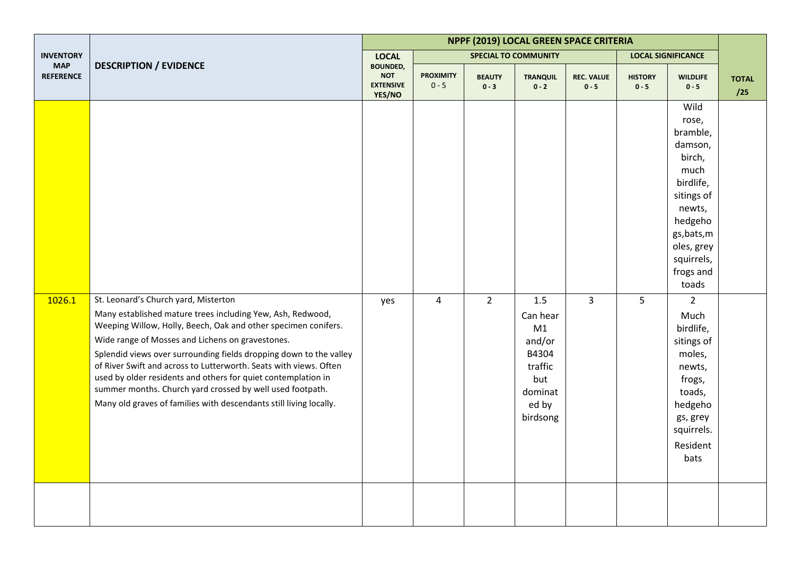|                                |                                                                                                                                                                                                                                                                                                                                                                                                                                                                                                                                                                         | NPPF (2019) LOCAL GREEN SPACE CRITERIA                      |                             |                          |                                                                                            |                              |                           |                                                                                                                                                                         |                     |  |
|--------------------------------|-------------------------------------------------------------------------------------------------------------------------------------------------------------------------------------------------------------------------------------------------------------------------------------------------------------------------------------------------------------------------------------------------------------------------------------------------------------------------------------------------------------------------------------------------------------------------|-------------------------------------------------------------|-----------------------------|--------------------------|--------------------------------------------------------------------------------------------|------------------------------|---------------------------|-------------------------------------------------------------------------------------------------------------------------------------------------------------------------|---------------------|--|
| <b>INVENTORY</b>               |                                                                                                                                                                                                                                                                                                                                                                                                                                                                                                                                                                         | <b>LOCAL</b>                                                |                             |                          | <b>SPECIAL TO COMMUNITY</b>                                                                |                              |                           | <b>LOCAL SIGNIFICANCE</b>                                                                                                                                               |                     |  |
| <b>MAP</b><br><b>REFERENCE</b> | <b>DESCRIPTION / EVIDENCE</b>                                                                                                                                                                                                                                                                                                                                                                                                                                                                                                                                           | <b>BOUNDED,</b><br><b>NOT</b><br><b>EXTENSIVE</b><br>YES/NO | <b>PROXIMITY</b><br>$0 - 5$ | <b>BEAUTY</b><br>$0 - 3$ | <b>TRANQUIL</b><br>$0 - 2$                                                                 | <b>REC. VALUE</b><br>$0 - 5$ | <b>HISTORY</b><br>$0 - 5$ | <b>WILDLIFE</b><br>$0 - 5$                                                                                                                                              | <b>TOTAL</b><br>/25 |  |
|                                |                                                                                                                                                                                                                                                                                                                                                                                                                                                                                                                                                                         |                                                             |                             |                          |                                                                                            |                              |                           | Wild<br>rose,<br>bramble,<br>damson,<br>birch,<br>much<br>birdlife,<br>sitings of<br>newts,<br>hedgeho<br>gs, bats, m<br>oles, grey<br>squirrels,<br>frogs and<br>toads |                     |  |
| 1026.1                         | St. Leonard's Church yard, Misterton<br>Many established mature trees including Yew, Ash, Redwood,<br>Weeping Willow, Holly, Beech, Oak and other specimen conifers.<br>Wide range of Mosses and Lichens on gravestones.<br>Splendid views over surrounding fields dropping down to the valley<br>of River Swift and across to Lutterworth. Seats with views. Often<br>used by older residents and others for quiet contemplation in<br>summer months. Church yard crossed by well used footpath.<br>Many old graves of families with descendants still living locally. | yes                                                         | $\overline{4}$              | $\overline{2}$           | 1.5<br>Can hear<br>M1<br>and/or<br>B4304<br>traffic<br>but<br>dominat<br>ed by<br>birdsong | $\overline{3}$               | 5                         | $\overline{2}$<br>Much<br>birdlife,<br>sitings of<br>moles,<br>newts,<br>frogs,<br>toads,<br>hedgeho<br>gs, grey<br>squirrels.<br>Resident<br>bats                      |                     |  |
|                                |                                                                                                                                                                                                                                                                                                                                                                                                                                                                                                                                                                         |                                                             |                             |                          |                                                                                            |                              |                           |                                                                                                                                                                         |                     |  |